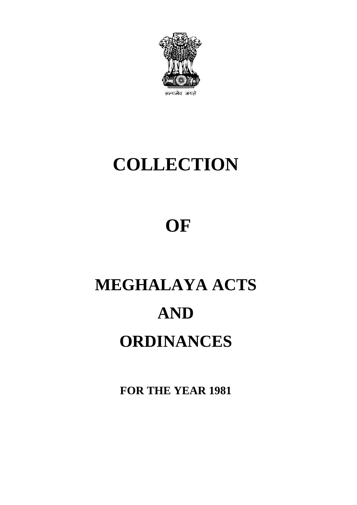

## **COLLECTION**

## **OF**

# **MEGHALAYA ACTS AND ORDINANCES**

**FOR THE YEAR 1981**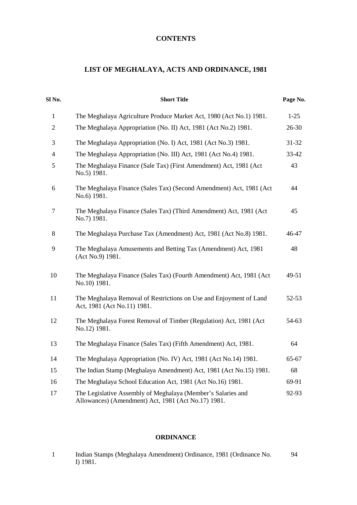### **CONTENTS**

### **LIST OF MEGHALAYA, ACTS AND ORDINANCE, 1981**

| Sl No.         | <b>Short Title</b>                                                                                                  | Page No. |  |
|----------------|---------------------------------------------------------------------------------------------------------------------|----------|--|
| $\mathbf{1}$   | The Meghalaya Agriculture Produce Market Act, 1980 (Act No.1) 1981.                                                 | $1-25$   |  |
| $\overline{2}$ | The Meghalaya Appropriation (No. II) Act, 1981 (Act No.2) 1981.                                                     | 26-30    |  |
| $\mathfrak{Z}$ | The Meghalaya Appropriation (No. I) Act, 1981 (Act No.3) 1981.                                                      | 31-32    |  |
| $\overline{4}$ | The Meghalaya Appropriation (No. III) Act, 1981 (Act No.4) 1981.                                                    | 33-42    |  |
| 5              | The Meghalaya Finance (Sale Tax) (First Amendment) Act, 1981 (Act<br>No.5) 1981.                                    | 43       |  |
| $\sqrt{6}$     | The Meghalaya Finance (Sales Tax) (Second Amendment) Act, 1981 (Act<br>No.6) 1981.                                  | 44       |  |
| $\tau$         | The Meghalaya Finance (Sales Tax) (Third Amendment) Act, 1981 (Act<br>No.7) 1981.                                   | 45       |  |
| $8\,$          | The Meghalaya Purchase Tax (Amendment) Act, 1981 (Act No.8) 1981.                                                   | 46-47    |  |
| 9              | The Meghalaya Amusements and Betting Tax (Amendment) Act, 1981<br>(Act No.9) 1981.                                  | 48       |  |
| 10             | The Meghalaya Finance (Sales Tax) (Fourth Amendment) Act, 1981 (Act<br>No.10) 1981.                                 | 49-51    |  |
| 11             | The Meghalaya Removal of Restrictions on Use and Enjoyment of Land<br>Act, 1981 (Act No.11) 1981.                   | 52-53    |  |
| 12             | The Meghalaya Forest Removal of Timber (Regulation) Act, 1981 (Act<br>No.12) 1981.                                  | 54-63    |  |
| 13             | The Meghalaya Finance (Sales Tax) (Fifth Amendment) Act, 1981.                                                      | 64       |  |
| 14             | The Meghalaya Appropriation (No. IV) Act, 1981 (Act No.14) 1981.                                                    | 65-67    |  |
| 15             | The Indian Stamp (Meghalaya Amendment) Act, 1981 (Act No.15) 1981.                                                  | 68       |  |
| 16             | The Meghalaya School Education Act, 1981 (Act No.16) 1981.                                                          | 69-91    |  |
| 17             | The Legislative Assembly of Meghalaya (Member's Salaries and<br>Allowances) (Amendment) Act, 1981 (Act No.17) 1981. | 92-93    |  |

#### **ORDINANCE**

| Indian Stamps (Meghalaya Amendment) Ordinance, 1981 (Ordinance No. | 94 |
|--------------------------------------------------------------------|----|
| $I)$ 1981.                                                         |    |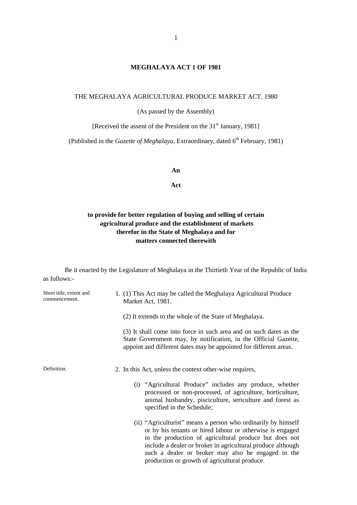#### **MEGHALAYA ACT 1 OF 1981**

#### THE MEGHALAYA AGRICULTURAL PRODUCE MARKET ACT, 1980

(As passed by the Assembly)

[Received the assent of the President on the 31<sup>st</sup> January, 1981]

(Published in the *Gazette of Meghalaya*, Extraordinary, dated 6<sup>th</sup> February, 1981)

**An**

**Act**

#### **to provide for better regulation of buying and selling of certain agricultural produce and the establishment of markets therefor in the State of Meghalaya and for matters connected therewith**

Be it enacted by the Legislature of Meghalaya in the Thirtieth Year of the Republic of India as follows:-

| Short title, extent and<br>commencement. | 1. (1) This Act may be called the Meghalaya Agricultural Produce<br>Market Act, 1981.                                                                                                                                                                                                                                                                      |
|------------------------------------------|------------------------------------------------------------------------------------------------------------------------------------------------------------------------------------------------------------------------------------------------------------------------------------------------------------------------------------------------------------|
|                                          | (2) It extends to the whole of the State of Meghalaya.                                                                                                                                                                                                                                                                                                     |
|                                          | (3) It shall come into force in such area and on such dates as the<br>State Government may, by notification, in the Official Gazette,<br>appoint and different dates may be appointed for different areas.                                                                                                                                                 |
| Definition.                              | 2. In this Act, unless the context other-wise requires,                                                                                                                                                                                                                                                                                                    |
|                                          | (i) "Agricultural Produce" includes any produce, whether<br>processed or non-processed, of agriculture, horticulture,<br>animal husbandry, pisciculture, sericulture and forest as<br>specified in the Schedule;                                                                                                                                           |
|                                          | (ii) "Agriculturist" means a person who ordinarily by himself<br>or by his tenants or hired labour or otherwise is engaged<br>in the production of agricultural produce but does not<br>include a dealer or broker in agricultural produce although<br>such a dealer or broker may also be engaged in the<br>production or growth of agricultural produce. |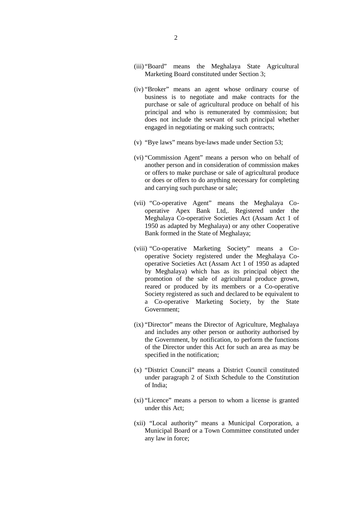- (iii) "Board" means the Meghalaya State Agricultural Marketing Board constituted under Section 3;
- (iv) "Broker" means an agent whose ordinary course of business is to negotiate and make contracts for the purchase or sale of agricultural produce on behalf of his principal and who is remunerated by commission; but does not include the servant of such principal whether engaged in negotiating or making such contracts;
- (v) "Bye laws" means bye-laws made under Section 53;
- (vi) "Commission Agent" means a person who on behalf of another person and in consideration of commission makes or offers to make purchase or sale of agricultural produce or does or offers to do anything necessary for completing and carrying such purchase or sale;
- (vii) "Co-operative Agent" means the Meghalaya Co operative Apex Bank Ltd,. Registered under the Meghalaya Co-operative Societies Act (Assam Act 1 of 1950 as adapted by Meghalaya) or any other Cooperative Bank formed in the State of Meghalaya;
- (viii) "Co-operative Marketing Society" means a Co operative Society registered under the Meghalaya Co operative Societies Act (Assam Act 1 of 1950 as adapted by Meghalaya) which has as its principal object the promotion of the sale of agricultural produce grown, reared or produced by its members or a Co-operative Society registered as such and declared to be equivalent to a Co-operative Marketing Society, by the State Government;
- (ix) "Director" means the Director of Agriculture, Meghalaya and includes any other person or authority authorised by the Government, by notification, to perform the functions of the Director under this Act for such an area as may be specified in the notification;
- (x) "District Council" means a District Council constituted under paragraph 2 of Sixth Schedule to the Constitution of India;
- (xi) "Licence" means a person to whom a license is granted under this Act;
- (xii) "Local authority" means a Municipal Corporation, a Municipal Board or a Town Committee constituted under any law in force;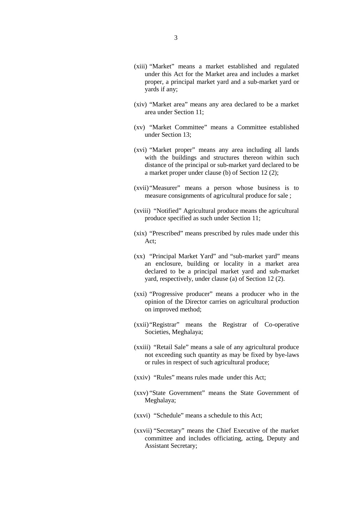- (xiii) "Market" means a market established and regulated under this Act for the Market area and includes a market proper, a principal market yard and a sub-market yard or yards if any;
- (xiv) "Market area" means any area declared to be a market area under Section 11;
- (xv) "Market Committee" means a Committee established under Section 13;
- (xvi) "Market proper" means any area including all lands with the buildings and structures thereon within such distance of the principal or sub-market yard declared to be a market proper under clause (b) of Section 12 (2);
- (xvii)"Measurer" means a person whose business is to measure consignments of agricultural produce for sale ;
- (xviii) "Notified" Agricultural produce means the agricultural produce specified as such under Section 11;
- (xix) "Prescribed" means prescribed by rules made under this Act;
- (xx) "Principal Market Yard" and "sub-market yard" means an enclosure, building or locality in a market area declared to be a principal market yard and sub-market yard, respectively, under clause (a) of Section 12 (2).
- (xxi) "Progressive producer" means a producer who in the opinion of the Director carries on agricultural production on improved method;
- (xxii)"Registrar" means the Registrar of Co-operative Societies, Meghalaya;
- (xxiii) "Retail Sale" means a sale of any agricultural produce not exceeding such quantity as may be fixed by bye-laws or rules in respect of such agricultural produce;
- (xxiv) "Rules" means rules made under this Act;
- (xxv) "State Government" means the State Government of Meghalaya;
- (xxvi) "Schedule" means a schedule to this Act;
- (xxvii) "Secretary" means the Chief Executive of the market committee and includes officiating, acting, Deputy and Assistant Secretary;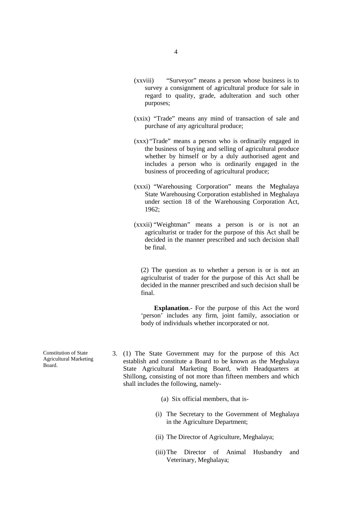- (xxviii) "Surveyor" means a person whose business is to survey a consignment of agricultural produce for sale in regard to quality, grade, adulteration and such other purposes;
- (xxix) "Trade" means any mind of transaction of sale and purchase of any agricultural produce;
- (xxx) "Trade" means a person who is ordinarily engaged in the business of buying and selling of agricultural produce whether by himself or by a duly authorised agent and includes a person who is ordinarily engaged in the business of proceeding of agricultural produce;
- (xxxi) "Warehousing Corporation" means the Meghalaya State Warehousing Corporation established in Meghalaya under section 18 of the Warehousing Corporation Act, 1962;
- (xxxii) "Weightman" means a person is or is not an agriculturist or trader for the purpose of this Act shall be decided in the manner prescribed and such decision shall be final.

(2) The question as to whether a person is or is not an agriculturist of trader for the purpose of this Act shall be decided in the manner prescribed and such decision shall be final.

**Explanation**.- For the purpose of this Act the word 'person' includes any firm, joint family, association or body of individuals whether incorporated or not.

- 3. (1) The State Government may for the purpose of this Act establish and constitute a Board to be known as the Meghalaya State Agricultural Marketing Board, with Headquarters at Shillong, consisting of not more than fifteen members and which shall includes the following, namely-
	- (a) Six official members, that is-
	- (i) The Secretary to the Government of Meghalaya in the Agriculture Department;
	- (ii) The Director of Agriculture, Meghalaya;
	- (iii)The Director of Animal Husbandry and Veterinary, Meghalaya;

Constitution of State Agricultural Marketing Board.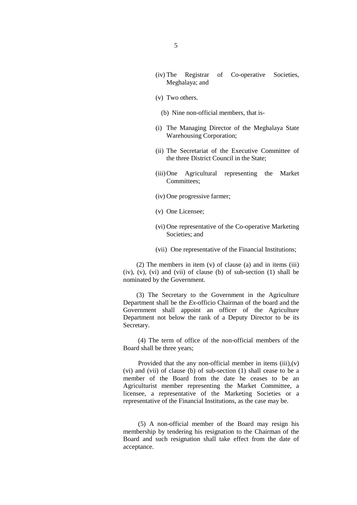- (iv) The Registrar of Co-operative Societies, Meghalaya; and
- (v) Two others.
	- (b) Nine non-official members, that is-
- (i) The Managing Director of the Meghalaya State Warehousing Corporation;
- (ii) The Secretariat of the Executive Committee of the three District Council in the State;
- (iii)One Agricultural representing the Market Committees;
- (iv) One progressive farmer;
- (v) One Licensee;
- (vi) One representative of the Co-operative Marketing Societies; and
- (vii) One representative of the Financial Institutions;

(2) The members in item (v) of clause (a) and in items (iii) (iv), (v), (vi) and (vii) of clause (b) of sub-section (1) shall be nominated by the Government.

(3) The Secretary to the Government in the Agriculture Department shall be the *Ex*-officio Chairman of the board and the Government shall appoint an officer of the Agriculture Department not below the rank of a Deputy Director to be its Secretary.

(4) The term of office of the non-official members of the Board shall be three years;

Provided that the any non-official member in items  $(iii)$ , $(v)$ (vi) and (vii) of clause (b) of sub-section (1) shall cease to be a member of the Board from the date he ceases to be an Agriculturist member representing the Market Committee, a licensee, a representative of the Marketing Societies or a representative of the Financial Institutions, as the case may be.

(5) A non-official member of the Board may resign his membership by tendering his resignation to the Chairman of the Board and such resignation shall take effect from the date of acceptance.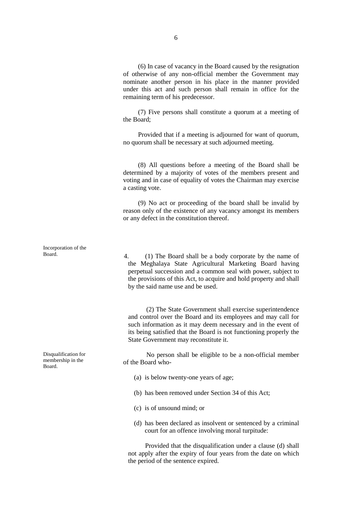(6) In case of vacancy in the Board caused by the resignation of otherwise of any non-official member the Government may nominate another person in his place in the manner provided under this act and such person shall remain in office for the remaining term of his predecessor.

(7) Five persons shall constitute a quorum at a meeting of the Board;

Provided that if a meeting is adjourned for want of quorum, no quorum shall be necessary at such adjourned meeting.

(8) All questions before a meeting of the Board shall be determined by a majority of votes of the members present and voting and in case of equality of votes the Chairman may exercise a casting vote.

(9) No act or proceeding of the board shall be invalid by reason only of the existence of any vacancy amongst its members or any defect in the constitution thereof.

Board. 4. (1) The Board shall be a body corporate by the name of the Meghalaya State Agricultural Marketing Board having perpetual succession and a common seal with power, subject to the provisions of this Act, to acquire and hold property and shall by the said name use and be used.

> (2) The State Government shall exercise superintendence and control over the Board and its employees and may call for such information as it may deem necessary and in the event of its being satisfied that the Board is not functioning properly the State Government may reconstitute it.

No person shall be eligible to be a non-official member of the Board who-

- (a) is below twenty-one years of age;
- (b) has been removed under Section 34 of this Act;
- (c) is of unsound mind; or
- (d) has been declared as insolvent or sentenced by a criminal court for an offence involving moral turpitude:

Provided that the disqualification under a clause (d) shall not apply after the expiry of four years from the date on which the period of the sentence expired.

Incorporation of the

Disqualification for membership in the Board.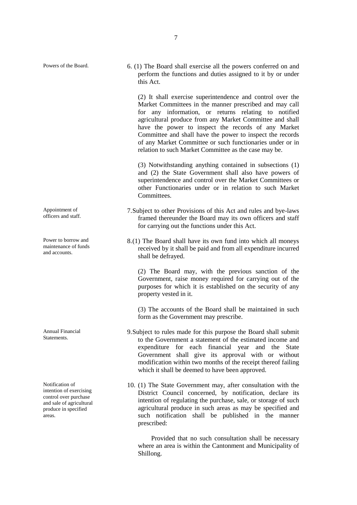Appointment of officers and staff.

Power to borrow and maintenance of funds and accounts.

Annual Financial Statements.

Notification of intention of exercising control over purchase and sale of agricultural produce in specified areas.

(2) It shall exercise superintendence and control over the Market Committees in the manner prescribed and may call for any information, or returns relating to notified agricultural produce from any Market Committee and shall have the power to inspect the records of any Market Committee and shall have the power to inspect the records of any Market Committee or such functionaries under or in relation to such Market Committee as the case may be.

(3) Notwithstanding anything contained in subsections (1) and (2) the State Government shall also have powers of superintendence and control over the Market Committees or other Functionaries under or in relation to such Market Committees.

- 7.Subject to other Provisions of this Act and rules and bye-laws framed thereunder the Board may its own officers and staff for carrying out the functions under this Act.
- 8.(1) The Board shall have its own fund into which all moneys received by it shall be paid and from all expenditure incurred shall be defrayed.

(2) The Board may, with the previous sanction of the Government, raise money required for carrying out of the purposes for which it is established on the security of any property vested in it.

(3) The accounts of the Board shall be maintained in such form as the Government may prescribe.

- 9.Subject to rules made for this purpose the Board shall submit to the Government a statement of the estimated income and expenditure for each financial year and the State Government shall give its approval with or without modification within two months of the receipt thereof failing which it shall be deemed to have been approved.
- 10. (1) The State Government may, after consultation with the District Council concerned, by notification, declare its intention of regulating the purchase, sale, or storage of such agricultural produce in such areas as may be specified and such notification shall be published in the manner prescribed:

Provided that no such consultation shall be necessary where an area is within the Cantonment and Municipality of Shillong.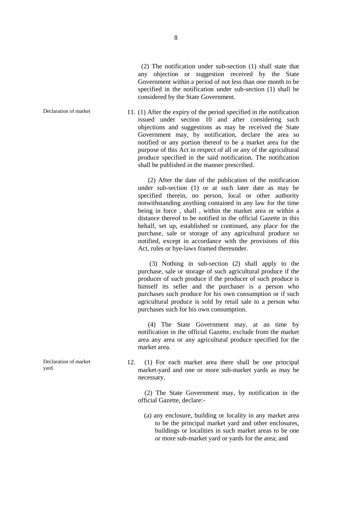(2) The notification under sub-section (1) shall state that any objection or suggestion received by the State Government within a period of not less than one month to be specified in the notification under sub-section (1) shall be considered by the State Government.

Declaration of market 11. (1) After the expiry of the period specified in the notification issued under section 10 and after considering such objections and suggestions as may be received the State Government may, by notification, declare the area so notified or any portion thereof to be a market area for the purpose of this Act in respect of all or any of the agricultural produce specified in the said notification. The notification shall be published in the manner prescribed.

> (2) After the date of the publication of the notification under sub-section (1) or at such later date as may be specified therein, no person, local or other authority notwithstanding anything contained in any law for the time being in force , shall , within the market area or within a distance thereof to be notified in the official Gazette in this behalf, set up, established or continued, any place for the purchase, sale or storage of any agricultural produce so notified, except in accordance with the provisions of this Act, rules or bye-laws framed thereunder.

> (3) Nothing in sub-section (2) shall apply to the purchase, sale or storage of such agricultural produce if the producer of such produce if the producer of such produce is himself its seller and the purchaser is a person who purchases such produce for his own consumption or if such agricultural produce is sold by retail sale to a person who purchases such for his own consumption.

> (4) The State Government may, at an time by notification in the official Gazette, exclude from the market area any area or any agricultural produce specified for the market area.

12. (1) For each market area there shall be one principal market-yard and one or more sub-market yards as may be necessary.

(2) The State Government may, by notification in the official Gazette, declare:-

(a) any enclosure, building or locality in any market area to be the principal market yard and other enclosures, buildings or localities in such market areas to be one or more sub-market yard or yards for the area; and

Declaration of market yard.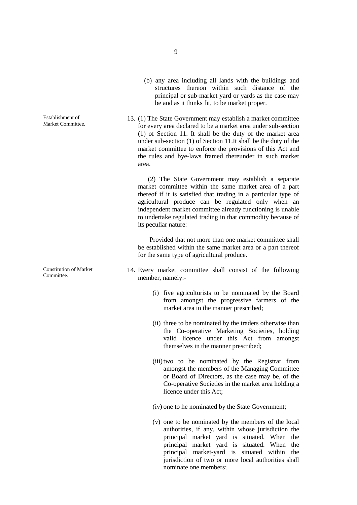Establishment of Market Committee.

Constitution of Market Committee.

- (b) any area including all lands with the buildings and structures thereon within such distance of the principal or sub-market yard or yards as the case may be and as it thinks fit, to be market proper.
- 13. (1) The State Government may establish a market committee for every area declared to be a market area under sub-section (1) of Section 11. It shall be the duty of the market area under sub-section (1) of Section 11.It shall be the duty of the market committee to enforce the provisions of this Act and the rules and bye-laws framed thereunder in such market area.

(2) The State Government may establish a separate market committee within the same market area of a part thereof if it is satisfied that trading in a particular type of agricultural produce can be regulated only when an independent market committee already functioning is unable to undertake regulated trading in that commodity because of its peculiar nature:

Provided that not more than one market committee shall be established within the same market area or a part thereof for the same type of agricultural produce.

- 14. Every market committee shall consist of the following member, namely:-
	- (i) five agriculturists to be nominated by the Board from amongst the progressive farmers of the market area in the manner prescribed;
	- (ii) three to be nominated by the traders otherwise than the Co-operative Marketing Societies, holding valid licence under this Act from amongst themselves in the manner prescribed;
	- (iii)two to be nominated by the Registrar from amongst the members of the Managing Committee or Board of Directors, as the case may be, of the Co-operative Societies in the market area holding a licence under this Act;
	- (iv) one to he nominated by the State Government;
	- (v) one to be nominated by the members of the local authorities, if any, within whose jurisdiction the principal market yard is situated. When the principal market yard is situated. When the principal market-yard is situated within the jurisdiction of two or more local authorities shall nominate one members;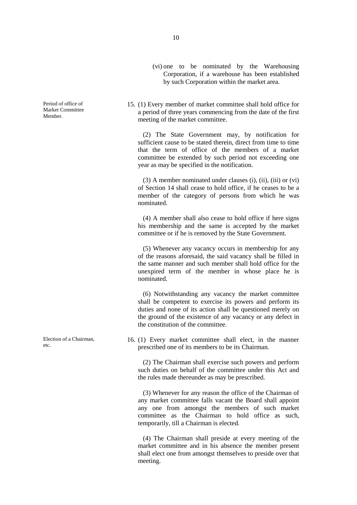Period of office of Market Committee Member.

Election of a Chairman, etc.

Corporation, if a warehouse has been established by such Corporation within the market area.

(vi) one to be nominated by the Warehousing

15. (1) Every member of market committee shall hold office for a period of three years commencing from the date of the first meeting of the market committee.

(2) The State Government may, by notification for sufficient cause to be stated therein, direct from time to time that the term of office of the members of a market committee be extended by such period not exceeding one year as may be specified in the notification.

(3) A member nominated under clauses (i), (ii), (iii) or (vi) of Section 14 shall cease to hold office, if he ceases to be a member of the category of persons from which he was nominated.

(4) A member shall also cease to hold office if here signs his membership and the same is accepted by the market committee or if he is removed by the State Government.

(5) Whenever any vacancy occurs in membership for any of the reasons aforesaid, the said vacancy shall be filled in the same manner and such member shall hold office for the unexpired term of the member in whose place he is nominated.

(6) Notwithstanding any vacancy the market committee shall be competent to exercise its powers and perform its duties and none of its action shall be questioned merely on the ground of the existence of any vacancy or any defect in the constitution of the committee.

16. (1) Every market committee shall elect, in the manner prescribed one of its members to be its Chairman.

(2) The Chairman shall exercise such powers and perform such duties on behalf of the committee under this Act and the rules made thereunder as may be prescribed.

(3) Whenever for any reason the office of the Chairman of any market committee falls vacant the Board shall appoint any one from amongst the members of such market committee as the Chairman to hold office as such, temporarily, till a Chairman is elected.

(4) The Chairman shall preside at every meeting of the market committee and in his absence the member present shall elect one from amongst themselves to preside over that meeting.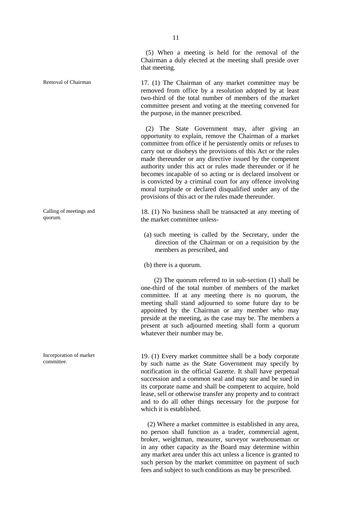Calling of meetings and quorum.

Incorporation of market

(5) When a meeting is held for the removal of the Chairman a duly elected at the meeting shall preside over that meeting.

Removal of Chairman 17. (1) The Chairman of any market committee may be removed from office by a resolution adopted by at least two-third of the total number of members of the market committee present and voting at the meeting convened for the purpose, in the manner prescribed.

> (2) The State Government may, after giving an opportunity to explain, remove the Chairman of a market committee from office if he persistently omits or refuses to carry out or disobeys the provisions of this Act or the rules made thereunder or any directive issued by the competent authority under this act or rules made thereunder or if he becomes incapable of so acting or is declared insolvent or is convicted by a criminal court for any offence involving moral turpitude or declared disqualified under any of the provisions of this act or the rules made thereunder.

> 18. (1) No business shall be transacted at any meeting of the market committee unless-

(a) such meeting is called by the Secretary, under the direction of the Chairman or on a requisition by the members as prescribed, and

(b) there is a quorum.

(2) The quorum referred to in sub-section (1) shall be one-third of the total number of members of the market committee. If at any meeting there is no quorum, the meeting shall stand adjourned to some future day to be appointed by the Chairman or any member who may preside at the meeting, as the case may be. The members a present at such adjourned meeting shall form a quorum whatever their number may be.

Incorporation of market 19. (1) Every market committee shall be a body corporate committee. by such name as the State Government may specify by notification in the official Gazette. It shall have perpetual succession and a common seal and may sue and be sued in its corporate name and shall be competent to acquire, hold lease, sell or otherwise transfer any property and to contract and to do all other things necessary for the purpose for which it is established.

> (2) Where a market committee is established in any area, no person shall function as a trader, commercial agent, broker, weightman, measurer, surveyor warehouseman or in any other capacity as the Board may determine within any market area under this act unless a licence is granted to such person by the market committee on payment of such fees and subject to such conditions as may be prescribed.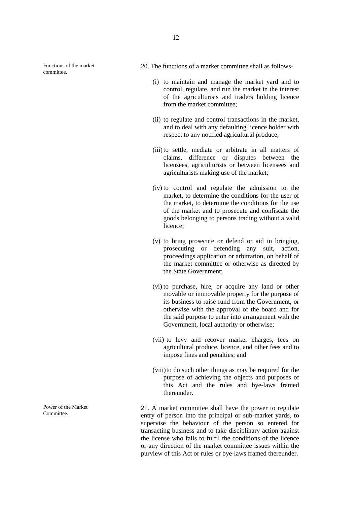Functions of the market committee.

- 20. The functions of a market committee shall as follows-
	- (i) to maintain and manage the market yard and to control, regulate, and run the market in the interest of the agriculturists and traders holding licence from the market committee;
	- (ii) to regulate and control transactions in the market, and to deal with any defaulting licence holder with respect to any notified agricultural produce;
	- (iii)to settle, mediate or arbitrate in all matters of claims, difference or disputes between the licensees, agriculturists or between licensees and agriculturists making use of the market;
	- (iv) to control and regulate the admission to the market, to determine the conditions for the user of the market, to determine the conditions for the use of the market and to prosecute and confiscate the goods belonging to persons trading without a valid licence;
	- (v) to bring prosecute or defend or aid in bringing, prosecuting or defending any suit, action, proceedings application or arbitration, on behalf of the market committee or otherwise as directed by the State Government;
	- (vi) to purchase, hire, or acquire any land or other movable or immovable property for the purpose of its business to raise fund from the Government, or otherwise with the approval of the board and for the said purpose to enter into arrangement with the Government, local authority or otherwise;
	- (vii) to levy and recover marker charges, fees on agricultural produce, licence, and other fees and to impose fines and penalties; and
	- (viii)to do such other things as may be required for the purpose of achieving the objects and purposes of this Act and the rules and bye-laws framed thereunder.

21. A market committee shall have the power to regulate entry of person into the principal or sub-market yards, to supervise the behaviour of the person so entered for transacting business and to take disciplinary action against the license who fails to fulfil the conditions of the licence or any direction of the market committee issues within the purview of this Act or rules or bye-laws framed thereunder.

Power of the Market Committee.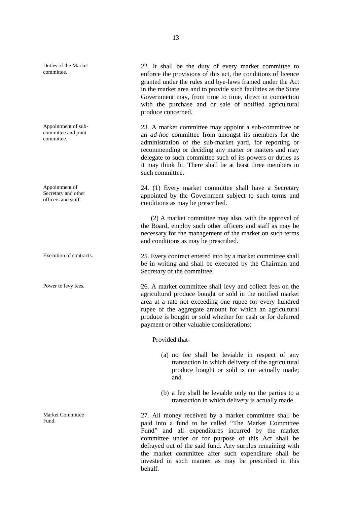Duties of the Market

Appointment of sub committee and joint committee.

Appointment of Secretary and other officers and staff.

Market Committee

Duties of the Market 22. It shall be the duty of every market committee to committee enforce the provisions of this act, the conditions of licence granted under the rules and bye-laws framed under the Act in the market area and to provide such facilities as the State Government may, from time to time, direct in connection with the purchase and or sale of notified agricultural produce concerned.

> 23. A market committee may appoint a sub-committee or an *ad-hoc* committee from amongst its members for the administration of the sub-market yard, for reporting or recommending or deciding any matter or matters and may delegate to such committee such of its powers or duties as it may think fit. There shall be at least three members in such committee.

> 24. (1) Every market committee shall have a Secretary appointed by the Government subject to such terms and conditions as may be prescribed.

> (2) A market committee may also, with the approval of the Board, employ such other officers and staff as may be necessary for the management of the market on such terms and conditions as may be prescribed.

Execution of contracts. 25. Every contract entered into by a market committee shall be in writing and shall be executed by the Chairman and Secretary of the committee.

Power to levy fees. 26. A market committee shall levy and collect fees on the agricultural produce bought or sold in the notified market area at a rate not exceeding one rupee for every hundred rupee of the aggregate amount for which an agricultural produce is bought or sold whether for cash or for deferred payment or other valuable considerations:

Provided that-

- (a) no fee shall be leviable in respect of any transaction in which delivery of the agricultural produce bought or sold is not actually made; and
- (b) a fee shall be leviable only on the parties to a transaction in which delivery is actually made.

Market Committee<br>
Fund. 27. All money received by a market committee shall be<br>
Fund. 27. All money received by a market committee shall be paid into a fund to be called "The Market Committee Fund" and all expenditures incurred by the market committee under or for purpose of this Act shall be defrayed out of the said fund. Any surplus remaining with the market committee after such expenditure shall be invested in such manner as may be prescribed in this behalf.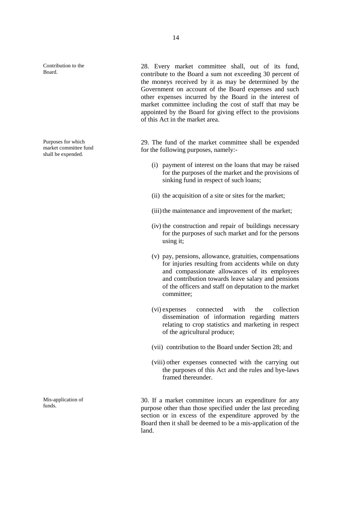Contribution to the

Purposes for which market committee fund shall be expended.

Mis-application of

14

Contribution to the 28. Every market committee shall, out of its fund, Board contribute to the Board a sum not exceeding 30 percent of the moneys received by it as may be determined by the Government on account of the Board expenses and such other expenses incurred by the Board in the interest of market committee including the cost of staff that may be appointed by the Board for giving effect to the provisions of this Act in the market area.

> 29. The fund of the market committee shall be expended for the following purposes, namely:-

- (i) payment of interest on the loans that may be raised for the purposes of the market and the provisions of sinking fund in respect of such loans;
- (ii) the acquisition of a site or sites for the market;
- (iii) the maintenance and improvement of the market;
- (iv) the construction and repair of buildings necessary for the purposes of such market and for the persons using it;
- (v) pay, pensions, allowance, gratuities, compensations for injuries resulting from accidents while on duty and compassionate allowances of its employees and contribution towards leave salary and pensions of the officers and staff on deputation to the market committee;
- (vi) expenses connected with the collection dissemination of information regarding matters relating to crop statistics and marketing in respect of the agricultural produce;
- (vii) contribution to the Board under Section 28; and
- (viii) other expenses connected with the carrying out the purposes of this Act and the rules and bye-laws framed thereunder.

30. If a market committee incurs an expenditure for any purpose other than those specified under the last preceding section or in excess of the expenditure approved by the Board then it shall be deemed to be a mis-application of the land.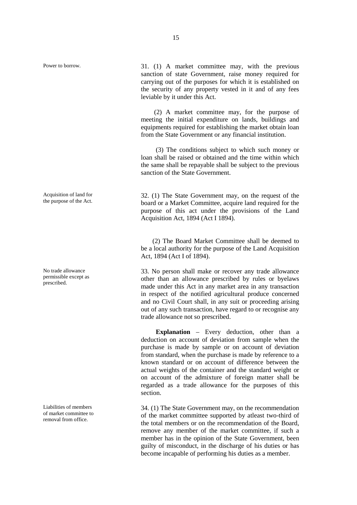Acquisition of land for

No trade allowance permissible except as prescribed.

Liabilities of members of market committee to removal from office.

Power to borrow. 31. (1) A market committee may, with the previous sanction of state Government, raise money required for carrying out of the purposes for which it is established on the security of any property vested in it and of any fees leviable by it under this Act.

> (2) A market committee may, for the purpose of meeting the initial expenditure on lands, buildings and equipments required for establishing the market obtain loan from the State Government or any financial institution.

> (3) The conditions subject to which such money or loan shall be raised or obtained and the time within which the same shall be repayable shall be subject to the previous sanction of the State Government.

> $32.$  (1) The State Government may, on the request of the board or a Market Committee, acquire land required for the purpose of this act under the provisions of the Land Acquisition Act, 1894 (Act I 1894).

> (2) The Board Market Committee shall be deemed to be a local authority for the purpose of the Land Acquisition Act, 1894 (Act I of 1894).

> 33. No person shall make or recover any trade allowance other than an allowance prescribed by rules or byelaws made under this Act in any market area in any transaction in respect of the notified agricultural produce concerned and no Civil Court shall, in any suit or proceeding arising out of any such transaction, have regard to or recognise any trade allowance not so prescribed.

> **Explanation** – Every deduction, other than a deduction on account of deviation from sample when the purchase is made by sample or on account of deviation from standard, when the purchase is made by reference to a known standard or on account of difference between the actual weights of the container and the standard weight or on account of the admixture of foreign matter shall be regarded as a trade allowance for the purposes of this section.

> 34. (1) The State Government may, on the recommendation of the market committee supported by atleast two-third of the total members or on the recommendation of the Board, remove any member of the market committee, if such a member has in the opinion of the State Government, been guilty of misconduct, in the discharge of his duties or has become incapable of performing his duties as a member.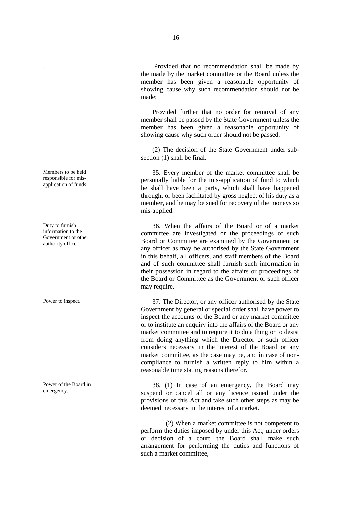. Provided that no recommendation shall be made by the made by the market committee or the Board unless the member has been given a reasonable opportunity of showing cause why such recommendation should not be made;

Provided further that no order for removal of any member shall be passed by the State Government unless the member has been given a reasonable opportunity of showing cause why such order should not be passed.

(2) The decision of the State Government under sub section (1) shall be final.

Members to be held 35. Every member of the market committee shall be<br>
personally liable for the mis-application of fund to which<br>
application of funds. he shall have been a party, which shall have happened through, or been facilitated by gross neglect of his duty as a member, and he may be sued for recovery of the moneys so mis-applied.

> 36. When the affairs of the Board or of a market committee are investigated or the proceedings of such Board or Committee are examined by the Government or any officer as may be authorised by the State Government in this behalf, all officers, and staff members of the Board and of such committee shall furnish such information in their possession in regard to the affairs or proceedings of the Board or Committee as the Government or such officer may require.

Power to inspect. 37. The Director, or any officer authorised by the State Government by general or special order shall have power to inspect the accounts of the Board or any market committee or to institute an enquiry into the affairs of the Board or any market committee and to require it to do a thing or to desist from doing anything which the Director or such officer considers necessary in the interest of the Board or any market committee, as the case may be, and in case of non compliance to furnish a written reply to him within a reasonable time stating reasons therefor.

> 38. (1) In case of an emergency, the Board may suspend or cancel all or any licence issued under the provisions of this Act and take such other steps as may be deemed necessary in the interest of a market.

> (2) When a market committee is not competent to perform the duties imposed by under this Act, under orders or decision of a court, the Board shall make such arrangement for performing the duties and functions of such a market committee,

Members to be held responsible for mis-

Duty to furnish information to the Government or other authority officer.

Power of the Board in emergency.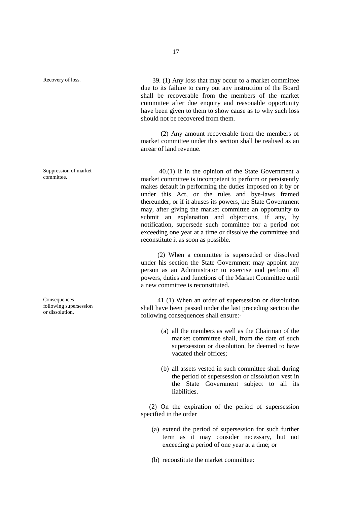Suppression of market committee.

**Consequences** following supersession or dissolution.

Recovery of loss. 39. (1) Any loss that may occur to a market committee due to its failure to carry out any instruction of the Board shall be recoverable from the members of the market committee after due enquiry and reasonable opportunity have been given to them to show cause as to why such loss should not be recovered from them.

> (2) Any amount recoverable from the members of market committee under this section shall be realised as an arrear of land revenue.

> 40.(1) If in the opinion of the State Government a market committee is incompetent to perform or persistently makes default in performing the duties imposed on it by or under this Act, or the rules and bye-laws framed thereunder, or if it abuses its powers, the State Government may, after giving the market committee an opportunity to submit an explanation and objections, if any, by notification, supersede such committee for a period not exceeding one year at a time or dissolve the committee and reconstitute it as soon as possible.

> (2) When a committee is superseded or dissolved under his section the State Government may appoint any person as an Administrator to exercise and perform all powers, duties and functions of the Market Committee until a new committee is reconstituted.

> 41 (1) When an order of supersession or dissolution shall have been passed under the last preceding section the following consequences shall ensure:-

- (a) all the members as well as the Chairman of the market committee shall, from the date of such supersession or dissolution, be deemed to have vacated their offices;
- (b) all assets vested in such committee shall during the period of supersession or dissolution vest in the State Government subject to all its liabilities.

(2) On the expiration of the period of supersession specified in the order

- (a) extend the period of supersession for such further term as it may consider necessary, but not exceeding a period of one year at a time; or
- (b) reconstitute the market committee: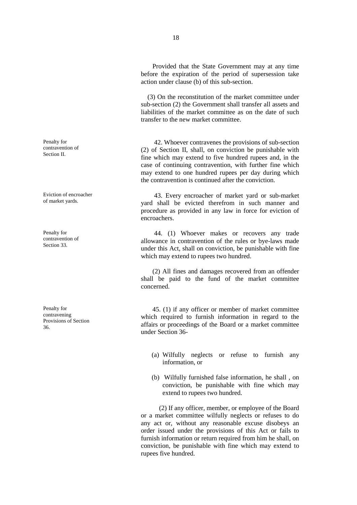Provided that the State Government may at any time before the expiration of the period of supersession take action under clause (b) of this sub-section.

(3) On the reconstitution of the market committee under sub-section (2) the Government shall transfer all assets and liabilities of the market committee as on the date of such transfer to the new market committee.

42. Whoever contravenes the provisions of sub-section (2) of Section II, shall, on conviction be punishable with fine which may extend to five hundred rupees and, in the case of continuing contravention, with further fine which may extend to one hundred rupees per day during which the contravention is continued after the conviction.

Eviction of encroacher **43.** Every encroacher of market yard or sub-market of market yards. yard shall be evicted therefrom in such manner and procedure as provided in any law in force for eviction of encroachers.

> 44. (1) Whoever makes or recovers any trade allowance in contravention of the rules or bye-laws made under this Act, shall on conviction, be punishable with fine which may extend to rupees two hundred.

> (2) All fines and damages recovered from an offender shall be paid to the fund of the market committee concerned.

> 45. (1) if any officer or member of market committee which required to furnish information in regard to the affairs or proceedings of the Board or a market committee under Section 36-

- (a) Wilfully neglects or refuse to furnish any information, or
- (b) Wilfully furnished false information, he shall , on conviction, be punishable with fine which may extend to rupees two hundred.

(2) If any officer, member, or employee of the Board or a market committee wilfully neglects or refuses to do any act or, without any reasonable excuse disobeys an order issued under the provisions of this Act or fails to furnish information or return required from him he shall, on conviction, be punishable with fine which may extend to rupees five hundred.

Penalty for contravention of Section II.

Eviction of encroacher

Penalty for contravention of Section 33.

Penalty for contravening Provisions of Section 36.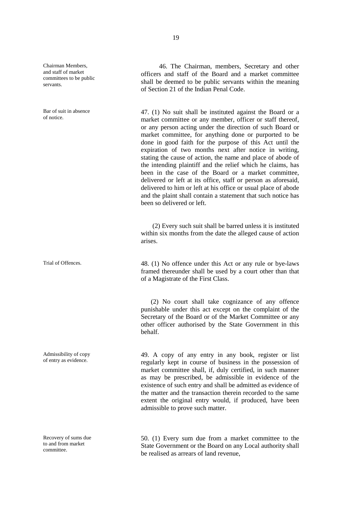Chairman Members, and staff of market committees to be public servants.

Bar of suit in absence of notice.

Admissibility of copy of entry as evidence.

Recovery of sums due to and from market committee.

46. The Chairman, members, Secretary and other officers and staff of the Board and a market committee shall be deemed to be public servants within the meaning of Section 21 of the Indian Penal Code.

47. (1) No suit shall be instituted against the Board or a market committee or any member, officer or staff thereof, or any person acting under the direction of such Board or market committee, for anything done or purported to be done in good faith for the purpose of this Act until the expiration of two months next after notice in writing, stating the cause of action, the name and place of abode of the intending plaintiff and the relief which he claims, has been in the case of the Board or a market committee, delivered or left at its office, staff or person as aforesaid, delivered to him or left at his office or usual place of abode and the plaint shall contain a statement that such notice has been so delivered or left.

(2) Every such suit shall be barred unless it is instituted within six months from the date the alleged cause of action arises.

Trial of Offences. 48. (1) No offence under this Act or any rule or bye-laws framed thereunder shall be used by a court other than that of a Magistrate of the First Class.

> (2) No court shall take cognizance of any offence punishable under this act except on the complaint of the Secretary of the Board or of the Market Committee or any other officer authorised by the State Government in this behalf.

> 49. A copy of any entry in any book, register or list regularly kept in course of business in the possession of market committee shall, if, duly certified, in such manner as may be prescribed, be admissible in evidence of the existence of such entry and shall be admitted as evidence of the matter and the transaction therein recorded to the same extent the original entry would, if produced, have been admissible to prove such matter.

> 50. (1) Every sum due from a market committee to the State Government or the Board on any Local authority shall be realised as arrears of land revenue,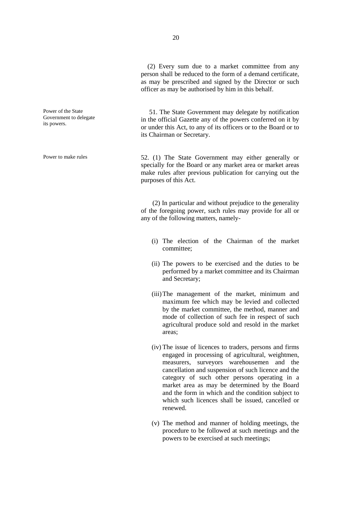(2) Every sum due to a market committee from any person shall be reduced to the form of a demand certificate, as may be prescribed and signed by the Director or such officer as may be authorised by him in this behalf.

51. The State Government may delegate by notification in the official Gazette any of the powers conferred on it by or under this Act, to any of its officers or to the Board or to its Chairman or Secretary.

Power to make rules 52. (1) The State Government may either generally or specially for the Board or any market area or market areas make rules after previous publication for carrying out the purposes of this Act.

> (2) In particular and without prejudice to the generality of the foregoing power, such rules may provide for all or any of the following matters, namely-

- (i) The election of the Chairman of the market committee;
- (ii) The powers to be exercised and the duties to be performed by a market committee and its Chairman and Secretary;
- (iii)The management of the market, minimum and maximum fee which may be levied and collected by the market committee, the method, manner and mode of collection of such fee in respect of such agricultural produce sold and resold in the market areas;
- (iv) The issue of licences to traders, persons and firms engaged in processing of agricultural, weightmen, measurers, surveyors warehousemen and the cancellation and suspension of such licence and the category of such other persons operating in a market area as may be determined by the Board and the form in which and the condition subject to which such licences shall be issued, cancelled or renewed.
- (v) The method and manner of holding meetings, the procedure to be followed at such meetings and the powers to be exercised at such meetings;

Power of the State Government to delegate its powers.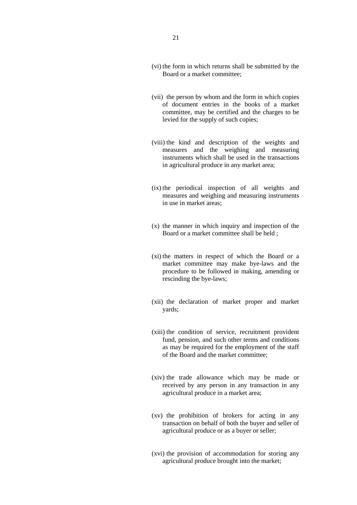- (vi) the form in which returns shall be submitted by the Board or a market committee;
- (vii) the person by whom and the form in which copies of document entries in the books of a market committee, may be certified and the charges to be levied for the supply of such copies;
- (viii) the kind and description of the weights and measures and the weighing and measuring instruments which shall be used in the transactions in agricultural produce in any market area;
- (ix) the periodical inspection of all weights and measures and weighing and measuring instruments in use in market areas;
- (x) the manner in which inquiry and inspection of the Board or a market committee shall be held ;
- (xi) the matters in respect of which the Board or a market committee may make bye-laws and the procedure to be followed in making, amending or rescinding the bye-laws;
- (xii) the declaration of market proper and market yards;
- (xiii) the condition of service, recruitment provident fund, pension, and such other terms and conditions as may be required for the employment of the staff of the Board and the market committee;
- (xiv) the trade allowance which may be made or received by any person in any transaction in any agricultural produce in a market area;
- (xv) the prohibition of brokers for acting in any transaction on behalf of both the buyer and seller of agricultural produce or as a buyer or seller;
- (xvi) the provision of accommodation for storing any agricultural produce brought into the market;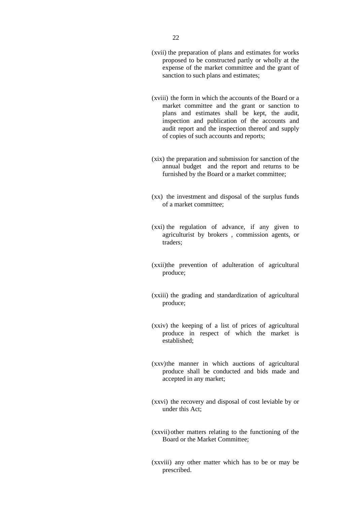- (xvii) the preparation of plans and estimates for works proposed to be constructed partly or wholly at the expense of the market committee and the grant of sanction to such plans and estimates;
- (xviii) the form in which the accounts of the Board or a market committee and the grant or sanction to plans and estimates shall be kept, the audit, inspection and publication of the accounts and audit report and the inspection thereof and supply of copies of such accounts and reports;
- (xix) the preparation and submission for sanction of the annual budget and the report and returns to be furnished by the Board or a market committee;
- (xx) the investment and disposal of the surplus funds of a market committee;
- (xxi) the regulation of advance, if any given to agriculturist by brokers , commission agents, or traders;
- (xxii)the prevention of adulteration of agricultural produce;
- (xxiii) the grading and standardization of agricultural produce;
- (xxiv) the keeping of a list of prices of agricultural produce in respect of which the market is established;
- (xxv)the manner in which auctions of agricultural produce shall be conducted and bids made and accepted in any market;
- (xxvi) the recovery and disposal of cost leviable by or under this Act;
- (xxvii) other matters relating to the functioning of the Board or the Market Committee;
- (xxviii) any other matter which has to be or may be prescribed.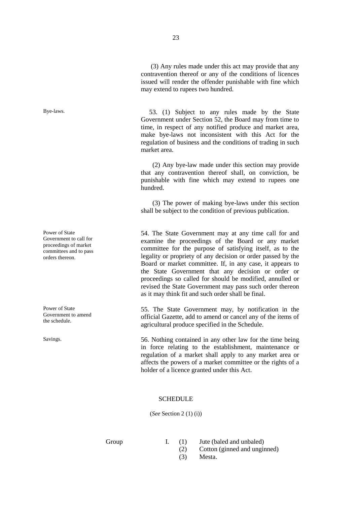(3) Any rules made under this act may provide that any contravention thereof or any of the conditions of licences issued will render the offender punishable with fine which may extend to rupees two hundred.

Bye-laws. 53. (1) Subject to any rules made by the State Government under Section 52, the Board may from time to time, in respect of any notified produce and market area, make bye-laws not inconsistent with this Act for the regulation of business and the conditions of trading in such market area.

> (2) Any bye-law made under this section may provide that any contravention thereof shall, on conviction, be punishable with fine which may extend to rupees one hundred.

> (3) The power of making bye-laws under this section shall be subject to the condition of previous publication.

> 54. The State Government may at any time call for and examine the proceedings of the Board or any market committee for the purpose of satisfying itself, as to the legality or propriety of any decision or order passed by the Board or market committee. If, in any case, it appears to the State Government that any decision or order or proceedings so called for should be modified, annulled or revised the State Government may pass such order thereon as it may think fit and such order shall be final.

> 55. The State Government may, by notification in the official Gazette, add to amend or cancel any of the items of agricultural produce specified in the Schedule.

Savings. 56. Nothing contained in any other law for the time being in force relating to the establishment, maintenance or regulation of a market shall apply to any market area or affects the powers of a market committee or the rights of a holder of a licence granted under this Act.

#### **SCHEDULE**

(*See* Section 2 (1) (i))

Power of State Government to call for proceedings of market committees and to pass orders thereon.

Power of State Government to amend the schedule.

- Group I. (1) Jute (baled and unbaled)
	- (2) Cotton (ginned and unginned)
	- (3) Mesta.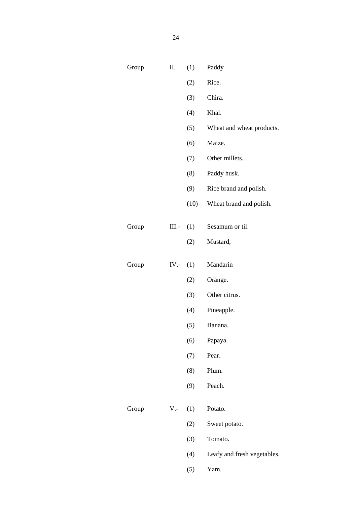| Group | Π.         | (1)          | Paddy                       |
|-------|------------|--------------|-----------------------------|
|       |            | (2)          | Rice.                       |
|       |            | (3)          | Chira.                      |
|       |            | (4)          | Khal.                       |
|       |            | (5)          | Wheat and wheat products.   |
|       |            | (6)          | Maize.                      |
|       |            | (7)          | Other millets.              |
|       |            | (8)          | Paddy husk.                 |
|       |            | (9)          | Rice brand and polish.      |
|       |            | (10)         | Wheat brand and polish.     |
|       |            |              |                             |
| Group |            | $III. - (1)$ | Sesamum or til.             |
|       |            | (2)          | Mustard,                    |
| Group | IV.- $(1)$ |              | Mandarin                    |
|       |            | (2)          | Orange.                     |
|       |            | (3)          | Other citrus.               |
|       |            | (4)          | Pineapple.                  |
|       |            | (5)          | Banana.                     |
|       |            | (6)          | Papaya.                     |
|       |            | (7)          | Pear.                       |
|       |            | (8)          | Plum.                       |
|       |            | (9)          | Peach.                      |
| Group | $V -$      | (1)          | Potato.                     |
|       |            |              |                             |
|       |            | (2)          | Sweet potato.               |
|       |            | (3)          | Tomato.                     |
|       |            | (4)          | Leafy and fresh vegetables. |

(5) Yam.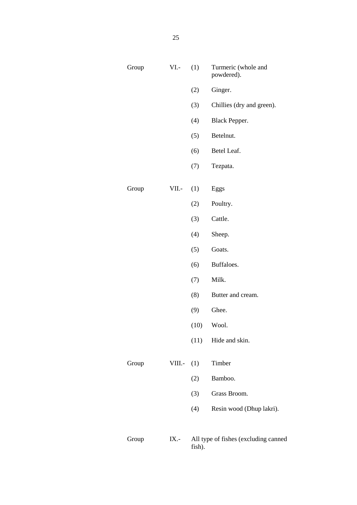| Group | $VI.$ -      | (1)  | Turmeric (whole and<br>powdered).    |
|-------|--------------|------|--------------------------------------|
|       |              | (2)  | Ginger.                              |
|       |              | (3)  | Chillies (dry and green).            |
|       |              | (4)  | Black Pepper.                        |
|       |              | (5)  | Betelnut.                            |
|       |              | (6)  | Betel Leaf.                          |
|       |              | (7)  | Tezpata.                             |
| Group | VII.-        | (1)  | Eggs                                 |
|       |              | (2)  | Poultry.                             |
|       |              | (3)  | Cattle.                              |
|       |              | (4)  | Sheep.                               |
|       |              | (5)  | Goats.                               |
|       |              | (6)  | Buffaloes.                           |
|       |              | (7)  | Milk.                                |
|       |              | (8)  | Butter and cream.                    |
|       |              | (9)  | Ghee.                                |
|       |              | (10) | Wool.                                |
|       |              |      | $(11)$ Hide and skin.                |
| Group | VIII.- $(1)$ |      | Timber                               |
|       |              | (2)  | Bamboo.                              |
|       |              | (3)  | Grass Broom.                         |
|       |              | (4)  | Resin wood (Dhup lakri).             |
| Group | IX.-         |      | All type of fishes (excluding canned |

fish).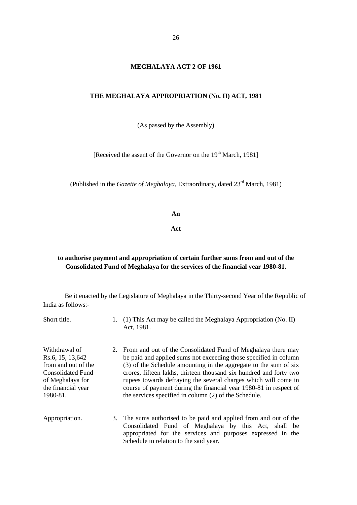#### **MEGHALAYA ACT 2 OF 1961**

#### **THE MEGHALAYA APPROPRIATION (No. II) ACT, 1981**

(As passed by the Assembly)

[Received the assent of the Governor on the 19<sup>th</sup> March, 1981]

(Published in the *Gazette of Meghalaya*, Extraordinary, dated 23rd March, 1981)

**An**

**Act**

#### **to authorise payment and appropriation of certain further sums from and out of the Consolidated Fund of Meghalaya for the services of the financial year 1980-81.**

Be it enacted by the Legislature of Meghalaya in the Thirty-second Year of the Republic of India as follows:-

Short title. 1. (1) This Act may be called the Meghalaya Appropriation (No. II) Act, 1981.

Withdrawal of Rs.6, 15, 13,642 from and out of the Consolidated Fund of Meghalaya for the financial year 1980-81.

- 2. From and out of the Consolidated Fund of Meghalaya there may be paid and applied sums not exceeding those specified in column (3) of the Schedule amounting in the aggregate to the sum of six crores, fifteen lakhs, thirteen thousand six hundred and forty two rupees towards defraying the several charges which will come in course of payment during the financial year 1980-81 in respect of the services specified in column (2) of the Schedule.
- Appropriation. 3. The sums authorised to be paid and applied from and out of the Consolidated Fund of Meghalaya by this Act, shall be appropriated for the services and purposes expressed in the Schedule in relation to the said year.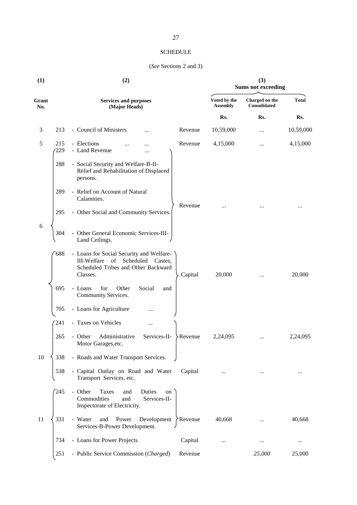#### SCHEDULE

#### (*See* Sections 2 and 3)

| (1)          | (2)        |                                                                                                                                                            |                                 | (3)<br><b>Sums not exceeding</b>      |              |  |
|--------------|------------|------------------------------------------------------------------------------------------------------------------------------------------------------------|---------------------------------|---------------------------------------|--------------|--|
| Grant<br>No. |            | <b>Services and purposes</b><br>(Major Heads)                                                                                                              | Voted by the<br><b>Assembly</b> | Charged on the<br><b>Consolidated</b> | <b>Total</b> |  |
|              |            |                                                                                                                                                            | Rs.                             | Rs.                                   | Rs.          |  |
| 3            | 213        | - Council of Ministers<br>Revenue                                                                                                                          | 10,59,000                       | $\ddotsc$                             | 10,59,000    |  |
| 5            | 215<br>229 | - Elections<br>Revenue<br>.<br>- Land Revenue<br>.                                                                                                         | 4,15,000                        |                                       | 4,15,000     |  |
|              | 288        | - Social Security and Welfare-B-II-<br>Relief and Rehabilitation of Displaced<br>persons.                                                                  |                                 |                                       |              |  |
|              | 289        | - Relief on Account of Natural<br>Calamities.                                                                                                              |                                 |                                       |              |  |
|              | 295        | Revenue<br>- Other Social and Community Services.                                                                                                          |                                 |                                       |              |  |
| 6            | 304        | - Other General Economic Services-III-<br>Land Ceilings.                                                                                                   |                                 |                                       |              |  |
|              | 688        | - Loans for Social Security and Welfare-<br><b>III-Welfare</b><br>Scheduled<br>of<br>Castes,<br>Scheduled Tribes and Other Backward<br>Capital<br>Classes. | 20,000                          |                                       | 20,000       |  |
|              | 695        | for<br>Other<br>Social<br>- Loans<br>and<br>Community Services.                                                                                            |                                 |                                       |              |  |
|              | 705        | - Loans for Agriculture<br>                                                                                                                                |                                 |                                       |              |  |
|              | 241        | - Taxes on Vehicles<br>                                                                                                                                    |                                 |                                       |              |  |
|              | 265        | - Other<br>Administrative<br>Services-II-<br>Revenue<br>Motor Garages, etc.                                                                                | 2,24,095                        |                                       | 2,24,095     |  |
| 10           | 338        | - Roads and Water Transport Services.                                                                                                                      |                                 |                                       |              |  |
|              | 538        | - Capital Outlay on Road and Water<br>Capital<br>Transport Services, etc.                                                                                  | $\cdots$                        |                                       | $\cdots$     |  |
|              | 245        | - Other<br>Taxes<br>Duties<br>and<br>on<br>Commodities<br>Services-II-<br>and<br>Inspectorate of Electricity.                                              |                                 |                                       |              |  |
| 11           | 331        | - Water<br>Power<br>Development $\sum$ Revenue<br>and<br>Services-B-Power Development.                                                                     | 40,668                          |                                       | 40,668       |  |
|              | 734        | - Loans for Power Projects<br>Capital                                                                                                                      | $\cdots$                        |                                       | $\cdots$     |  |
|              | 251        | - Public Service Commission (Charged)<br>Revenue                                                                                                           |                                 | 25,000                                | 25,000       |  |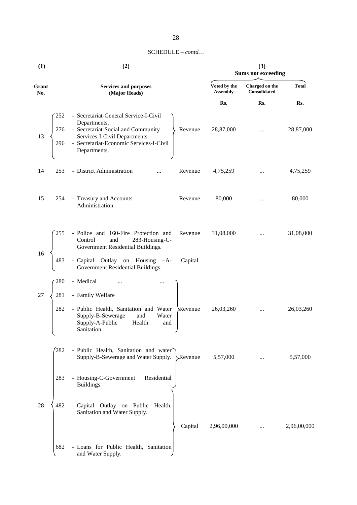| $SCHEDULE - contd$ |  |
|--------------------|--|
|--------------------|--|

| (1)          |                   | (2)                                                                                                                                                                                                | (3)<br><b>Sums not exceeding</b> |                                |              |  |  |  |
|--------------|-------------------|----------------------------------------------------------------------------------------------------------------------------------------------------------------------------------------------------|----------------------------------|--------------------------------|--------------|--|--|--|
| Grant<br>No. |                   | <b>Services and purposes</b><br>(Major Heads)                                                                                                                                                      | Voted by the<br><b>Assembly</b>  | Charged on the<br>Consolidated | <b>Total</b> |  |  |  |
|              |                   |                                                                                                                                                                                                    | Rs.                              | Rs.                            | Rs.          |  |  |  |
| 13           | 252<br>276<br>296 | - Secretariat-General Service-I-Civil<br>Departments.<br>- Secretariat-Social and Community<br>Revenue<br>Services-I-Civil Departments.<br>- Secretariat-Economic Services-I-Civil<br>Departments. | 28,87,000                        | $\cdots$                       | 28,87,000    |  |  |  |
| 14           | 253               | - District Administration<br>Revenue<br>$\ddotsc$                                                                                                                                                  | 4,75,259                         | $\cdots$                       | 4,75,259     |  |  |  |
| 15           | 254               | - Treasury and Accounts<br>Revenue<br>Administration.                                                                                                                                              | 80,000                           | $\cdots$                       | 80,000       |  |  |  |
| 16           | 255               | - Police and 160-Fire Protection and<br>Revenue<br>and<br>Control<br>283-Housing-C-<br>Government Residential Buildings.                                                                           | 31,08,000                        |                                | 31,08,000    |  |  |  |
|              | 483               | - Capital Outlay on Housing -A-<br>Capital<br>Government Residential Buildings.                                                                                                                    |                                  |                                |              |  |  |  |
|              | 280               | - Medical                                                                                                                                                                                          |                                  |                                |              |  |  |  |
| 27           | 281<br>282<br>↖   | - Family Welfare<br>- Public Health, Sanitation and Water<br>Revenue<br>Supply-B-Sewerage<br>and<br>Water<br>Supply-A-Public<br>Health<br>and<br>Sanitation.                                       | 26,03,260                        | $\cdots$                       | 26,03,260    |  |  |  |
|              | 282               | - Public Health, Sanitation and water<br>Supply-B-Sewerage and Water Supply.<br>Revenue                                                                                                            | 5,57,000                         |                                | 5,57,000     |  |  |  |
|              | 283               | - Housing-C-Government<br>Residential<br>Buildings.                                                                                                                                                |                                  |                                |              |  |  |  |
| 28           | 482               | - Capital Outlay on Public<br>Health,<br>Sanitation and Water Supply.<br>Capital                                                                                                                   | 2,96,00,000                      |                                | 2,96,00,000  |  |  |  |
|              | 682               | - Loans for Public Health, Sanitation<br>and Water Supply.                                                                                                                                         |                                  |                                |              |  |  |  |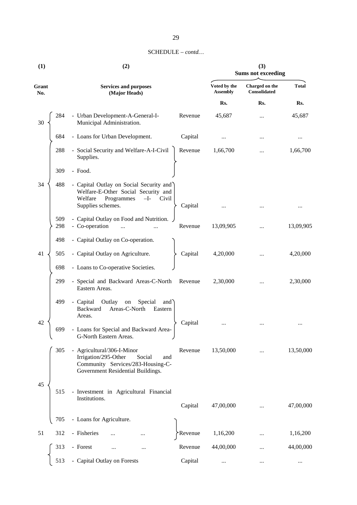#### SCHEDULE –*contd…*

| (1)          | (2)                                                                                                                                            |                                 | (3)<br><b>Sums not exceeding</b> |              |  |
|--------------|------------------------------------------------------------------------------------------------------------------------------------------------|---------------------------------|----------------------------------|--------------|--|
| Grant<br>No. | <b>Services and purposes</b><br>(Major Heads)                                                                                                  | Voted by the<br><b>Assembly</b> | Charged on the<br>Consolidated   | <b>Total</b> |  |
|              |                                                                                                                                                | Rs.                             | Rs.                              | Rs.          |  |
| 284<br>30    | - Urban Development-A-General-I-<br>Municipal Administration.                                                                                  | Revenue<br>45,687               |                                  | 45,687       |  |
| 684          | - Loans for Urban Development.                                                                                                                 | Capital<br>                     |                                  | $\cdots$     |  |
| 288          | - Social Security and Welfare-A-I-Civil<br>Supplies.                                                                                           | Revenue<br>1,66,700             |                                  | 1,66,700     |  |
| 309          | - Food.                                                                                                                                        |                                 |                                  |              |  |
| 34<br>488    | - Capital Outlay on Social Security and<br>Welfare-E-Other Social Security and<br>Welfare<br>Programmes<br>$-I-$<br>Civil<br>Supplies schemes. | Capital                         |                                  |              |  |
| 509<br>298   | - Capital Outlay on Food and Nutrition.<br>- Co-operation                                                                                      | 13,09,905<br>Revenue            |                                  | 13,09,905    |  |
| 498          | - Capital Outlay on Co-operation.                                                                                                              |                                 |                                  |              |  |
| 41<br>505    | - Capital Outlay on Agriculture.                                                                                                               | Capital<br>4,20,000             |                                  | 4,20,000     |  |
| 698          | - Loans to Co-operative Societies.                                                                                                             |                                 |                                  |              |  |
| 299          | - Special and Backward Areas-C-North<br>Eastern Areas.                                                                                         | 2,30,000<br>Revenue             |                                  | 2,30,000     |  |
| 499<br>42    | - Capital<br>Outlay<br>${\rm on}$<br>Special<br>and<br>Areas-C-North<br>Backward<br>Eastern<br>Areas.                                          | Capital                         |                                  |              |  |
| 699          | - Loans for Special and Backward Area-<br>G-North Eastern Areas.                                                                               |                                 |                                  |              |  |
| 305          | - Agricultural/306-I-Minor<br>Irrigation/295-Other<br>Social<br>and<br>Community Services/283-Housing-C-<br>Government Residential Buildings.  | 13,50,000<br>Revenue            |                                  | 13,50,000    |  |
| 45<br>515    | - Investment in Agricultural Financial<br>Institutions.                                                                                        | Capital<br>47,00,000            |                                  | 47,00,000    |  |
| 705          | - Loans for Agriculture.                                                                                                                       |                                 |                                  |              |  |
| 312<br>51    | - Fisheries                                                                                                                                    | 1,16,200<br>Revenue             |                                  | 1,16,200     |  |
| 313          | - Forest                                                                                                                                       | Revenue<br>44,00,000            |                                  | 44,00,000    |  |
|              |                                                                                                                                                |                                 |                                  |              |  |
| 513          | - Capital Outlay on Forests                                                                                                                    | Capital<br>$\cdots$             |                                  | $\ldots$     |  |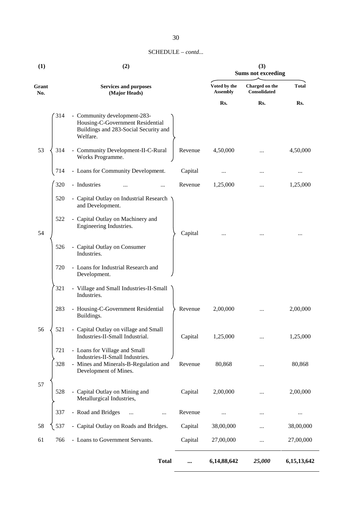#### SCHEDULE –*contd...*

| (1)          | (2)        |                                                                                                                                    |          | (3)<br><b>Sums not exceeding</b> |                                |              |
|--------------|------------|------------------------------------------------------------------------------------------------------------------------------------|----------|----------------------------------|--------------------------------|--------------|
| Grant<br>No. |            | <b>Services and purposes</b><br>(Major Heads)                                                                                      |          | Voted by the<br><b>Assembly</b>  | Charged on the<br>Consolidated | <b>Total</b> |
|              |            |                                                                                                                                    |          | Rs.                              | Rs.                            | Rs.          |
|              | 314        | - Community development-283-<br>Housing-C-Government Residential<br>Buildings and 283-Social Security and<br>Welfare.              |          |                                  |                                |              |
| 53           | 314        | - Community Development-II-C-Rural<br>Works Programme.                                                                             | Revenue  | 4,50,000                         |                                | 4,50,000     |
|              | 714        | - Loans for Community Development.                                                                                                 | Capital  |                                  |                                |              |
|              | 320        | - Industries<br>$\cdot \cdot$                                                                                                      | Revenue  | 1,25,000                         |                                | 1,25,000     |
|              | 520        | - Capital Outlay on Industrial Research<br>and Development.                                                                        |          |                                  |                                |              |
| 54           | 522        | - Capital Outlay on Machinery and<br>Engineering Industries.                                                                       | Capital  |                                  |                                |              |
|              | 526        | - Capital Outlay on Consumer<br>Industries.                                                                                        |          |                                  |                                |              |
|              | 720        | - Loans for Industrial Research and<br>Development.                                                                                |          |                                  |                                |              |
|              | 321        | - Village and Small Industries-II-Small<br>Industries.                                                                             |          |                                  |                                |              |
|              | 283        | - Housing-C-Government Residential<br>Buildings.                                                                                   | Revenue  | 2,00,000                         |                                | 2,00,000     |
| 56           | 521        | - Capital Outlay on village and Small<br>Industries-II-Small Industrial.                                                           | Capital  | 1,25,000                         |                                | 1,25,000     |
|              | 721<br>328 | - Loans for Village and Small<br>Industries-II-Small Industries.<br>- Mines and Minerals-B-Regulation and<br>Development of Mines. | Revenue  | 80,868                           |                                | 80,868       |
| 57           | 528        | - Capital Outlay on Mining and<br>Metallurgical Industries,                                                                        | Capital  | 2,00,000                         |                                | 2,00,000     |
|              | 337        | - Road and Bridges<br>                                                                                                             | Revenue  |                                  |                                |              |
| 58           | 537        | - Capital Outlay on Roads and Bridges.                                                                                             | Capital  | 38,00,000                        |                                | 38,00,000    |
| 61           | 766        | - Loans to Government Servants.                                                                                                    | Capital  | 27,00,000                        |                                | 27,00,000    |
|              |            | <b>Total</b>                                                                                                                       | $\cdots$ | 6,14,88,642                      | 25,000                         | 6,15,13,642  |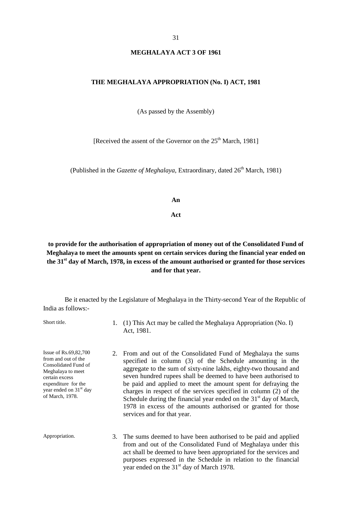#### **MEGHALAYA ACT 3 OF 1961**

#### **THE MEGHALAYA APPROPRIATION (No. I) ACT, 1981**

(As passed by the Assembly)

[Received the assent of the Governor on the  $25<sup>th</sup>$  March, 1981]

(Published in the *Gazette of Meghalaya*, Extraordinary, dated 26<sup>th</sup> March, 1981)

#### **An**

#### **Act**

#### **to provide for the authorisation of appropriation of money out of the Consolidated Fund of Meghalaya to meet the amounts spent on certain services during the financial year ended on the 31st day of March, 1978, in excess of the amount authorised or granted for those services and for that year.**

Be it enacted by the Legislature of Meghalaya in the Thirty-second Year of the Republic of India as follows:-

Short title. 1. (1) This Act may be called the Meghalaya Appropriation (No. I) Act, 1981.

Issue of Rs.69,82,700 from and out of the Consolidated Fund of Meghalaya to meet certain excess expenditure for the year ended on 31<sup>st</sup> day of March, 1978.

- 2. From and out of the Consolidated Fund of Meghalaya the sums specified in column (3) of the Schedule amounting in the aggregate to the sum of sixty-nine lakhs, eighty-two thousand and seven hundred rupees shall be deemed to have been authorised to be paid and applied to meet the amount spent for defraying the charges in respect of the services specified in column (2) of the Schedule during the financial year ended on the  $31<sup>st</sup>$  day of March, 1978 in excess of the amounts authorised or granted for those services and for that year.
- Appropriation. 3. The sums deemed to have been authorised to be paid and applied from and out of the Consolidated Fund of Meghalaya under this act shall be deemed to have been appropriated for the services and purposes expressed in the Schedule in relation to the financial year ended on the  $31<sup>st</sup>$  day of March 1978.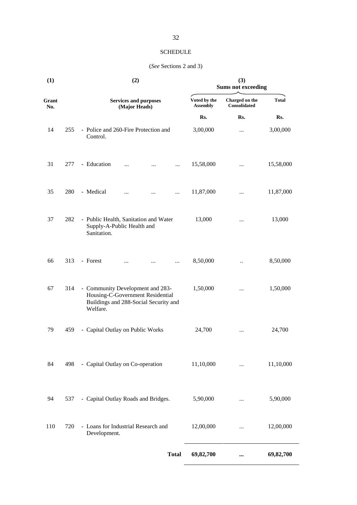#### SCHEDULE

#### (*See* Sections 2 and 3)

| (1)          |     | (2)                                                                                                                       |                                 | (3)<br><b>Sums not exceeding</b>      |              |
|--------------|-----|---------------------------------------------------------------------------------------------------------------------------|---------------------------------|---------------------------------------|--------------|
| Grant<br>No. |     | <b>Services and purposes</b><br>(Major Heads)                                                                             | Voted by the<br><b>Assembly</b> | Charged on the<br><b>Consolidated</b> | <b>Total</b> |
|              |     |                                                                                                                           | Rs.                             | Rs.                                   | Rs.          |
| 14           | 255 | - Police and 260-Fire Protection and<br>Control.                                                                          | 3,00,000                        |                                       | 3,00,000     |
| 31           | 277 | - Education<br>$\ddotsc$<br>$\cdots$<br>$\ddotsc$                                                                         | 15,58,000                       |                                       | 15,58,000    |
| 35           | 280 | - Medical<br>$\cdots$<br>$\cdots$<br>                                                                                     | 11,87,000                       | $\cdots$                              | 11,87,000    |
| 37           | 282 | - Public Health, Sanitation and Water<br>Supply-A-Public Health and<br>Sanitation.                                        | 13,000                          |                                       | 13,000       |
| 66           | 313 | - Forest<br>$\cdots$<br>                                                                                                  | 8,50,000                        |                                       | 8,50,000     |
| 67           | 314 | - Community Development and 283-<br>Housing-C-Government Residential<br>Buildings and 288-Social Security and<br>Welfare. | 1,50,000                        |                                       | 1,50,000     |
| 79           | 459 | - Capital Outlay on Public Works                                                                                          | 24,700                          | $\cdots$                              | 24,700       |
| 84           | 498 | - Capital Outlay on Co-operation                                                                                          | 11,10,000                       |                                       | 11,10,000    |
| 94           | 537 | - Capital Outlay Roads and Bridges.                                                                                       | 5,90,000                        |                                       | 5,90,000     |
| 110          | 720 | - Loans for Industrial Research and<br>Development.                                                                       | 12,00,000                       |                                       | 12,00,000    |
|              |     | <b>Total</b>                                                                                                              | 69,82,700                       |                                       | 69,82,700    |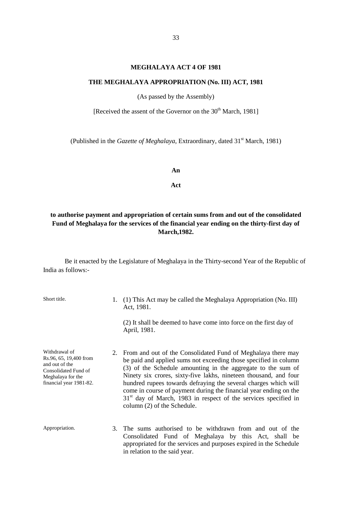#### **MEGHALAYA ACT 4 OF 1981**

#### **THE MEGHALAYA APPROPRIATION (No. III) ACT, 1981**

(As passed by the Assembly)

[Received the assent of the Governor on the 30<sup>th</sup> March, 1981]

(Published in the *Gazette of Meghalaya*, Extraordinary, dated 31<sup>st</sup> March, 1981)

**An**

**Act**

#### **to authorise payment and appropriation of certain sums from and out of the consolidated Fund of Meghalaya for the services of the financial year ending on the thirty-first day of March,1982.**

Be it enacted by the Legislature of Meghalaya in the Thirty-second Year of the Republic of India as follows:-

| Short title.                                                                                                                      |    | $(1)$ This Act may be called the Meghalaya Appropriation (No. III)<br>Act, 1981.                                                                                                                                                                                                                                                                                                                                                                                                                                    |
|-----------------------------------------------------------------------------------------------------------------------------------|----|---------------------------------------------------------------------------------------------------------------------------------------------------------------------------------------------------------------------------------------------------------------------------------------------------------------------------------------------------------------------------------------------------------------------------------------------------------------------------------------------------------------------|
|                                                                                                                                   |    | (2) It shall be deemed to have come into force on the first day of<br>April, 1981.                                                                                                                                                                                                                                                                                                                                                                                                                                  |
| Withdrawal of<br>Rs.96, 65, 19,400 from<br>and out of the<br>Consolidated Fund of<br>Meghalaya for the<br>financial year 1981-82. |    | 2. From and out of the Consolidated Fund of Meghalaya there may<br>be paid and applied sums not exceeding those specified in column<br>(3) of the Schedule amounting in the aggregate to the sum of<br>Ninety six crores, sixty-five lakhs, nineteen thousand, and four<br>hundred rupees towards defraying the several charges which will<br>come in course of payment during the financial year ending on the<br>$31st$ day of March, 1983 in respect of the services specified in<br>column (2) of the Schedule. |
| Appropriation.                                                                                                                    | 3. | The sums authorised to be withdrawn from and out of the<br>Consolidated Fund of Meghalaya by this Act, shall be<br>appropriated for the services and purposes expired in the Schedule<br>in relation to the said year.                                                                                                                                                                                                                                                                                              |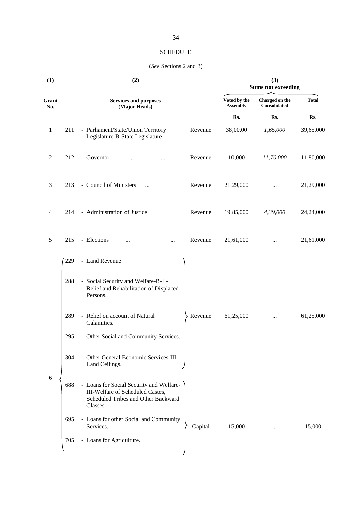#### SCHEDULE

#### (*See* Sections 2 and 3)

| (1)          | (2) |                                                                                                                                 |         | (3)<br><b>Sums not exceeding</b> |                                |              |
|--------------|-----|---------------------------------------------------------------------------------------------------------------------------------|---------|----------------------------------|--------------------------------|--------------|
| Grant<br>No. |     | <b>Services and purposes</b><br>(Major Heads)                                                                                   |         | Voted by the<br><b>Assembly</b>  | Charged on the<br>Consolidated | <b>Total</b> |
|              |     |                                                                                                                                 |         | Rs.                              | Rs.                            | Rs.          |
| $\mathbf{1}$ | 211 | - Parliament/State/Union Territory<br>Legislature-B-State Legislature.                                                          | Revenue | 38,00,00                         | 1,65,000                       | 39,65,000    |
| 2            | 212 | - Governor<br>                                                                                                                  | Revenue | 10,000                           | 11,70,000                      | 11,80,000    |
| 3            | 213 | - Council of Ministers<br>$\ddotsc$                                                                                             | Revenue | 21,29,000                        |                                | 21,29,000    |
| 4            | 214 | - Administration of Justice                                                                                                     | Revenue | 19,85,000                        | 4,39,000                       | 24,24,000    |
| 5            | 215 | - Elections<br>.<br>$\cdots$                                                                                                    | Revenue | 21,61,000                        | $\cdots$                       | 21,61,000    |
|              | 229 | - Land Revenue                                                                                                                  |         |                                  |                                |              |
|              | 288 | - Social Security and Welfare-B-II-<br>Relief and Rehabilitation of Displaced<br>Persons.                                       |         |                                  |                                |              |
|              | 289 | - Relief on account of Natural<br>Calamities.                                                                                   | Revenue | 61,25,000                        |                                | 61,25,000    |
|              | 295 | - Other Social and Community Services.                                                                                          |         |                                  |                                |              |
|              | 304 | - Other General Economic Services-III-<br>Land Ceilings.                                                                        |         |                                  |                                |              |
| $\sqrt{6}$   | 688 | - Loans for Social Security and Welfare-<br>III-Welfare of Scheduled Castes,<br>Scheduled Tribes and Other Backward<br>Classes. |         |                                  |                                |              |
|              | 695 | - Loans for other Social and Community<br>Services.                                                                             | Capital | 15,000                           | $\ldots$                       | 15,000       |
|              | 705 | - Loans for Agriculture.                                                                                                        |         |                                  |                                |              |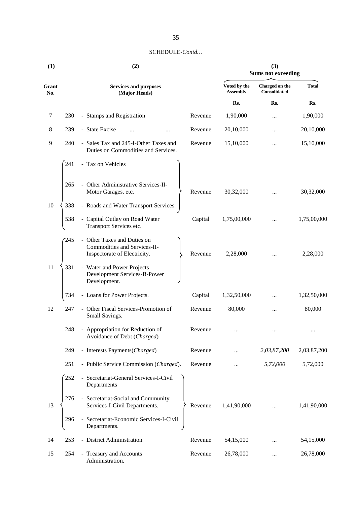| (1)          |     | (2)                                                                                         | (3)<br><b>Sums not exceeding</b> |                                 |                                                                                                                                                                                                                                                                                                                                                                                                                                                                                           |              |
|--------------|-----|---------------------------------------------------------------------------------------------|----------------------------------|---------------------------------|-------------------------------------------------------------------------------------------------------------------------------------------------------------------------------------------------------------------------------------------------------------------------------------------------------------------------------------------------------------------------------------------------------------------------------------------------------------------------------------------|--------------|
| Grant<br>No. |     | <b>Services and purposes</b><br>(Major Heads)                                               |                                  | Voted by the<br><b>Assembly</b> | Charged on the<br>$\label{concon} Consider \textit{div}(\mathcal{C}) \textit{C}(\mathcal{C}) \textit{C}(\mathcal{C}) \textit{C}(\mathcal{C}) \textit{C}(\mathcal{C}) \textit{C}(\mathcal{C}) \textit{C}(\mathcal{C}) \textit{C}(\mathcal{C}) \textit{C}(\mathcal{C}) \textit{C}(\mathcal{C}) \textit{C}(\mathcal{C}) \textit{C}(\mathcal{C}) \textit{C}(\mathcal{C}) \textit{C}(\mathcal{C}) \textit{C}(\mathcal{C}) \textit{C}(\mathcal{C}) \textit{C}(\mathcal{C}) \textit{C}(\mathcal$ | <b>Total</b> |
|              |     |                                                                                             |                                  | Rs.                             | Rs.                                                                                                                                                                                                                                                                                                                                                                                                                                                                                       | Rs.          |
| 7            | 230 | - Stamps and Registration                                                                   | Revenue                          | 1,90,000                        |                                                                                                                                                                                                                                                                                                                                                                                                                                                                                           | 1,90,000     |
| 8            | 239 | - State Excise                                                                              | Revenue                          | 20,10,000                       |                                                                                                                                                                                                                                                                                                                                                                                                                                                                                           | 20,10,000    |
| 9            | 240 | - Sales Tax and 245-I-Other Taxes and<br>Duties on Commodities and Services.                | Revenue                          | 15,10,000                       |                                                                                                                                                                                                                                                                                                                                                                                                                                                                                           | 15,10,000    |
|              | 241 | - Tax on Vehicles                                                                           |                                  |                                 |                                                                                                                                                                                                                                                                                                                                                                                                                                                                                           |              |
|              | 265 | - Other Administrative Services-II-<br>Motor Garages, etc.                                  | Revenue                          | 30,32,000                       |                                                                                                                                                                                                                                                                                                                                                                                                                                                                                           | 30,32,000    |
| 10           | 338 | - Roads and Water Transport Services.                                                       |                                  |                                 |                                                                                                                                                                                                                                                                                                                                                                                                                                                                                           |              |
|              | 538 | - Capital Outlay on Road Water<br>Transport Services etc.                                   | Capital                          | 1,75,00,000                     |                                                                                                                                                                                                                                                                                                                                                                                                                                                                                           | 1,75,00,000  |
|              | 245 | - Other Taxes and Duties on<br>Commodities and Services-II-<br>Inspectorate of Electricity. | Revenue                          | 2,28,000                        |                                                                                                                                                                                                                                                                                                                                                                                                                                                                                           | 2,28,000     |
| 11           | 331 | - Water and Power Projects<br>Development Services-B-Power<br>Development.                  |                                  |                                 |                                                                                                                                                                                                                                                                                                                                                                                                                                                                                           |              |
|              | 734 | - Loans for Power Projects.                                                                 | Capital                          | 1,32,50,000                     |                                                                                                                                                                                                                                                                                                                                                                                                                                                                                           | 1,32,50,000  |
| 12           | 247 | - Other Fiscal Services-Promotion of<br>Small Savings.                                      | Revenue                          | 80,000                          |                                                                                                                                                                                                                                                                                                                                                                                                                                                                                           | 80,000       |
|              | 248 | - Appropriation for Reduction of<br>Avoidance of Debt (Charged)                             | Revenue                          |                                 |                                                                                                                                                                                                                                                                                                                                                                                                                                                                                           |              |
|              | 249 | - Interests Payments(Charged)                                                               | Revenue                          |                                 | 2,03,87,200                                                                                                                                                                                                                                                                                                                                                                                                                                                                               | 2,03,87,200  |
|              | 251 | - Public Service Commission (Charged).                                                      | Revenue                          |                                 | 5,72,000                                                                                                                                                                                                                                                                                                                                                                                                                                                                                  | 5,72,000     |
|              | 252 | - Secretariat-General Services-I-Civil<br>Departments                                       |                                  |                                 |                                                                                                                                                                                                                                                                                                                                                                                                                                                                                           |              |
| 13           | 276 | - Secretariat-Social and Community<br>Services-I-Civil Departments.                         | Revenue                          | 1,41,90,000                     |                                                                                                                                                                                                                                                                                                                                                                                                                                                                                           | 1,41,90,000  |
|              | 296 | - Secretariat-Economic Services-I-Civil<br>Departments.                                     |                                  |                                 |                                                                                                                                                                                                                                                                                                                                                                                                                                                                                           |              |
| 14           | 253 | - District Administration.                                                                  | Revenue                          | 54,15,000                       |                                                                                                                                                                                                                                                                                                                                                                                                                                                                                           | 54,15,000    |
| 15           | 254 | - Treasury and Accounts<br>Administration.                                                  | Revenue                          | 26,78,000                       |                                                                                                                                                                                                                                                                                                                                                                                                                                                                                           | 26,78,000    |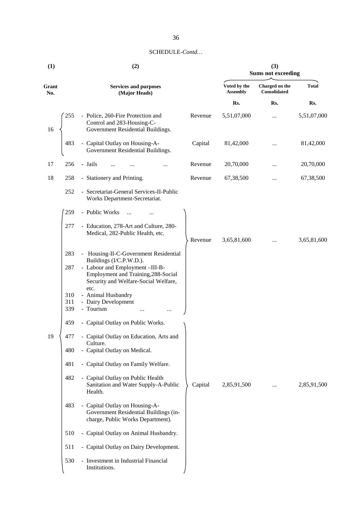| (1)          |                   | (2)                                                                                                                                       | (3)<br><b>Sums not exceeding</b> |                                 |                                |              |
|--------------|-------------------|-------------------------------------------------------------------------------------------------------------------------------------------|----------------------------------|---------------------------------|--------------------------------|--------------|
| Grant<br>No. |                   | <b>Services and purposes</b><br>(Major Heads)                                                                                             |                                  | Voted by the<br><b>Assembly</b> | Charged on the<br>Consolidated | <b>Total</b> |
|              |                   |                                                                                                                                           |                                  | Rs.                             | Rs.                            | Rs.          |
| 16           | 255               | - Police, 260-Fire Protection and<br>Control and 283-Housing-C-<br>Government Residential Buildings.                                      | Revenue                          | 5,51,07,000                     | $\cdots$                       | 5,51,07,000  |
|              | 483               | - Capital Outlay on Housing-A-<br>Government Residential Buildings.                                                                       | Capital                          | 81,42,000                       |                                | 81,42,000    |
| 17           | 256               | - Jails                                                                                                                                   | Revenue                          | 20,70,000                       |                                | 20,70,000    |
| 18           | 258               | - Stationery and Printing.                                                                                                                | Revenue                          | 67,38,500                       | $\cdots$                       | 67,38,500    |
|              | 252               | - Secretariat-General Services-II-Public<br>Works Department-Secretariat.                                                                 |                                  |                                 |                                |              |
|              | 259               | - Public Works<br>$\ddotsc$                                                                                                               |                                  |                                 |                                |              |
|              | 277               | - Education, 278-Art and Culture, 280-<br>Medical, 282-Public Health, etc.                                                                | Revenue                          | 3,65,81,600                     | $\cdots$                       | 3,65,81,600  |
|              | 283               | - Housing-II-C-Government Residential                                                                                                     |                                  |                                 |                                |              |
|              | 287               | Buildings (I/C.P.W.D.).<br>- Labour and Employment -III-B-<br>Employment and Training, 288-Social<br>Security and Welfare-Social Welfare, |                                  |                                 |                                |              |
|              | 310<br>311<br>339 | etc.<br>- Animal Husbandry<br>- Dairy Development<br>- Tourism                                                                            |                                  |                                 |                                |              |
|              | 459               | - Capital Outlay on Public Works.                                                                                                         |                                  |                                 |                                |              |
| 19           | 477               | - Capital Outlay on Education, Arts and                                                                                                   |                                  |                                 |                                |              |
|              | 480               | Culture.<br>- Capital Outlay on Medical.                                                                                                  |                                  |                                 |                                |              |
|              | 481               | - Capital Outlay on Family Welfare.                                                                                                       |                                  |                                 |                                |              |
|              | 482               | - Capital Outlay on Public Health<br>Sanitation and Water Supply-A-Public<br>Health.                                                      | Capital                          | 2,85,91,500                     | $\cdots$                       | 2,85,91,500  |
|              | 483               | - Capital Outlay on Housing-A-<br>Government Residential Buildings (in-<br>charge, Public Works Department).                              |                                  |                                 |                                |              |
|              | 510               | - Capital Outlay on Animal Husbandry.                                                                                                     |                                  |                                 |                                |              |
|              | 511               | - Capital Outlay on Dairy Development.                                                                                                    |                                  |                                 |                                |              |
|              | 530               | - Investment in Industrial Financial<br>Institutions.                                                                                     |                                  |                                 |                                |              |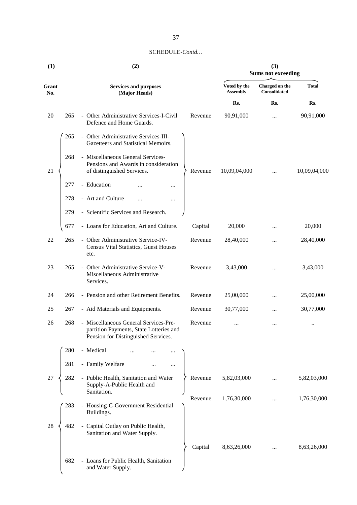| (1)          |     | (2)                                                                                                                     |         | (3)<br><b>Sums not exceeding</b> |                                       |              |  |
|--------------|-----|-------------------------------------------------------------------------------------------------------------------------|---------|----------------------------------|---------------------------------------|--------------|--|
| Grant<br>No. |     | <b>Services and purposes</b><br>(Major Heads)                                                                           |         | Voted by the<br><b>Assembly</b>  | Charged on the<br><b>Consolidated</b> | <b>Total</b> |  |
|              |     |                                                                                                                         |         | Rs.                              | Rs.                                   | Rs.          |  |
| 20           | 265 | - Other Administrative Services-I-Civil<br>Defence and Home Guards.                                                     | Revenue | 90,91,000                        |                                       | 90,91,000    |  |
|              | 265 | - Other Administrative Services-III-<br>Gazetteers and Statistical Memoirs.                                             |         |                                  |                                       |              |  |
| 21           | 268 | - Miscellaneous General Services-<br>Pensions and Awards in consideration<br>of distinguished Services.                 | Revenue | 10,09,04,000                     | $\cdots$                              | 10,09,04,000 |  |
|              | 277 | - Education<br>                                                                                                         |         |                                  |                                       |              |  |
|              | 278 | - Art and Culture<br>$\cdots$<br>                                                                                       |         |                                  |                                       |              |  |
|              | 279 | - Scientific Services and Research.                                                                                     |         |                                  |                                       |              |  |
|              | 677 | - Loans for Education, Art and Culture.                                                                                 | Capital | 20,000                           |                                       | 20,000       |  |
| 22           | 265 | - Other Administrative Service-IV-<br><b>Census Vital Statistics, Guest Houses</b><br>etc.                              | Revenue | 28,40,000                        |                                       | 28,40,000    |  |
| 23           | 265 | - Other Administrative Service-V-<br>Miscellaneous Administrative<br>Services.                                          | Revenue | 3,43,000                         |                                       | 3,43,000     |  |
| 24           | 266 | - Pension and other Retirement Benefits.                                                                                | Revenue | 25,00,000                        | $\cdots$                              | 25,00,000    |  |
| 25           | 267 | - Aid Materials and Equipments.                                                                                         | Revenue | 30,77,000                        |                                       | 30,77,000    |  |
| 26           | 268 | - Miscellaneous General Services-Pre-<br>partition Payments, State Lotteries and<br>Pension for Distinguished Services. | Revenue |                                  |                                       |              |  |
|              | 280 | - Medical                                                                                                               |         |                                  |                                       |              |  |
|              | 281 | - Family Welfare<br>                                                                                                    |         |                                  |                                       |              |  |
| 27           | 282 | - Public Health, Sanitation and Water<br>Supply-A-Public Health and<br>Sanitation.                                      | Revenue | 5,82,03,000                      | $\cdots$                              | 5,82,03,000  |  |
|              | 283 | - Housing-C-Government Residential<br>Buildings.                                                                        | Revenue | 1,76,30,000                      |                                       | 1,76,30,000  |  |
| 28           | 482 | - Capital Outlay on Public Health,<br>Sanitation and Water Supply.                                                      |         |                                  |                                       |              |  |
|              |     |                                                                                                                         | Capital | 8,63,26,000                      | .                                     | 8,63,26,000  |  |
|              | 682 | - Loans for Public Health, Sanitation<br>and Water Supply.                                                              |         |                                  |                                       |              |  |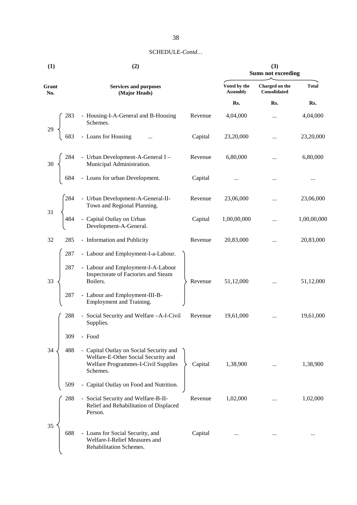| (1)          | (2)                                                                                                                                      |         | (3)<br><b>Sums not exceeding</b> |                                |              |  |
|--------------|------------------------------------------------------------------------------------------------------------------------------------------|---------|----------------------------------|--------------------------------|--------------|--|
| Grant<br>No. | <b>Services and purposes</b><br>(Major Heads)                                                                                            |         | Voted by the<br><b>Assembly</b>  | Charged on the<br>Consolidated | <b>Total</b> |  |
|              |                                                                                                                                          |         | Rs.                              | Rs.                            | Rs.          |  |
|              | 283 - Housing-I-A-General and B-Housing<br>Schemes.<br>683 - Loans for Housing                                                           | Revenue | 4,04,000                         | $\cdots$                       | 4,04,000     |  |
|              |                                                                                                                                          | Capital | 23,20,000                        | $\cdots$                       | 23,20,000    |  |
|              | 284 - Urban Development-A-General I<br>Municipal Administration.<br>584 - Loans for urban Development.                                   | Revenue | 6,80,000                         |                                | 6,80,000     |  |
|              |                                                                                                                                          | Capital |                                  |                                |              |  |
| $31\,$       | - Urban Development-A-General-II-<br>Town and Regional Planning.<br>- Capital Outlay on Urban                                            | Revenue | 23,06,000                        | $\cdots$                       | 23,06,000    |  |
|              | Development-A-General.                                                                                                                   | Capital | 1,00,00,000                      |                                | 1,00,00,000  |  |
| 32           | 285<br>- Information and Publicity                                                                                                       | Revenue | 20,83,000                        | $\cdots$                       | 20,83,000    |  |
|              | 287<br>- Labour and Employment-I-a-Labour.                                                                                               |         |                                  |                                |              |  |
| 33           | - Labour and Employment-I-A-Labour<br>287<br>Inspectorate of Factories and Steam<br>Boilers.                                             | Revenue | 51,12,000                        | $\ddotsc$                      | 51,12,000    |  |
|              | - Labour and Employment-III-B-<br>287<br>Employment and Training.                                                                        |         |                                  |                                |              |  |
|              | - Social Security and Welfare -A-I-Civil<br>288<br>Supplies.                                                                             | Revenue | 19,61,000                        | $\cdots$                       | 19,61,000    |  |
|              | - Food<br>309                                                                                                                            |         |                                  |                                |              |  |
| 34           | 488<br>- Capital Outlay on Social Security and<br>Welfare-E-Other Social Security and<br>Welfare Programmes-I-Civil Supplies<br>Schemes. | Capital | 1,38,900                         | $\cdots$                       | 1,38,900     |  |
|              | - Capital Outlay on Food and Nutrition.<br>509                                                                                           |         |                                  |                                |              |  |
|              | 288<br>- Social Security and Welfare-B-II-<br>Relief and Rehabilitation of Displaced<br>Person.                                          | Revenue | 1,02,000                         |                                | 1,02,000     |  |
| 35           | 688<br>- Loans for Social Security, and<br>Welfare-I-Relief Measures and<br>Rehabilitation Schemes.                                      | Capital |                                  |                                |              |  |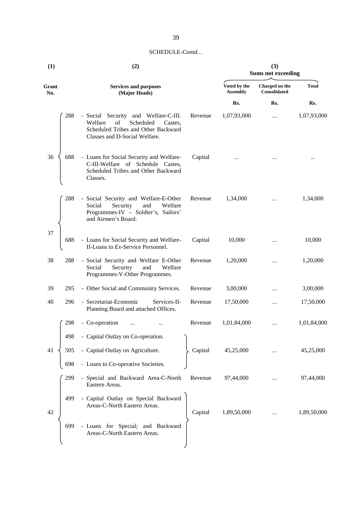| (1)          |     | (2)                                                                                                                                                   | (3)<br><b>Sums not exceeding</b> |                                 |                                       |              |
|--------------|-----|-------------------------------------------------------------------------------------------------------------------------------------------------------|----------------------------------|---------------------------------|---------------------------------------|--------------|
| Grant<br>No. |     | <b>Services and purposes</b><br>(Major Heads)                                                                                                         |                                  | Voted by the<br><b>Assembly</b> | Charged on the<br><b>Consolidated</b> | <b>Total</b> |
|              |     |                                                                                                                                                       |                                  | Rs.                             | Rs.                                   | Rs.          |
|              | 288 | - Social Security and Welfare-C-III.<br>Welfare<br>Scheduled<br>of<br>Castes,<br>Scheduled Tribes and Other Backward<br>Classes and D-Social Welfare. | Revenue                          | 1,07,93,000                     |                                       | 1,07,93,000  |
| 36           | 688 | - Loans for Social Security and Welfare-<br>C-III-Welfare of Schedule Castes,<br>Scheduled Tribes and Other Backward<br>Classes.                      | Capital                          |                                 |                                       |              |
|              | 288 | - Social Security and Welfare-E-Other<br>Security<br>and<br>Welfare<br>Social<br>Programmes-IV - Soldier's, Sailors'<br>and Airmen's Board.           | Revenue                          | 1,34,000                        |                                       | 1,34,000     |
| 37           | 688 | - Loans for Social Security and Welfare-<br>II-Loans to Ex-Service Personnel.                                                                         | Capital                          | 10,000                          |                                       | 10,000       |
| 38           | 288 | - Social Security and Welfare E-Other<br>Social<br>Security<br>and<br>Welfare<br>Programmes-V-Other Programmes.                                       | Revenue                          | 1,20,000                        |                                       | 1,20,000     |
| 39           | 295 | - Other Social and Community Services.                                                                                                                | Revenue                          | 3,00,000                        |                                       | 3,00,000     |
| 40           | 296 | - Secretariat-Economic<br>Services-II-<br>Planning Board and attached Offices.                                                                        | Revenue                          | 17,50,000                       |                                       | 17,50,000    |
|              | 298 | - Co-operation                                                                                                                                        | Revenue                          | 1,01,84,000                     |                                       | 1,01,84,000  |
|              | 498 | - Capital Outlay on Co-operation.                                                                                                                     |                                  |                                 |                                       |              |
| 41           | 505 | - Capital Outlay on Agriculture.                                                                                                                      | Capital                          | 45,25,000                       |                                       | 45,25,000    |
|              | 698 | - Loans to Co-operative Societies.                                                                                                                    |                                  |                                 |                                       |              |
|              | 299 | - Special and Backward Area-C-North<br>Eastern Areas.                                                                                                 | Revenue                          | 97,44,000                       |                                       | 97,44,000    |
| 42           | 499 | - Capital Outlay on Special Backward<br>Areas-C-North Eastern Areas.                                                                                  | Capital                          | 1,89,50,000                     |                                       | 1,89,50,000  |
|              | 699 | - Loans for Special; and Backward<br>Areas-C-North Eastern Areas.                                                                                     |                                  |                                 |                                       |              |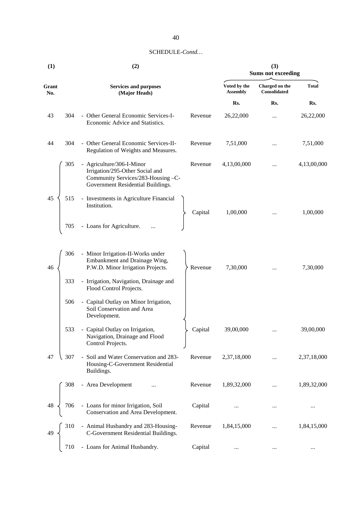| (1)          |     | (2)                                                                                                                                     | (3)<br><b>Sums not exceeding</b> |                                 |                                |              |
|--------------|-----|-----------------------------------------------------------------------------------------------------------------------------------------|----------------------------------|---------------------------------|--------------------------------|--------------|
| Grant<br>No. |     | <b>Services and purposes</b><br>(Major Heads)                                                                                           |                                  | Voted by the<br><b>Assembly</b> | Charged on the<br>Consolidated | <b>Total</b> |
|              |     |                                                                                                                                         |                                  | Rs.                             | Rs.                            | Rs.          |
| 43           | 304 | - Other General Economic Services-I-<br>Economic Advice and Statistics.                                                                 | Revenue                          | 26,22,000                       |                                | 26,22,000    |
| 44           | 304 | - Other General Economic Services-II-<br>Regulation of Weights and Measures.                                                            | Revenue                          | 7,51,000                        |                                | 7,51,000     |
|              | 305 | - Agriculture/306-I-Minor<br>Irrigation/295-Other Social and<br>Community Services/283-Housing -C-<br>Government Residential Buildings. | Revenue                          | 4,13,00,000                     | $\ddotsc$                      | 4,13,00,000  |
| 45           | 515 | - Investments in Agriculture Financial<br>Institution.                                                                                  | Capital                          | 1,00,000                        |                                | 1,00,000     |
|              | 705 | - Loans for Agriculture.                                                                                                                |                                  |                                 |                                |              |
| 46           | 306 | - Minor Irrigation-II-Works under<br>Embankment and Drainage Wing,<br>P.W.D. Minor Irrigation Projects.                                 | Revenue                          | 7,30,000                        |                                | 7,30,000     |
|              | 333 | - Irrigation, Navigation, Drainage and<br>Flood Control Projects.                                                                       |                                  |                                 |                                |              |
|              | 506 | - Capital Outlay on Minor Irrigation,<br>Soil Conservation and Area<br>Development.                                                     |                                  |                                 |                                |              |
|              | 533 | - Capital Outlay on Irrigation,<br>Navigation, Drainage and Flood<br>Control Projects.                                                  | Capital                          | 39,00,000                       |                                | 39,00,000    |
| 47           | 307 | - Soil and Water Conservation and 283-<br>Housing-C-Government Residential<br>Buildings.                                                | Revenue                          | 2,37,18,000                     |                                | 2,37,18,000  |
|              | 308 | - Area Development                                                                                                                      | Revenue                          | 1,89,32,000                     |                                | 1,89,32,000  |
| 48           | 706 | - Loans for minor Irrigation, Soil<br>Conservation and Area Development.                                                                | Capital                          |                                 |                                |              |
| 49           | 310 | - Animal Husbandry and 283-Housing-<br>C-Government Residential Buildings.                                                              | Revenue                          | 1,84,15,000                     |                                | 1,84,15,000  |
|              | 710 | - Loans for Animal Husbandry.                                                                                                           | Capital                          | $\ldots$                        |                                | $\cdots$     |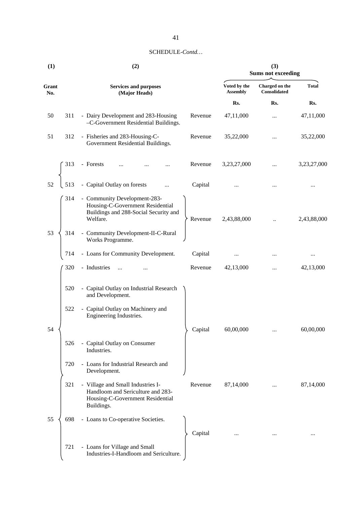| (1)          |     | (2)                                                                                                                                 | (3)<br><b>Sums not exceeding</b> |                                |              |  |
|--------------|-----|-------------------------------------------------------------------------------------------------------------------------------------|----------------------------------|--------------------------------|--------------|--|
| Grant<br>No. |     | <b>Services and purposes</b><br>(Major Heads)                                                                                       | Voted by the<br><b>Assembly</b>  | Charged on the<br>Consolidated | <b>Total</b> |  |
|              |     |                                                                                                                                     | Rs.                              | Rs.                            | Rs.          |  |
| 50           | 311 | - Dairy Development and 283-Housing<br>Revenue<br>-C-Government Residential Buildings.                                              | 47,11,000                        |                                | 47,11,000    |  |
| 51           | 312 | - Fisheries and 283-Housing-C-<br>Revenue<br>Government Residential Buildings.                                                      | 35,22,000                        | $\cdots$                       | 35,22,000    |  |
|              | 313 | - Forests<br>Revenue                                                                                                                | 3,23,27,000                      |                                | 3,23,27,000  |  |
| 52           | 513 | - Capital Outlay on forests<br>Capital                                                                                              |                                  |                                |              |  |
|              | 314 | - Community Development-283-<br>Housing-C-Government Residential<br>Buildings and 288-Social Security and<br>Welfare.<br>Revenue    | 2,43,88,000                      |                                | 2,43,88,000  |  |
| 53           | 314 | - Community Development-II-C-Rural<br>Works Programme.                                                                              |                                  |                                |              |  |
|              | 714 | - Loans for Community Development.<br>Capital                                                                                       | $\cdots$                         |                                | $\cdots$     |  |
|              | 320 | - Industries<br>Revenue                                                                                                             | 42,13,000                        |                                | 42,13,000    |  |
|              | 520 | - Capital Outlay on Industrial Research<br>and Development.                                                                         |                                  |                                |              |  |
|              | 522 | - Capital Outlay on Machinery and<br>Engineering Industries.                                                                        |                                  |                                |              |  |
| 54           |     | Capital                                                                                                                             | 60,00,000                        |                                | 60,00,000    |  |
|              | 526 | - Capital Outlay on Consumer<br>Industries.                                                                                         |                                  |                                |              |  |
|              | 720 | - Loans for Industrial Research and<br>Development.                                                                                 |                                  |                                |              |  |
|              | 321 | - Village and Small Industries I-<br>Revenue<br>Handloom and Sericulture and 283-<br>Housing-C-Government Residential<br>Buildings. | 87,14,000                        |                                | 87,14,000    |  |
| 55           | 698 | - Loans to Co-operative Societies.<br>Capital                                                                                       |                                  |                                |              |  |
|              | 721 | - Loans for Village and Small<br>Industries-I-Handloom and Sericulture.                                                             |                                  |                                |              |  |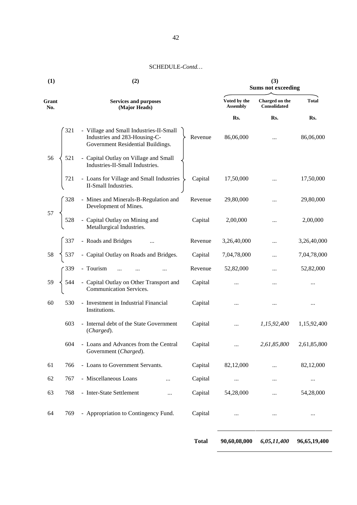|              |     | (2)                                                                                                           | (3)<br><b>Sums not exceeding</b> |                                 |                                       |              |
|--------------|-----|---------------------------------------------------------------------------------------------------------------|----------------------------------|---------------------------------|---------------------------------------|--------------|
| Grant<br>No. |     | <b>Services and purposes</b><br>(Major Heads)                                                                 |                                  | Voted by the<br><b>Assembly</b> | Charged on the<br><b>Consolidated</b> | <b>Total</b> |
|              |     |                                                                                                               |                                  | Rs.                             | Rs.                                   | Rs.          |
|              | 321 | - Village and Small Industries-II-Small<br>Industries and 283-Housing-C-<br>Government Residential Buildings. | Revenue                          | 86,06,000                       | $\cdots$                              | 86,06,000    |
| 56           | 521 | - Capital Outlay on Village and Small<br>Industries-II-Small Industries.                                      |                                  |                                 |                                       |              |
|              | 721 | - Loans for Village and Small Industries<br>II-Small Industries.                                              | Capital                          | 17,50,000                       |                                       | 17,50,000    |
|              | 328 | - Mines and Minerals-B-Regulation and<br>Development of Mines.                                                | Revenue                          | 29,80,000                       |                                       | 29,80,000    |
| 57           | 528 | - Capital Outlay on Mining and<br>Metallurgical Industries.                                                   | Capital                          | 2,00,000                        | $\cdots$                              | 2,00,000     |
|              | 337 | - Roads and Bridges                                                                                           | Revenue                          | 3,26,40,000                     |                                       | 3,26,40,000  |
| 58           | 537 | - Capital Outlay on Roads and Bridges.                                                                        | Capital                          | 7,04,78,000                     |                                       | 7,04,78,000  |
|              | 339 | - Tourism<br>$\ldots$                                                                                         | Revenue                          | 52,82,000                       |                                       | 52,82,000    |
| 59           | 544 | - Capital Outlay on Other Transport and<br>Communication Services.                                            | Capital                          | $\cdots$                        |                                       |              |
| 60           | 530 | - Investment in Industrial Financial<br>Institutions.                                                         | Capital                          | $\cdots$                        |                                       | $\cdots$     |
|              | 603 | - Internal debt of the State Government<br>(Charged).                                                         | Capital                          | $\cdots$                        | 1,15,92,400                           | 1,15,92,400  |
|              | 604 | - Loans and Advances from the Central<br>Government (Charged).                                                | Capital                          | $\cdots$                        | 2,61,85,800                           | 2,61,85,800  |
| 61           | 766 | - Loans to Government Servants.                                                                               | Capital                          | 82,12,000                       |                                       | 82,12,000    |
| 62           | 767 | - Miscellaneous Loans                                                                                         | Capital                          | $\cdots$                        |                                       | $\cdots$     |
| 63           | 768 | - Inter-State Settlement<br>                                                                                  | Capital                          | 54,28,000                       |                                       | 54,28,000    |
| 64           | 769 | - Appropriation to Contingency Fund.                                                                          | Capital                          | $\cdots$                        | $\ldots$                              |              |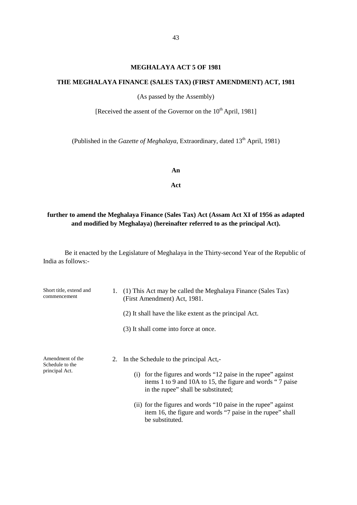### **MEGHALAYA ACT 5 OF 1981**

### **THE MEGHALAYA FINANCE (SALES TAX) (FIRST AMENDMENT) ACT, 1981**

(As passed by the Assembly)

[Received the assent of the Governor on the  $10^{th}$  April, 1981]

(Published in the *Gazette of Meghalaya*, Extraordinary, dated 13<sup>th</sup> April, 1981)

**An**

**Act**

# **further to amend the Meghalaya Finance (Sales Tax) Act (Assam Act XI of 1956 as adapted and modified by Meghalaya) (hereinafter referred to as the principal Act).**

| Short title, extend and<br>commencement               | 1. (1) This Act may be called the Meghalaya Finance (Sales Tax)<br>(First Amendment) Act, 1981.                                                                                                                                                                                                                                                                      |  |  |
|-------------------------------------------------------|----------------------------------------------------------------------------------------------------------------------------------------------------------------------------------------------------------------------------------------------------------------------------------------------------------------------------------------------------------------------|--|--|
|                                                       | (2) It shall have the like extent as the principal Act.                                                                                                                                                                                                                                                                                                              |  |  |
|                                                       | (3) It shall come into force at once.                                                                                                                                                                                                                                                                                                                                |  |  |
| Amendment of the<br>Schedule to the<br>principal Act. | 2. In the Schedule to the principal Act,-<br>for the figures and words "12 paise in the rupee" against<br>(1)<br>items 1 to 9 and 10A to 15, the figure and words "7 paise<br>in the rupee" shall be substituted;<br>(ii) for the figures and words "10 paise in the rupee" against<br>item 16, the figure and words "7 paise in the rupee" shall<br>be substituted. |  |  |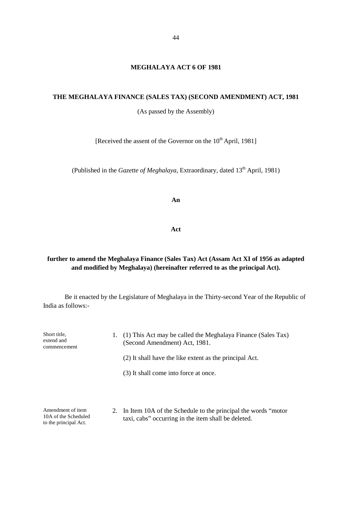### **MEGHALAYA ACT 6 OF 1981**

### **THE MEGHALAYA FINANCE (SALES TAX) (SECOND AMENDMENT) ACT, 1981**

(As passed by the Assembly)

[Received the assent of the Governor on the  $10^{th}$  April, 1981]

(Published in the *Gazette of Meghalaya*, Extraordinary, dated 13<sup>th</sup> April, 1981)

**An**

**Act**

## **further to amend the Meghalaya Finance (Sales Tax) Act (Assam Act XI of 1956 as adapted and modified by Meghalaya) (hereinafter referred to as the principal Act).**

| Short title,<br>extend and<br>commencement                         | 1. | (1) This Act may be called the Meghalaya Finance (Sales Tax)<br>(Second Amendment) Act, 1981.                            |
|--------------------------------------------------------------------|----|--------------------------------------------------------------------------------------------------------------------------|
|                                                                    |    | (2) It shall have the like extent as the principal Act.                                                                  |
|                                                                    |    | (3) It shall come into force at once.                                                                                    |
| Amendment of item<br>10A of the Scheduled<br>to the principal Act. |    | 2. In Item 10A of the Schedule to the principal the words "motor"<br>taxi, cabs" occurring in the item shall be deleted. |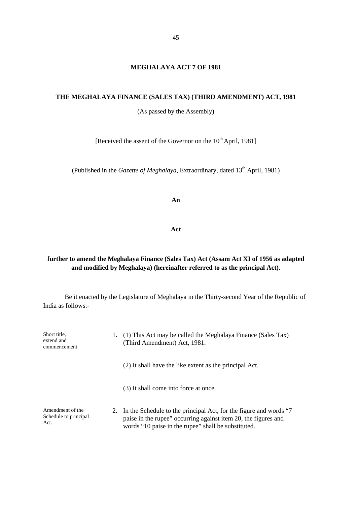### **MEGHALAYA ACT 7 OF 1981**

### **THE MEGHALAYA FINANCE (SALES TAX) (THIRD AMENDMENT) ACT, 1981**

(As passed by the Assembly)

[Received the assent of the Governor on the  $10^{th}$  April, 1981]

(Published in the *Gazette of Meghalaya*, Extraordinary, dated 13<sup>th</sup> April, 1981)

**An**

**Act**

## **further to amend the Meghalaya Finance (Sales Tax) Act (Assam Act XI of 1956 as adapted and modified by Meghalaya) (hereinafter referred to as the principal Act).**

| Short title,<br>extend and<br>commencement        | Ι. | (1) This Act may be called the Meghalaya Finance (Sales Tax)<br>(Third Amendment) Act, 1981.                                                                                                  |
|---------------------------------------------------|----|-----------------------------------------------------------------------------------------------------------------------------------------------------------------------------------------------|
|                                                   |    | (2) It shall have the like extent as the principal Act.                                                                                                                                       |
|                                                   |    | (3) It shall come into force at once.                                                                                                                                                         |
| Amendment of the<br>Schedule to principal<br>Act. |    | 2. In the Schedule to the principal Act, for the figure and words "7<br>paise in the rupee" occurring against item 20, the figures and<br>words "10 paise in the rupee" shall be substituted. |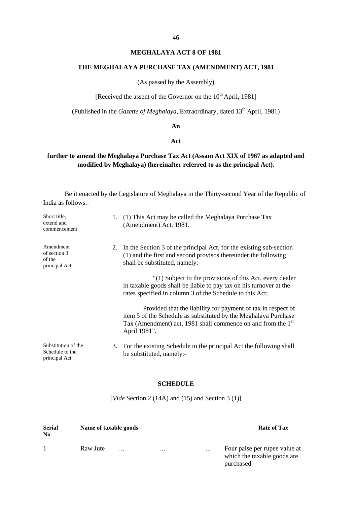# 46

## **MEGHALAYA ACT 8 OF 1981**

### **THE MEGHALAYA PURCHASE TAX (AMENDMENT) ACT, 1981**

(As passed by the Assembly)

[Received the assent of the Governor on the  $10^{th}$  April, 1981]

(Published in the *Gazette of Meghalaya*, Extraordinary, dated 13<sup>th</sup> April, 1981)

### **An**

#### **Act**

# **further to amend the Meghalaya Purchase Tax Act (Assam Act XIX of 1967 as adapted and modified by Meghalaya) (hereinafter referred to as the principal Act).**

Be it enacted by the Legislature of Meghalaya in the Thirty-second Year of the Republic of India as follows:-

| Short title,<br>extend and<br>commencement               | 1. | (1) This Act may be called the Meghalaya Purchase Tax<br>(Amendment) Act, 1981.                                                                                                                                             |
|----------------------------------------------------------|----|-----------------------------------------------------------------------------------------------------------------------------------------------------------------------------------------------------------------------------|
| Amendment<br>of section 3<br>of the<br>principal Act.    |    | 2. In the Section 3 of the principal Act, for the existing sub-section<br>(1) and the first and second provisos thereunder the following<br>shall be substituted, namely:-                                                  |
|                                                          |    | "(1) Subject to the provisions of this Act, every dealer<br>in taxable goods shall be liable to pay tax on his turnover at the<br>rates specified in column 3 of the Schedule to this Act;                                  |
|                                                          |    | Provided that the liability for payment of tax in respect of<br>item 5 of the Schedule as substituted by the Meghalaya Purchase<br>Tax (Amendment) act, 1981 shall commence on and from the 1 <sup>st</sup><br>April 1981". |
| Substitution of the<br>Schedule to the<br>principal Act. |    | 3. For the existing Schedule to the principal Act the following shall<br>be substituted, namely:-                                                                                                                           |

### **SCHEDULE**

[*Vide* Section 2 (14A) and (15) and Section 3 (1)]

| <b>Serial</b><br>N <sub>0</sub> | Name of taxable goods |          |          | <b>Rate of Tax</b>                                                        |
|---------------------------------|-----------------------|----------|----------|---------------------------------------------------------------------------|
|                                 | Raw Jute<br>$\cdots$  | $\cdots$ | $\ldots$ | Four paise per rupee value at<br>which the taxable goods are<br>purchased |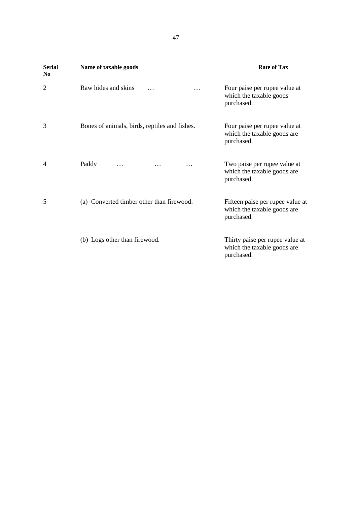| <b>Serial</b><br>N <sub>0</sub> | Name of taxable goods                         | <b>Rate of Tax</b>                                                            |
|---------------------------------|-----------------------------------------------|-------------------------------------------------------------------------------|
| 2                               | Raw hides and skins<br>$\cdots$<br>$\cdots$   | Four paise per rupee value at<br>which the taxable goods<br>purchased.        |
| 3                               | Bones of animals, birds, reptiles and fishes. | Four paise per rupee value at<br>which the taxable goods are<br>purchased.    |
| 4                               | Paddy<br>$\cdots$<br>$\cdots$<br>$\cdots$     | Two paise per rupee value at<br>which the taxable goods are<br>purchased.     |
| 5                               | (a) Converted timber other than firewood.     | Fifteen paise per rupee value at<br>which the taxable goods are<br>purchased. |
|                                 | (b) Logs other than firewood.                 | Thirty paise per rupee value at<br>which the taxable goods are<br>purchased.  |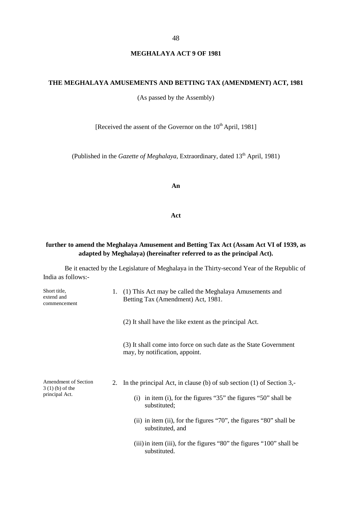### **MEGHALAYA ACT 9 OF 1981**

### **THE MEGHALAYA AMUSEMENTS AND BETTING TAX (AMENDMENT) ACT, 1981**

(As passed by the Assembly)

[Received the assent of the Governor on the 10<sup>th</sup> April, 1981]

(Published in the *Gazette of Meghalaya*, Extraordinary, dated 13<sup>th</sup> April, 1981)

### **An**

#### **Act**

## **further to amend the Meghalaya Amusement and Betting Tax Act (Assam Act VI of 1939, as adapted by Meghalaya) (hereinafter referred to as the principal Act).**

| Short title,<br>extend and<br>commencement                 | 1. | (1) This Act may be called the Meghalaya Amusements and<br>Betting Tax (Amendment) Act, 1981.                                                                       |
|------------------------------------------------------------|----|---------------------------------------------------------------------------------------------------------------------------------------------------------------------|
|                                                            |    | (2) It shall have the like extent as the principal Act.                                                                                                             |
|                                                            |    | (3) It shall come into force on such date as the State Government<br>may, by notification, appoint.                                                                 |
| Amendment of Section<br>$3(1)(b)$ of the<br>principal Act. |    | 2. In the principal Act, in clause (b) of sub section (1) of Section 3,-<br>(i) in item (i), for the figures " $35$ " the figures " $50$ " shall be<br>substituted; |
|                                                            |    | (ii) in item (ii), for the figures " $70$ ", the figures " $80$ " shall be<br>substituted, and                                                                      |
|                                                            |    | (iii) in item (iii), for the figures "80" the figures "100" shall be<br>substituted.                                                                                |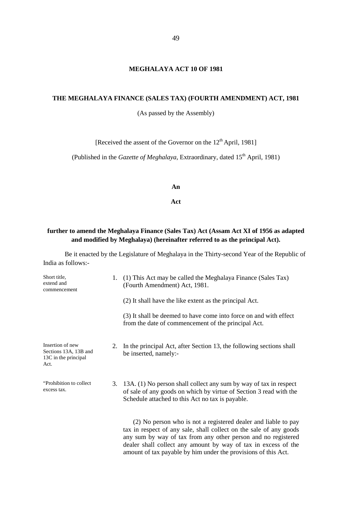### **MEGHALAYA ACT 10 OF 1981**

### **THE MEGHALAYA FINANCE (SALES TAX) (FOURTH AMENDMENT) ACT, 1981**

(As passed by the Assembly)

[Received the assent of the Governor on the  $12<sup>th</sup>$  April, 1981]

(Published in the *Gazette of Meghalaya*, Extraordinary, dated 15<sup>th</sup> April, 1981)

**An**

### **Act**

### **further to amend the Meghalaya Finance (Sales Tax) Act (Assam Act XI of 1956 as adapted and modified by Meghalaya) (hereinafter referred to as the principal Act).**

| Short title,<br>extend and<br>commencement                                | 1. | (1) This Act may be called the Meghalaya Finance (Sales Tax)<br>(Fourth Amendment) Act, 1981.                                                                                                                                                                                                                                             |
|---------------------------------------------------------------------------|----|-------------------------------------------------------------------------------------------------------------------------------------------------------------------------------------------------------------------------------------------------------------------------------------------------------------------------------------------|
|                                                                           |    | (2) It shall have the like extent as the principal Act.                                                                                                                                                                                                                                                                                   |
|                                                                           |    | (3) It shall be deemed to have come into force on and with effect<br>from the date of commencement of the principal Act.                                                                                                                                                                                                                  |
| Insertion of new<br>Sections 13A, 13B and<br>13C in the principal<br>Act. | 2. | In the principal Act, after Section 13, the following sections shall<br>be inserted, namely:-                                                                                                                                                                                                                                             |
| "Prohibition to collect"<br>excess tax.                                   |    | 3. 13A. (1) No person shall collect any sum by way of tax in respect<br>of sale of any goods on which by virtue of Section 3 read with the<br>Schedule attached to this Act no tax is payable.                                                                                                                                            |
|                                                                           |    | (2) No person who is not a registered dealer and liable to pay<br>tax in respect of any sale, shall collect on the sale of any goods<br>any sum by way of tax from any other person and no registered<br>dealer shall collect any amount by way of tax in excess of the<br>amount of tax payable by him under the provisions of this Act. |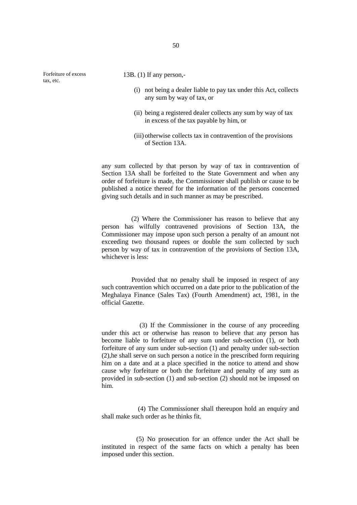Forfeiture of excess tax, etc.

- 13B. (1) If any person,-
	- (i) not being a dealer liable to pay tax under this Act, collects any sum by way of tax, or
	- (ii) being a registered dealer collects any sum by way of tax in excess of the tax payable by him, or
	- (iii) otherwise collects tax in contravention of the provisions of Section 13A.

any sum collected by that person by way of tax in contravention of Section 13A shall be forfeited to the State Government and when any order of forfeiture is made, the Commissioner shall publish or cause to be published a notice thereof for the information of the persons concerned giving such details and in such manner as may be prescribed.

(2) Where the Commissioner has reason to believe that any person has wilfully contravened provisions of Section 13A, the Commissioner may impose upon such person a penalty of an amount not exceeding two thousand rupees or double the sum collected by such person by way of tax in contravention of the provisions of Section 13A, whichever is less:

Provided that no penalty shall be imposed in respect of any such contravention which occurred on a date prior to the publication of the Meghalaya Finance (Sales Tax) (Fourth Amendment) act, 1981, in the official Gazette.

(3) If the Commissioner in the course of any proceeding under this act or otherwise has reason to believe that any person has become liable to forfeiture of any sum under sub-section (1), or both forfeiture of any sum under sub-section (1) and penalty under sub-section (2),he shall serve on such person a notice in the prescribed form requiring him on a date and at a place specified in the notice to attend and show cause why forfeiture or both the forfeiture and penalty of any sum as provided in sub-section (1) and sub-section (2) should not be imposed on him.

(4) The Commissioner shall thereupon hold an enquiry and shall make such order as he thinks fit.

(5) No prosecution for an offence under the Act shall be instituted in respect of the same facts on which a penalty has been imposed under this section.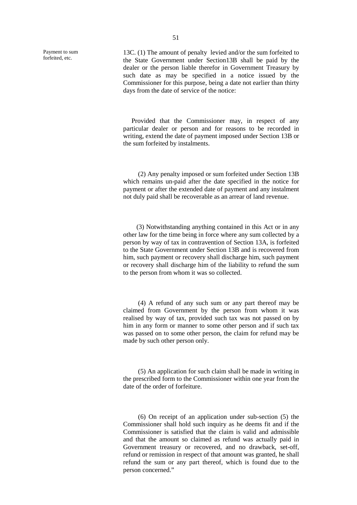Payment to sum forfeited, etc.

13C. (1) The amount of penalty levied and/or the sum forfeited to the State Government under Section13B shall be paid by the dealer or the person liable therefor in Government Treasury by such date as may be specified in a notice issued by the Commissioner for this purpose, being a date not earlier than thirty days from the date of service of the notice:

Provided that the Commissioner may, in respect of any particular dealer or person and for reasons to be recorded in writing, extend the date of payment imposed under Section 13B or the sum forfeited by instalments.

(2) Any penalty imposed or sum forfeited under Section 13B which remains un-paid after the date specified in the notice for payment or after the extended date of payment and any instalment not duly paid shall be recoverable as an arrear of land revenue.

(3) Notwithstanding anything contained in this Act or in any other law for the time being in force where any sum collected by a person by way of tax in contravention of Section 13A, is forfeited to the State Government under Section 13B and is recovered from him, such payment or recovery shall discharge him, such payment or recovery shall discharge him of the liability to refund the sum to the person from whom it was so collected.

(4) A refund of any such sum or any part thereof may be claimed from Government by the person from whom it was realised by way of tax, provided such tax was not passed on by him in any form or manner to some other person and if such tax was passed on to some other person, the claim for refund may be made by such other person only.

(5) An application for such claim shall be made in writing in the prescribed form to the Commissioner within one year from the date of the order of forfeiture.

(6) On receipt of an application under sub-section (5) the Commissioner shall hold such inquiry as he deems fit and if the Commissioner is satisfied that the claim is valid and admissible and that the amount so claimed as refund was actually paid in Government treasury or recovered, and no drawback, set-off, refund or remission in respect of that amount was granted, he shall refund the sum or any part thereof, which is found due to the person concerned."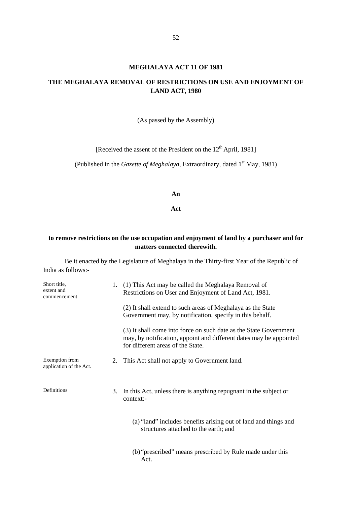#### **MEGHALAYA ACT 11 OF 1981**

## **THE MEGHALAYA REMOVAL OF RESTRICTIONS ON USE AND ENJOYMENT OF LAND ACT, 1980**

(As passed by the Assembly)

[Received the assent of the President on the 12<sup>th</sup> April, 1981]

(Published in the *Gazette of Meghalaya*, Extraordinary, dated 1<sup>st</sup> May, 1981)

**An**

**Act**

### **to remove restrictions on the use occupation and enjoyment of land by a purchaser and for matters connected therewith.**

| Short title,<br>extent and<br>commencement |    | (1) This Act may be called the Meghalaya Removal of<br>Restrictions on User and Enjoyment of Land Act, 1981.                                                                 |
|--------------------------------------------|----|------------------------------------------------------------------------------------------------------------------------------------------------------------------------------|
|                                            |    | (2) It shall extend to such areas of Meghalaya as the State<br>Government may, by notification, specify in this behalf.                                                      |
|                                            |    | (3) It shall come into force on such date as the State Government<br>may, by notification, appoint and different dates may be appointed<br>for different areas of the State. |
| Exemption from<br>application of the Act.  | 2. | This Act shall not apply to Government land.                                                                                                                                 |
| Definitions                                | 3. | In this Act, unless there is anything repugnant in the subject or<br>context:-                                                                                               |
|                                            |    | (a) "land" includes benefits arising out of land and things and<br>structures attached to the earth; and                                                                     |
|                                            |    | (b) "prescribed" means prescribed by Rule made under this<br>Act.                                                                                                            |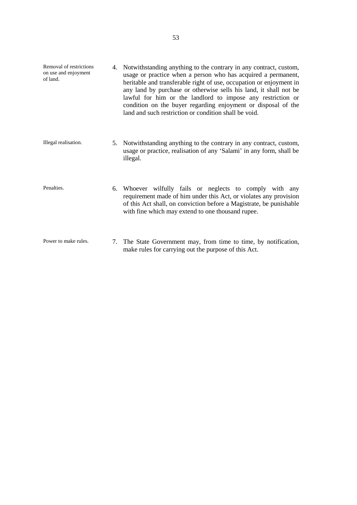- Removal of restrictions on use and enjoyment of land. 4. Notwithstanding anything to the contrary in any contract, custom, usage or practice when a person who has acquired a permanent, heritable and transferable right of use, occupation or enjoyment in any land by purchase or otherwise sells his land, it shall not be lawful for him or the landlord to impose any restriction or condition on the buyer regarding enjoyment or disposal of the land and such restriction or condition shall be void. Illegal realisation. 5. Notwithstanding anything to the contrary in any contract, custom, usage or practice, realisation of any 'Salami' in any form, shall be illegal.
- Penalties. 6. Whoever wilfully fails or neglects to comply with any requirement made of him under this Act, or violates any provision of this Act shall, on conviction before a Magistrate, be punishable with fine which may extend to one thousand rupee.
- Power to make rules. 7. The State Government may, from time to time, by notification, make rules for carrying out the purpose of this Act.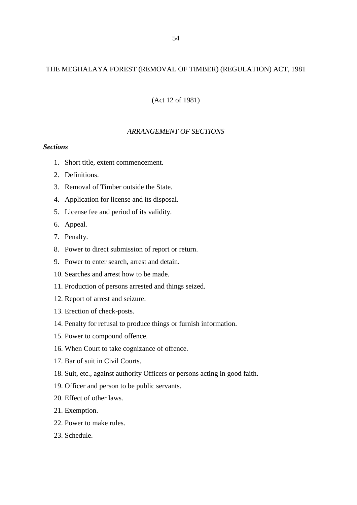## THE MEGHALAYA FOREST (REMOVAL OF TIMBER) (REGULATION) ACT, 1981

(Act 12 of 1981)

## *ARRANGEMENT OF SECTIONS*

### *Sections*

- 1. Short title, extent commencement.
- 2. Definitions.
- 3. Removal of Timber outside the State.
- 4. Application for license and its disposal.
- 5. License fee and period of its validity.
- 6. Appeal.
- 7. Penalty.
- 8. Power to direct submission of report or return.
- 9. Power to enter search, arrest and detain.
- 10. Searches and arrest how to be made.
- 11. Production of persons arrested and things seized.
- 12. Report of arrest and seizure.
- 13. Erection of check-posts.
- 14. Penalty for refusal to produce things or furnish information.
- 15. Power to compound offence.
- 16. When Court to take cognizance of offence.
- 17. Bar of suit in Civil Courts.
- 18. Suit, etc., against authority Officers or persons acting in good faith.
- 19. Officer and person to be public servants.
- 20. Effect of other laws.
- 21. Exemption.
- 22. Power to make rules.
- 23. Schedule.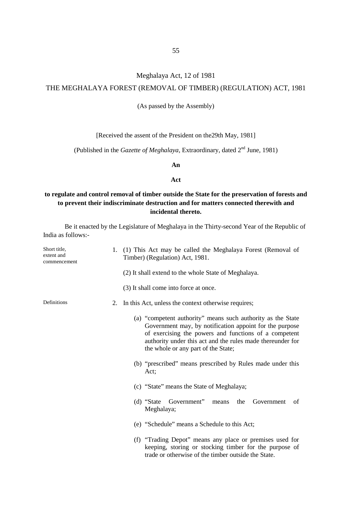### Meghalaya Act, 12 of 1981

### THE MEGHALAYA FOREST (REMOVAL OF TIMBER) (REGULATION) ACT, 1981

(As passed by the Assembly)

[Received the assent of the President on the 29th May, 1981]

(Published in the *Gazette of Meghalaya*, Extraordinary, dated 2<sup>nd</sup> June, 1981)

**An**

#### **Act**

# **to regulate and control removal of timber outside the State for the preservation of forests and to prevent their indiscriminate destruction and for matters connected therewith and incidental thereto.**

| Short title,<br>extent and<br>commencement |    | 1. (1) This Act may be called the Meghalaya Forest (Removal of<br>Timber) (Regulation) Act, 1981.                                                                                                                                                                                    |
|--------------------------------------------|----|--------------------------------------------------------------------------------------------------------------------------------------------------------------------------------------------------------------------------------------------------------------------------------------|
|                                            |    | (2) It shall extend to the whole State of Meghalaya.                                                                                                                                                                                                                                 |
|                                            |    | (3) It shall come into force at once.                                                                                                                                                                                                                                                |
| Definitions                                | 2. | In this Act, unless the context otherwise requires;                                                                                                                                                                                                                                  |
|                                            |    | (a) "competent authority" means such authority as the State<br>Government may, by notification appoint for the purpose<br>of exercising the powers and functions of a competent<br>authority under this act and the rules made thereunder for<br>the whole or any part of the State; |
|                                            |    | (b) "prescribed" means prescribed by Rules made under this<br>Act;                                                                                                                                                                                                                   |
|                                            |    | (c) "State" means the State of Meghalaya;                                                                                                                                                                                                                                            |
|                                            |    | Government"<br>(d) "State"<br>Government<br>means<br>the<br>of<br>Meghalaya;                                                                                                                                                                                                         |
|                                            |    | (e) "Schedule" means a Schedule to this Act;                                                                                                                                                                                                                                         |
|                                            |    | (f) "Trading Depot" means any place or premises used for<br>keeping, storing or stocking timber for the purpose of<br>trade or otherwise of the timber outside the State.                                                                                                            |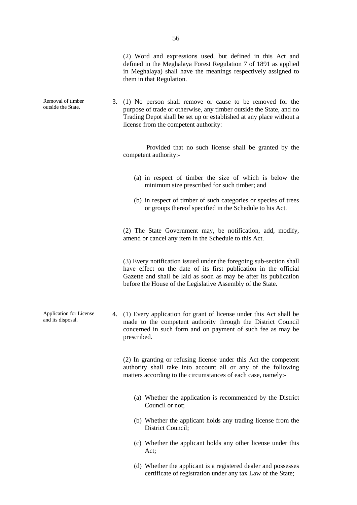(2) Word and expressions used, but defined in this Act and defined in the Meghalaya Forest Regulation 7 of 1891 as applied in Meghalaya) shall have the meanings respectively assigned to them in that Regulation.

3. (1) No person shall remove or cause to be removed for the purpose of trade or otherwise, any timber outside the State, and no Trading Depot shall be set up or established at any place without a license from the competent authority:

> Provided that no such license shall be granted by the competent authority:-

- (a) in respect of timber the size of which is below the minimum size prescribed for such timber; and
- (b) in respect of timber of such categories or species of trees or groups thereof specified in the Schedule to his Act.

(2) The State Government may, be notification, add, modify, amend or cancel any item in the Schedule to this Act.

(3) Every notification issued under the foregoing sub-section shall have effect on the date of its first publication in the official Gazette and shall be laid as soon as may be after its publication before the House of the Legislative Assembly of the State.

Application for License 4. (1) Every application for grant of license under this Act shall be made to the competent authority through the District Council concerned in such form and on payment of such fee as may be prescribed.

> (2) In granting or refusing license under this Act the competent authority shall take into account all or any of the following matters according to the circumstances of each case, namely:-

- (a) Whether the application is recommended by the District Council or not;
- (b) Whether the applicant holds any trading license from the District Council;
- (c) Whether the applicant holds any other license under this Act;
- (d) Whether the applicant is a registered dealer and possesses certificate of registration under any tax Law of the State;

Removal of timber outside the State.

and its disposal.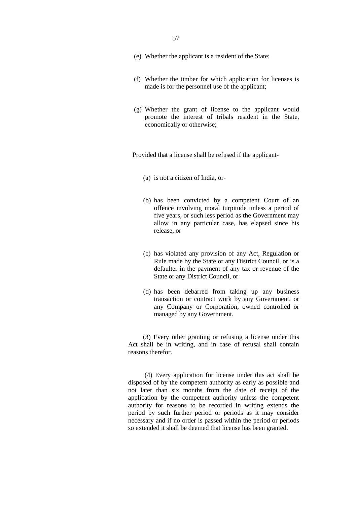- 57
- (e) Whether the applicant is a resident of the State;
- (f) Whether the timber for which application for licenses is made is for the personnel use of the applicant;
- (g) Whether the grant of license to the applicant would promote the interest of tribals resident in the State, economically or otherwise;

Provided that a license shall be refused if the applicant-

- (a) is not a citizen of India, or-
- (b) has been convicted by a competent Court of an offence involving moral turpitude unless a period of five years, or such less period as the Government may allow in any particular case, has elapsed since his release, or
- (c) has violated any provision of any Act, Regulation or Rule made by the State or any District Council, or is a defaulter in the payment of any tax or revenue of the State or any District Council, or
- (d) has been debarred from taking up any business transaction or contract work by any Government, or any Company or Corporation, owned controlled or managed by any Government.

(3) Every other granting or refusing a license under this Act shall be in writing, and in case of refusal shall contain reasons therefor.

(4) Every application for license under this act shall be disposed of by the competent authority as early as possible and not later than six months from the date of receipt of the application by the competent authority unless the competent authority for reasons to be recorded in writing extends the period by such further period or periods as it may consider necessary and if no order is passed within the period or periods so extended it shall be deemed that license has been granted.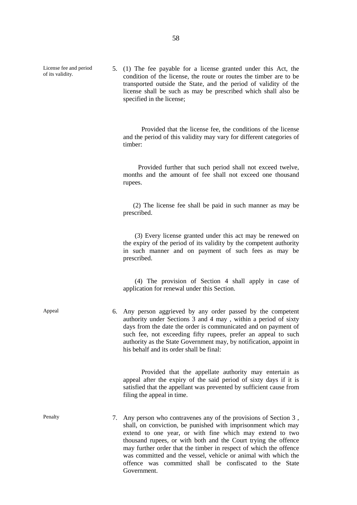License fee and period of its validity.

5. (1) The fee payable for a license granted under this Act, the condition of the license, the route or routes the timber are to be transported outside the State, and the period of validity of the license shall be such as may be prescribed which shall also be specified in the license;

Provided that the license fee, the conditions of the license and the period of this validity may vary for different categories of timber:

Provided further that such period shall not exceed twelve, months and the amount of fee shall not exceed one thousand rupees.

(2) The license fee shall be paid in such manner as may be prescribed.

(3) Every license granted under this act may be renewed on the expiry of the period of its validity by the competent authority in such manner and on payment of such fees as may be prescribed.

(4) The provision of Section 4 shall apply in case of application for renewal under this Section.

Appeal 6. Any person aggrieved by any order passed by the competent authority under Sections 3 and 4 may , within a period of sixty days from the date the order is communicated and on payment of such fee, not exceeding fifty rupees, prefer an appeal to such authority as the State Government may, by notification, appoint in his behalf and its order shall be final:

> Provided that the appellate authority may entertain as appeal after the expiry of the said period of sixty days if it is satisfied that the appellant was prevented by sufficient cause from filing the appeal in time.

Penalty 7. Any person who contravenes any of the provisions of Section 3, shall, on conviction, be punished with imprisonment which may extend to one year, or with fine which may extend to two thousand rupees, or with both and the Court trying the offence may further order that the timber in respect of which the offence was committed and the vessel, vehicle or animal with which the offence was committed shall be confiscated to the State Government.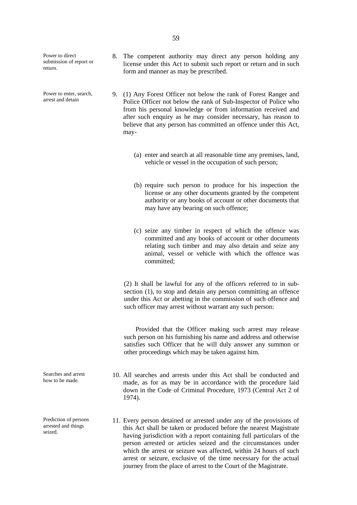Power to direct submission of report or return.

Power to enter, search arrest and detain

- 8. The competent authority may direct any person holding any license under this Act to submit such report or return and in such form and manner as may be prescribed.
- 9. (1) Any Forest Officer not below the rank of Forest Ranger and Police Officer not below the rank of Sub-Inspector of Police who from his personal knowledge or from information received and after such enquiry as he may consider necessary, has reason to believe that any person has committed an offence under this Act, may-
	- (a) enter and search at all reasonable time any premises, land, vehicle or vessel in the occupation of such person;
	- (b) require such person to produce for his inspection the license or any other documents granted by the competent authority or any books of account or other documents that may have any bearing on such offence;
	- (c) seize any timber in respect of which the offence was committed and any books of account or other documents relating such timber and may also detain and seize any animal, vessel or vehicle with which the offence was committed;

(2) It shall be lawful for any of the officers referred to in sub section (1), to stop and detain any person committing an offence under this Act or abetting in the commission of such offence and such officer may arrest without warrant any such person:

Provided that the Officer making such arrest may release such person on his furnishing his name and address and otherwise satisfies such Officer that he will duly answer any summon or other proceedings which may be taken against him.

- 10. All searches and arrests under this Act shall be conducted and made, as for as may be in accordance with the procedure laid down in the Code of Criminal Procedure, 1973 (Central Act 2 of 1974).
- 11. Every person detained or arrested under any of the provisions of this Act shall be taken or produced before the nearest Magistrate having jurisdiction with a report containing full particulars of the person arrested or articles seized and the circumstances under which the arrest or seizure was affected, within 24 hours of such arrest or seizure, exclusive of the time necessary for the actual journey from the place of arrest to the Court of the Magistrate.

Searches and arrest how to be made.

Prediction of persons arrested and things seized.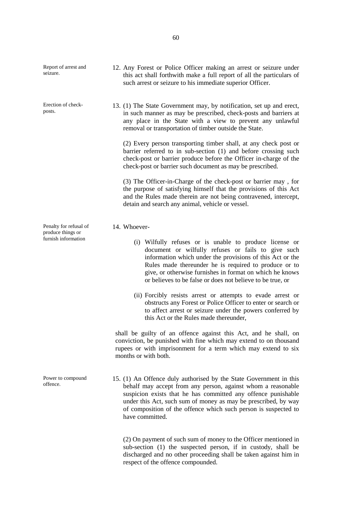| Report of arrest and<br>seizure.                                   | 12. Any Forest or Police Officer making an arrest or seizure under<br>this act shall forthwith make a full report of all the particulars of<br>such arrest or seizure to his immediate superior Officer.                                                                                                                                                                                                                                                                                                                                                                                                                                                                                                                                                                                                                       |
|--------------------------------------------------------------------|--------------------------------------------------------------------------------------------------------------------------------------------------------------------------------------------------------------------------------------------------------------------------------------------------------------------------------------------------------------------------------------------------------------------------------------------------------------------------------------------------------------------------------------------------------------------------------------------------------------------------------------------------------------------------------------------------------------------------------------------------------------------------------------------------------------------------------|
| Erection of check-<br>posts.                                       | 13. (1) The State Government may, by notification, set up and erect,<br>in such manner as may be prescribed, check-posts and barriers at<br>any place in the State with a view to prevent any unlawful<br>removal or transportation of timber outside the State.<br>(2) Every person transporting timber shall, at any check post or<br>barrier referred to in sub-section (1) and before crossing such<br>check-post or barrier produce before the Officer in-charge of the<br>check-post or barrier such document as may be prescribed.<br>(3) The Officer-in-Charge of the check-post or barrier may, for<br>the purpose of satisfying himself that the provisions of this Act<br>and the Rules made therein are not being contravened, intercept,<br>detain and search any animal, vehicle or vessel.                      |
| Penalty for refusal of<br>produce things or<br>furnish information | 14. Whoever-<br>(i) Wilfully refuses or is unable to produce license or<br>document or wilfully refuses or fails to give such<br>information which under the provisions of this Act or the<br>Rules made thereunder he is required to produce or to<br>give, or otherwise furnishes in format on which he knows<br>or believes to be false or does not believe to be true, or<br>(ii) Forcibly resists arrest or attempts to evade arrest or<br>obstructs any Forest or Police Officer to enter or search or<br>to affect arrest or seizure under the powers conferred by<br>this Act or the Rules made thereunder,<br>shall be guilty of an offence against this Act, and he shall, on<br>conviction, be punished with fine which may extend to on thousand<br>rupees or with imprisonment for a term which may extend to six |
| Power to compound<br>offence.                                      | months or with both.<br>15. (1) An Offence duly authorised by the State Government in this<br>behalf may accept from any person, against whom a reasonable<br>suspicion exists that he has committed any offence punishable<br>under this Act, such sum of money as may be prescribed, by way<br>of composition of the offence which such person is suspected to<br>have committed.<br>(2) On payment of such sum of money to the Officer mentioned in                                                                                                                                                                                                                                                                                                                                                                         |

(2) On payment of such sum of money to the Officer mentioned in sub-section (1) the suspected person, if in custody, shall be discharged and no other proceeding shall be taken against him in respect of the offence compounded.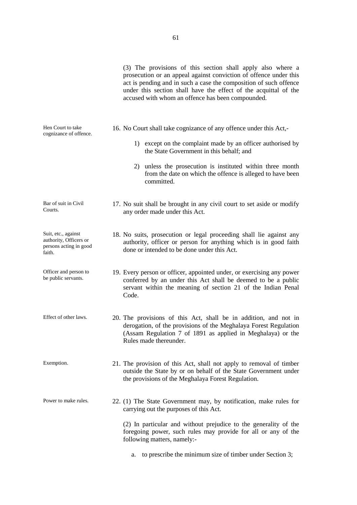(3) The provisions of this section shall apply also where a prosecution or an appeal against conviction of offence under this act is pending and in such a case the composition of such offence under this section shall have the effect of the acquittal of the accused with whom an offence has been compounded. Hen Court to take cognizance of offence. 16. No Court shall take cognizance of any offence under this Act,- 1) except on the complaint made by an officer authorised by the State Government in this behalf; and 2) unless the prosecution is instituted within three month from the date on which the offence is alleged to have been committed. Bar of suit in Civil Courts. 17. No suit shall be brought in any civil court to set aside or modify any order made under this Act. Suit, etc., against authority, Officers or persons acting in good faith. 18. No suits, prosecution or legal proceeding shall lie against any authority, officer or person for anything which is in good faith done or intended to be done under this Act. Officer and person to be public servants. 19. Every person or officer, appointed under, or exercising any power conferred by an under this Act shall be deemed to be a public servant within the meaning of section 21 of the Indian Penal Code. Effect of other laws. 20. The provisions of this Act, shall be in addition, and not in derogation, of the provisions of the Meghalaya Forest Regulation (Assam Regulation 7 of 1891 as applied in Meghalaya) or the Rules made thereunder. Exemption. 21. The provision of this Act, shall not apply to removal of timber outside the State by or on behalf of the State Government under the provisions of the Meghalaya Forest Regulation. Power to make rules. 22. (1) The State Government may, by notification, make rules for carrying out the purposes of this Act. (2) In particular and without prejudice to the generality of the foregoing power, such rules may provide for all or any of the following matters, namely:-

a. to prescribe the minimum size of timber under Section 3;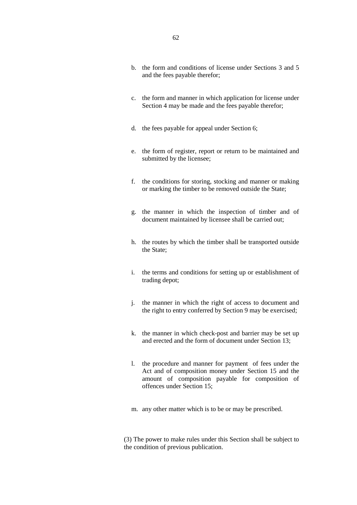- b. the form and conditions of license under Sections 3 and 5 and the fees payable therefor;
- c. the form and manner in which application for license under Section 4 may be made and the fees payable therefor;
- d. the fees payable for appeal under Section 6;
- e. the form of register, report or return to be maintained and submitted by the licensee;
- f. the conditions for storing, stocking and manner or making or marking the timber to be removed outside the State;
- g. the manner in which the inspection of timber and of document maintained by licensee shall be carried out;
- h. the routes by which the timber shall be transported outside the State;
- i. the terms and conditions for setting up or establishment of trading depot;
- j. the manner in which the right of access to document and the right to entry conferred by Section 9 may be exercised;
- k. the manner in which check-post and barrier may be set up and erected and the form of document under Section 13;
- l. the procedure and manner for payment of fees under the Act and of composition money under Section 15 and the amount of composition payable for composition of offences under Section 15;
- m. any other matter which is to be or may be prescribed.

(3) The power to make rules under this Section shall be subject to the condition of previous publication.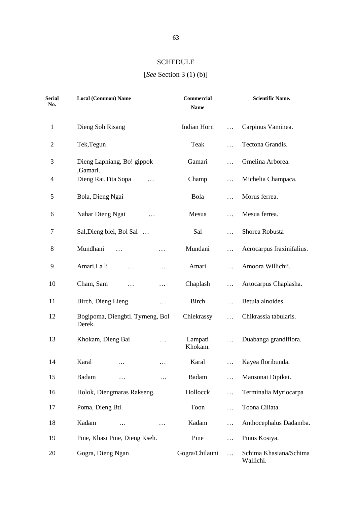# **SCHEDULE**

# [*See* Section 3 (1) (b)]

| <b>Serial</b><br>No. | <b>Local (Common) Name</b>                 | <b>Commercial</b><br><b>Name</b> | <b>Scientific Name.</b>             |
|----------------------|--------------------------------------------|----------------------------------|-------------------------------------|
| $\mathbf{1}$         | Dieng Soh Risang                           | Indian Horn<br>.                 | Carpinus Vaminea.                   |
| $\mathfrak{2}$       | Tek, Tegun                                 | Teak<br>$\ddotsc$                | Tectona Grandis.                    |
| 3                    | Dieng Laphiang, Bo! gippok                 | Gamari<br>.                      | Gmelina Arborea.                    |
| 4                    | ,Gamari.<br>Dieng Rai, Tita Sopa           | Champ<br>.                       | Michelia Champaca.                  |
| 5                    | Bola, Dieng Ngai                           | Bola<br>.                        | Morus ferrea.                       |
| 6                    | Nahar Dieng Ngai<br>.                      | Mesua<br>$\cdots$                | Mesua ferrea.                       |
| 7                    | Sal, Dieng blei, Bol Sal                   | Sal<br>$\cdots$                  | Shorea Robusta                      |
| 8                    | Mundhani<br>$\ddotsc$<br>.                 | Mundani<br>$\cdots$              | Acrocarpus fraxinifalius.           |
| 9                    | Amari, La li<br>.<br>$\cdots$              | Amari<br>$\cdots$                | Amoora Willichii.                   |
| 10                   | Cham, Sam<br>$\cdots$<br>.                 | Chaplash<br>$\cdots$             | Artocarpus Chaplasha.               |
| 11                   | Birch, Dieng Lieng<br>.                    | Birch<br>.                       | Betula alnoides.                    |
| 12                   | Bogipoma, Diengbti. Tyrneng, Bol<br>Derek. | Chiekrassy<br>$\cdots$           | Chikrassia tabularis.               |
| 13                   | Khokam, Dieng Bai<br>$\cdots$              | Lampati<br>$\cdots$<br>Khokam.   | Duabanga grandiflora.               |
| 14                   | Karal                                      | Karal                            | Kayea floribunda.                   |
| 15                   | Badam<br>.<br>.                            | Badam<br>.                       | Mansonai Dipikai.                   |
| 16                   | Holok, Diengmaras Rakseng.                 | Hollocck<br>.                    | Terminalia Myriocarpa               |
| 17                   | Poma, Dieng Bti.                           | Toon<br>.                        | Toona Ciliata.                      |
| 18                   | Kadam<br>$\cdots$                          | Kadam<br>.                       | Anthocephalus Dadamba.              |
| 19                   | Pine, Khasi Pine, Dieng Kseh.              | Pine<br>.                        | Pinus Kosiya.                       |
| 20                   | Gogra, Dieng Ngan                          | Gogra/Chilauni<br>$\cdots$       | Schima Khasiana/Schima<br>Wallichi. |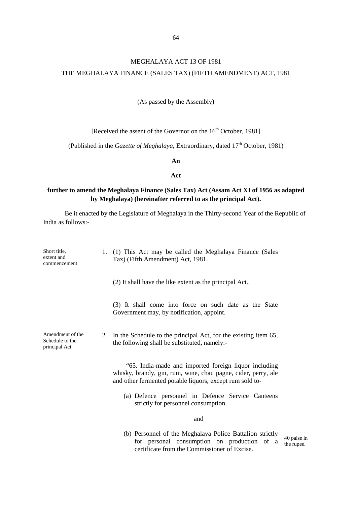# MEGHALAYA ACT 13 OF 1981 THE MEGHALAYA FINANCE (SALES TAX) (FIFTH AMENDMENT) ACT, 1981

### (As passed by the Assembly)

[Received the assent of the Governor on the 16<sup>th</sup> October, 1981]

(Published in the *Gazette of Meghalaya*, Extraordinary, dated 17<sup>th</sup> October, 1981)

**An**

#### **Act**

## **further to amend the Meghalaya Finance (Sales Tax) Act (Assam Act XI of 1956 as adapted by Meghalaya) (hereinafter referred to as the principal Act).**

| Short title,<br>extent and<br>commencement            | 1. | (1) This Act may be called the Meghalaya Finance (Sales<br>Tax) (Fifth Amendment) Act, 1981.                                                                                       |                           |
|-------------------------------------------------------|----|------------------------------------------------------------------------------------------------------------------------------------------------------------------------------------|---------------------------|
|                                                       |    | (2) It shall have the like extent as the principal Act                                                                                                                             |                           |
|                                                       |    | (3) It shall come into force on such date as the State<br>Government may, by notification, appoint.                                                                                |                           |
| Amendment of the<br>Schedule to the<br>principal Act. |    | 2. In the Schedule to the principal Act, for the existing item 65,<br>the following shall be substituted, namely:-                                                                 |                           |
|                                                       |    | "65. India-made and imported foreign liquor including<br>whisky, brandy, gin, rum, wine, chau pagne, cider, perry, ale<br>and other fermented potable liquors, except rum sold to- |                           |
|                                                       |    | (a) Defence personnel in Defence Service Canteens<br>strictly for personnel consumption.                                                                                           |                           |
|                                                       |    | and                                                                                                                                                                                |                           |
|                                                       |    | (b) Personnel of the Meghalaya Police Battalion strictly<br>for personal consumption on production of a<br>certificate from the Commissioner of Excise.                            | 40 paise in<br>the rupee. |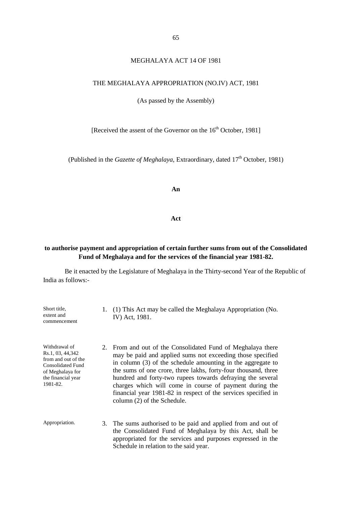### MEGHALAYA ACT 14 OF 1981

### THE MEGHALAYA APPROPRIATION (NO.IV) ACT, 1981

(As passed by the Assembly)

[Received the assent of the Governor on the 16<sup>th</sup> October, 1981]

(Published in the *Gazette of Meghalaya*, Extraordinary, dated 17<sup>th</sup> October, 1981)

**An**

#### **Act**

## **to authorise payment and appropriation of certain further sums from out of the Consolidated Fund of Meghalaya and for the services of the financial year 1981-82.**

| Short title,<br>extent and<br>commencement                                                                                          | 1. (1) This Act may be called the Meghalaya Appropriation (No.<br>IV) Act, 1981.                                                                                                                                                                                                                                                                                                                                                                                                     |
|-------------------------------------------------------------------------------------------------------------------------------------|--------------------------------------------------------------------------------------------------------------------------------------------------------------------------------------------------------------------------------------------------------------------------------------------------------------------------------------------------------------------------------------------------------------------------------------------------------------------------------------|
| Withdrawal of<br>Rs.1, 03, 44,342<br>from and out of the<br>Consolidated Fund<br>of Meghalaya for<br>the financial year<br>1981-82. | 2. From and out of the Consolidated Fund of Meghalaya there<br>may be paid and applied sums not exceeding those specified<br>in column (3) of the schedule amounting in the aggregate to<br>the sums of one crore, three lakhs, forty-four thousand, three<br>hundred and forty-two rupees towards defraying the several<br>charges which will come in course of payment during the<br>financial year 1981-82 in respect of the services specified in<br>column (2) of the Schedule. |
| Appropriation.                                                                                                                      | 3. The sums authorised to be paid and applied from and out of<br>the Consolidated Fund of Meghalaya by this Act, shall be<br>appropriated for the services and purposes expressed in the<br>Schedule in relation to the said year.                                                                                                                                                                                                                                                   |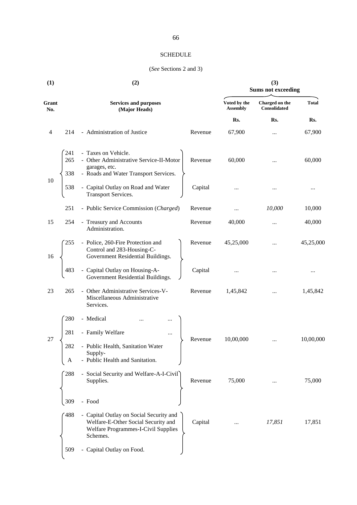### **SCHEDULE**

### (*See* Sections 2 and 3)

| (1)            |                 | (2)                                                                                                                               | (3)<br><b>Sums not exceeding</b> |                                 |                                |              |
|----------------|-----------------|-----------------------------------------------------------------------------------------------------------------------------------|----------------------------------|---------------------------------|--------------------------------|--------------|
| Grant<br>No.   |                 | <b>Services and purposes</b><br>(Major Heads)                                                                                     |                                  | Voted by the<br><b>Assembly</b> | Charged on the<br>Consolidated | <b>Total</b> |
|                |                 |                                                                                                                                   |                                  | Rs.                             | Rs.                            | Rs.          |
| $\overline{4}$ | 214             | - Administration of Justice                                                                                                       | Revenue                          | 67,900                          |                                | 67,900       |
|                | 241<br>265      | - Taxes on Vehicle.<br>- Other Administrative Service-II-Motor<br>garages, etc.                                                   | Revenue                          | 60,000                          |                                | 60,000       |
| 10             | 338<br>538      | - Roads and Water Transport Services.<br>- Capital Outlay on Road and Water<br><b>Transport Services.</b>                         | Capital                          |                                 |                                | $\cdots$     |
|                | 251             | - Public Service Commission (Charged)                                                                                             | Revenue                          |                                 | 10,000                         | 10,000       |
| 15             | 254             | - Treasury and Accounts<br>Administration.                                                                                        | Revenue                          | 40,000                          |                                | 40,000       |
| 16             | 255             | - Police, 260-Fire Protection and<br>Control and 283-Housing-C-<br>Government Residential Buildings.                              | Revenue                          | 45,25,000                       |                                | 45,25,000    |
|                | 483             | Capital Outlay on Housing-A-<br>Government Residential Buildings.                                                                 | Capital                          |                                 |                                |              |
| 23             | 265             | Other Administrative Services-V-<br>Miscellaneous Administrative<br>Services.                                                     | Revenue                          | 1,45,842                        |                                | 1,45,842     |
|                | 280             | - Medical                                                                                                                         |                                  |                                 |                                |              |
| 27             | 281<br>282<br>A | - Family Welfare<br><br>- Public Health, Sanitation Water<br>Supply-<br>Public Health and Sanitation.                             | Revenue                          | 10,00,000                       |                                | 10,00,000    |
|                | 288             | - Social Security and Welfare-A-I-Civil<br>Supplies.                                                                              | Revenue                          | 75,000                          |                                | 75,000       |
|                | 309             | - Food                                                                                                                            |                                  |                                 |                                |              |
|                | 488             | - Capital Outlay on Social Security and<br>Welfare-E-Other Social Security and<br>Welfare Programmes-I-Civil Supplies<br>Schemes. | Capital                          |                                 | 17,851                         | 17,851       |
|                | 509             | - Capital Outlay on Food.                                                                                                         |                                  |                                 |                                |              |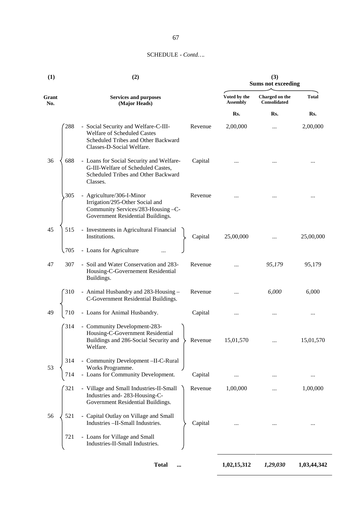### 67

### SCHEDULE - *Contd….*

| (1)          |              | (2)                                                                                                                                     |         |                                 | (3)<br><b>Sums not exceeding</b> |              |  |
|--------------|--------------|-----------------------------------------------------------------------------------------------------------------------------------------|---------|---------------------------------|----------------------------------|--------------|--|
| Grant<br>No. |              | <b>Services and purposes</b><br>(Major Heads)                                                                                           |         | Voted by the<br><b>Assembly</b> | Charged on the<br>Consolidated   | <b>Total</b> |  |
|              |              |                                                                                                                                         |         | Rs.                             | Rs.                              | Rs.          |  |
|              | 288          | - Social Security and Welfare-C-III-<br>Welfare of Scheduled Castes<br>Scheduled Tribes and Other Backward<br>Classes-D-Social Welfare. | Revenue | 2,00,000                        |                                  | 2,00,000     |  |
| 36           | 688          | - Loans for Social Security and Welfare-<br>G-III-Welfare of Scheduled Castes,<br>Scheduled Tribes and Other Backward<br>Classes.       | Capital |                                 |                                  |              |  |
|              | 305          | - Agriculture/306-I-Minor<br>Irrigation/295-Other Social and<br>Community Services/283-Housing -C-<br>Government Residential Buildings. | Revenue |                                 |                                  |              |  |
| 45           | 515          | - Investments in Agricultural Financial<br>Institutions.                                                                                | Capital | 25,00,000                       |                                  | 25,00,000    |  |
|              | $\sqrt{705}$ | - Loans for Agriculture                                                                                                                 |         |                                 |                                  |              |  |
| 47           | 307          | - Soil and Water Conservation and 283-<br>Housing-C-Governement Residential<br>Buildings.                                               | Revenue |                                 | 95,179                           | 95,179       |  |
|              | 310          | - Animal Husbandry and 283-Housing -<br>C-Government Residential Buildings.                                                             | Revenue |                                 | 6,000                            | 6,000        |  |
| 49           | 710          | - Loans for Animal Husbandry.                                                                                                           | Capital |                                 |                                  |              |  |
|              | 314          | - Community Development-283-<br>Housing-C-Government Residential<br>Buildings and 286-Social Security and<br>Welfare.                   | Revenue | 15,01,570                       |                                  | 15,01,570    |  |
| 53           | 314<br>714   | - Community Development -II-C-Rural<br>Works Programme.<br>- Loans for Community Development.                                           | Capital |                                 |                                  |              |  |
|              | 321          | - Village and Small Industries-II-Small<br>Industries and-283-Housing-C-<br>Government Residential Buildings.                           | Revenue | 1,00,000                        |                                  | 1,00,000     |  |
| 56           | 521          | - Capital Outlay on Village and Small<br>Industries - II-Small Industries.                                                              | Capital |                                 |                                  |              |  |
|              | 721          | - Loans for Village and Small<br>Industries-II-Small Industries.                                                                        |         |                                 |                                  |              |  |

**Total ... 1,02,15,312** *1,29,030* **1,03,44,342**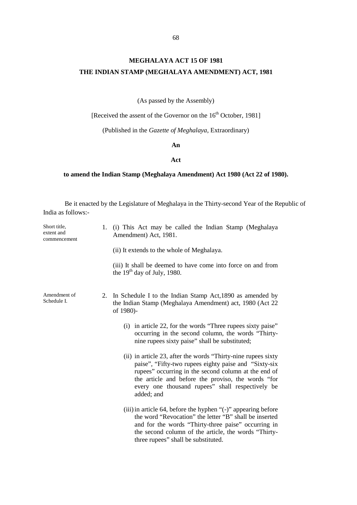# **MEGHALAYA ACT 15 OF 1981 THE INDIAN STAMP (MEGHALAYA AMENDMENT) ACT, 1981**

(As passed by the Assembly)

[Received the assent of the Governor on the 16<sup>th</sup> October, 1981]

(Published in the *Gazette of Meghalaya*, Extraordinary)

**An**

#### **Act**

### **to amend the Indian Stamp (Meghalaya Amendment) Act 1980 (Act 22 of 1980).**

| Short title,<br>extent and<br>commencement |  | (i) This Act may be called the Indian Stamp (Meghalaya<br>Amendment) Act, 1981.                                                                                                                                                                                                                        |
|--------------------------------------------|--|--------------------------------------------------------------------------------------------------------------------------------------------------------------------------------------------------------------------------------------------------------------------------------------------------------|
|                                            |  | (ii) It extends to the whole of Meghalaya.                                                                                                                                                                                                                                                             |
|                                            |  | (iii) It shall be deemed to have come into force on and from<br>the $19th$ day of July, 1980.                                                                                                                                                                                                          |
| Amendment of<br>Schedule I.                |  | 2. In Schedule I to the Indian Stamp Act, 1890 as amended by<br>the Indian Stamp (Meghalaya Amendment) act, 1980 (Act 22<br>of 1980)-                                                                                                                                                                  |
|                                            |  | (i) in article 22, for the words "Three rupees sixty paise"<br>occurring in the second column, the words "Thirty-<br>nine rupees sixty paise" shall be substituted;                                                                                                                                    |
|                                            |  | (ii) in article 23, after the words "Thirty-nine rupees sixty<br>paise", "Fifty-two rupees eighty paise and "Sixty-six<br>rupees" occurring in the second column at the end of<br>the article and before the proviso, the words "for<br>every one thousand rupees" shall respectively be<br>added; and |
|                                            |  | (iii) in article 64, before the hyphen "(-)" appearing before<br>the word "Revocation" the letter "B" shall be inserted<br>and for the words "Thirty-three paise" occurring in<br>the second column of the article, the words "Thirty-<br>three rupees" shall be substituted.                          |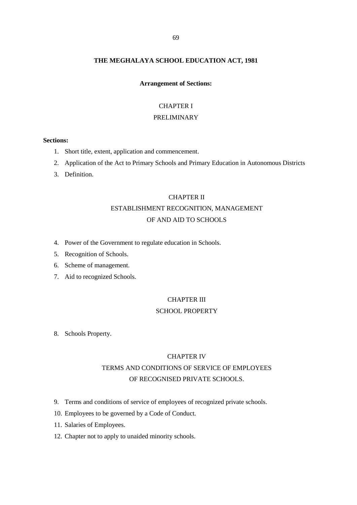### **THE MEGHALAYA SCHOOL EDUCATION ACT, 1981**

#### **Arrangement of Sections:**

### CHAPTER I

### PRELIMINARY

### **Sections:**

- 1. Short title, extent, application and commencement.
- 2. Application of the Act to Primary Schools and Primary Education in Autonomous Districts
- 3. Definition.

### CHAPTER II

# ESTABLISHMENT RECOGNITION, MANAGEMENT OF AND AID TO SCHOOLS

- 4. Power of the Government to regulate education in Schools.
- 5. Recognition of Schools.
- 6. Scheme of management.
- 7. Aid to recognized Schools.

#### CHAPTER III

#### SCHOOL PROPERTY

8. Schools Property.

#### CHAPTER IV

# TERMS AND CONDITIONS OF SERVICE OF EMPLOYEES OF RECOGNISED PRIVATE SCHOOLS.

- 9. Terms and conditions of service of employees of recognized private schools.
- 10. Employees to be governed by a Code of Conduct.
- 11. Salaries of Employees.
- 12. Chapter not to apply to unaided minority schools.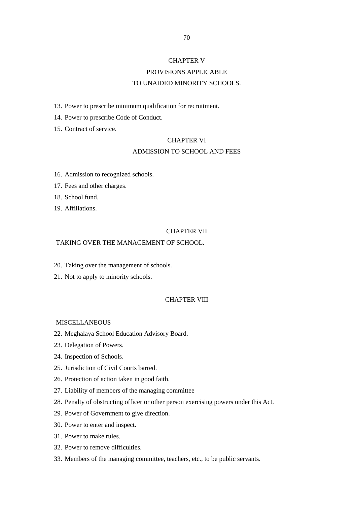# CHAPTER V PROVISIONS APPLICABLE TO UNAIDED MINORITY SCHOOLS.

13. Power to prescribe minimum qualification for recruitment.

14. Power to prescribe Code of Conduct.

15. Contract of service.

### CHAPTER VI

### ADMISSION TO SCHOOL AND FEES

- 16. Admission to recognized schools.
- 17. Fees and other charges.
- 18. School fund.
- 19. Affiliations.

### CHAPTER VII

### TAKING OVER THE MANAGEMENT OF SCHOOL.

- 20. Taking over the management of schools.
- 21. Not to apply to minority schools.

### CHAPTER VIII

#### MISCELLANEOUS

- 22. Meghalaya School Education Advisory Board.
- 23. Delegation of Powers.
- 24. Inspection of Schools.
- 25. Jurisdiction of Civil Courts barred.
- 26. Protection of action taken in good faith.
- 27. Liability of members of the managing committee
- 28. Penalty of obstructing officer or other person exercising powers under this Act.
- 29. Power of Government to give direction.
- 30. Power to enter and inspect.
- 31. Power to make rules.
- 32. Power to remove difficulties.
- 33. Members of the managing committee, teachers, etc., to be public servants.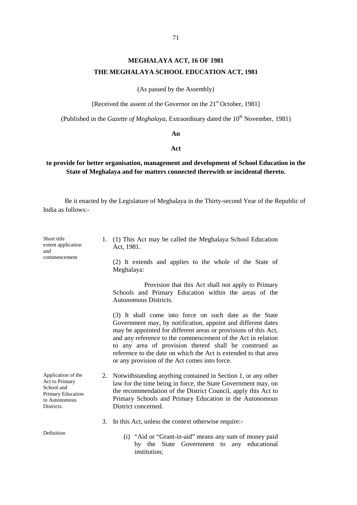## 71

# **MEGHALAYA ACT, 16 OF 1981 THE MEGHALAYA SCHOOL EDUCATION ACT, 1981**

(As passed by the Assembly)

[Received the assent of the Governor on the 21<sup>st</sup> October, 1981]

(Published in the *Gazette of Meghalaya*, Extraordinary dated the 10<sup>th</sup> November, 1981)

#### **An**

#### **Act**

## **to provide for better organisation, management and development of School Education in the State of Meghalaya and for matters connected therewith or incidental thereto.**

Be it enacted by the Legislature of Meghalaya in the Thirty-second Year of the Republic of India as follows:-

| Short title<br>extent application<br>and<br>commencement                                               |    | 1. (1) This Act may be called the Meghalaya School Education<br>Act, 1981.                                                                                                                                                                                                                                                                                                                                                              |
|--------------------------------------------------------------------------------------------------------|----|-----------------------------------------------------------------------------------------------------------------------------------------------------------------------------------------------------------------------------------------------------------------------------------------------------------------------------------------------------------------------------------------------------------------------------------------|
|                                                                                                        |    | (2) It extends and applies to the whole of the State of<br>Meghalaya:                                                                                                                                                                                                                                                                                                                                                                   |
|                                                                                                        |    | Provision that this Act shall not apply to Primary<br>Schools and Primary Education within the areas of the<br>Autonomous Districts.                                                                                                                                                                                                                                                                                                    |
|                                                                                                        |    | (3) It shall come into force on such date as the State<br>Government may, by notification, appoint and different dates<br>may be appointed for different areas or provisions of this Act,<br>and any reference to the commencement of the Act in relation<br>to any area of provision thereof shall be construed as<br>reference to the date on which the Act is extended to that area<br>or any provision of the Act comes into force. |
| Application of the<br>Act to Primary<br>School and<br>Primary Education<br>in Autonomous<br>Districts. | 2. | Notwithstanding anything contained in Section 1, or any other<br>law for the time being in force, the State Government may, on<br>the recommendation of the District Council, apply this Act to<br>Primary Schools and Primary Education in the Autonomous<br>District concerned.                                                                                                                                                       |
|                                                                                                        |    | 3. In this Act, unless the context otherwise require:-                                                                                                                                                                                                                                                                                                                                                                                  |
| Definition                                                                                             |    | (i) "Aid or "Grant-in-aid" means any sum of money paid<br>by the State<br>Government to any educational<br>institution;                                                                                                                                                                                                                                                                                                                 |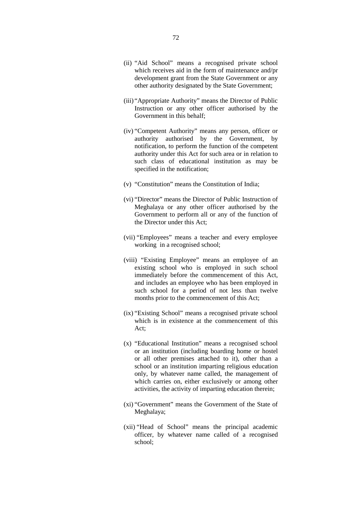- (ii) "Aid School" means a recognised private school which receives aid in the form of maintenance and/pr development grant from the State Government or any other authority designated by the State Government;
- (iii) "Appropriate Authority" means the Director of Public Instruction or any other officer authorised by the Government in this behalf;
- (iv) "Competent Authority" means any person, officer or authority authorised by the Government, by notification, to perform the function of the competent authority under this Act for such area or in relation to such class of educational institution as may be specified in the notification;
- (v) "Constitution" means the Constitution of India;
- (vi) "Director" means the Director of Public Instruction of Meghalaya or any other officer authorised by the Government to perform all or any of the function of the Director under this Act;
- (vii) "Employees" means a teacher and every employee working in a recognised school;
- (viii) "Existing Employee" means an employee of an existing school who is employed in such school immediately before the commencement of this Act, and includes an employee who has been employed in such school for a period of not less than twelve months prior to the commencement of this Act;
- (ix) "Existing School" means a recognised private school which is in existence at the commencement of this Act;
- (x) "Educational Institution" means a recognised school or an institution (including boarding home or hostel or all other premises attached to it), other than a school or an institution imparting religious education only, by whatever name called, the management of which carries on, either exclusively or among other activities, the activity of imparting education therein;
- (xi) "Government" means the Government of the State of Meghalaya;
- (xii) "Head of School" means the principal academic officer, by whatever name called of a recognised school;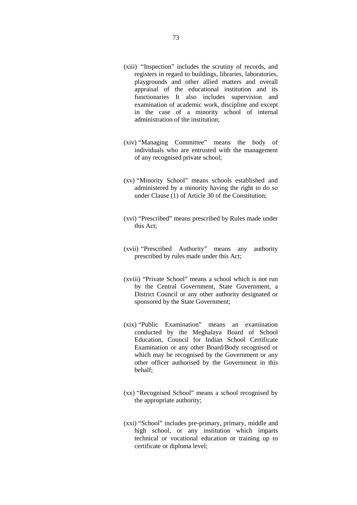- (xiii) "Inspection" includes the scrutiny of records, and registers in regard to buildings, libraries, laboratories, playgrounds and other allied matters and overall appraisal of the educational institution and its functionaries It also includes supervision and examination of academic work, discipline and except in the case of a minority school of internal administration of the institution;
- (xiv) "Managing Committee" means the body of individuals who are entrusted with the management of any recognised private school;
- (xv) "Minority School" means schools established and administered by a minority having the right to do so under Clause (1) of Article 30 of the Constitution;
- (xvi) "Prescribed" means prescribed by Rules made under this Act;
- (xvii) "Prescribed Authority" means any authority prescribed by rules made under this Act;
- (xviii) "Private School" means a school which is not run by the Central Government, State Government, a District Council or any other authority designated or sponsored by the State Government;
- (xix) "Public Examination" means an examination conducted by the Meghalaya Board of School Education, Council for Indian School Certificate Examination or any other Board/Body recognised or which may be recognised by the Government or any other officer authorised by the Government in this behalf;
- (xx) "Recognised School" means a school recognised by the appropriate authority;
- (xxi) "School" includes pre-primary, primary, middle and high school, or any institution which imparts technical or vocational education or training up to certificate or diploma level;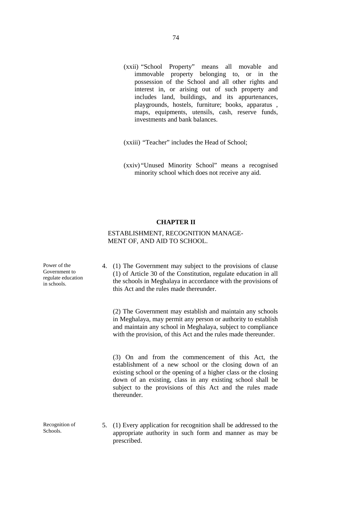- (xxii) "School Property" means all movable and immovable property belonging to, or in the possession of the School and all other rights and interest in, or arising out of such property and includes land, buildings, and its appurtenances, playgrounds, hostels, furniture; books, apparatus , maps, equipments, utensils, cash, reserve funds, investments and bank balances.
- (xxiii) "Teacher" includes the Head of School;
- (xxiv) "Unused Minority School" means a recognised minority school which does not receive any aid.

### **CHAPTER II**

## ESTABLISHMENT, RECOGNITION MANAGE- MENT OF, AND AID TO SCHOOL.

| Power of the<br>Government to<br>regulate education<br>in schools. | 4. (1) The Government may subject to the provisions of clause<br>(1) of Article 30 of the Constitution, regulate education in all<br>the schools in Meghalaya in accordance with the provisions of<br>this Act and the rules made thereunder.                                                                            |
|--------------------------------------------------------------------|--------------------------------------------------------------------------------------------------------------------------------------------------------------------------------------------------------------------------------------------------------------------------------------------------------------------------|
|                                                                    | (2) The Government may establish and maintain any schools<br>in Meghalaya, may permit any person or authority to establish<br>and maintain any school in Meghalaya, subject to compliance<br>with the provision, of this Act and the rules made thereunder.                                                              |
|                                                                    | (3) On and from the commencement of this Act, the<br>establishment of a new school or the closing down of an<br>existing school or the opening of a higher class or the closing<br>down of an existing, class in any existing school shall be<br>subject to the provisions of this Act and the rules made<br>thereunder. |
| Recognition of<br>Schools.                                         | 5. (1) Every application for recognition shall be addressed to the<br>appropriate authority in such form and manner as may be<br>prescribed.                                                                                                                                                                             |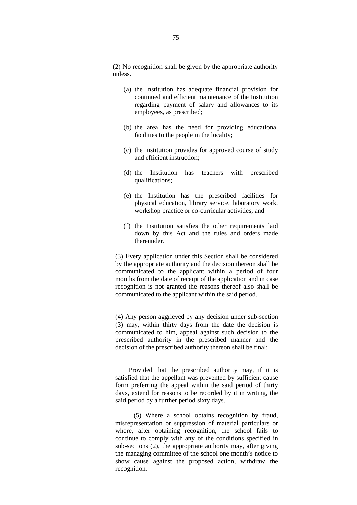(2) No recognition shall be given by the appropriate authority unless.

- (a) the Institution has adequate financial provision for continued and efficient maintenance of the Institution regarding payment of salary and allowances to its employees, as prescribed;
- (b) the area has the need for providing educational facilities to the people in the locality;
- (c) the Institution provides for approved course of study and efficient instruction;
- (d) the Institution has teachers with prescribed qualifications;
- (e) the Institution has the prescribed facilities for physical education, library service, laboratory work, workshop practice or co-curricular activities; and
- (f) the Institution satisfies the other requirements laid down by this Act and the rules and orders made thereunder.

(3) Every application under this Section shall be considered by the appropriate authority and the decision thereon shall be communicated to the applicant within a period of four months from the date of receipt of the application and in case recognition is not granted the reasons thereof also shall be communicated to the applicant within the said period.

(4) Any person aggrieved by any decision under sub-section (3) may, within thirty days from the date the decision is communicated to him, appeal against such decision to the prescribed authority in the prescribed manner and the decision of the prescribed authority thereon shall be final;

Provided that the prescribed authority may, if it is satisfied that the appellant was prevented by sufficient cause form preferring the appeal within the said period of thirty days, extend for reasons to be recorded by it in writing, the said period by a further period sixty days.

(5) Where a school obtains recognition by fraud, misrepresentation or suppression of material particulars or where, after obtaining recognition, the school fails to continue to comply with any of the conditions specified in sub-sections (2), the appropriate authority may, after giving the managing committee of the school one month's notice to show cause against the proposed action, withdraw the recognition.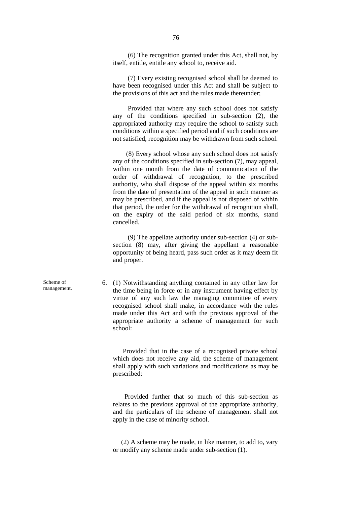(6) The recognition granted under this Act, shall not, by itself, entitle, entitle any school to, receive aid.

(7) Every existing recognised school shall be deemed to have been recognised under this Act and shall be subject to the provisions of this act and the rules made thereunder;

Provided that where any such school does not satisfy any of the conditions specified in sub-section (2), the appropriated authority may require the school to satisfy such conditions within a specified period and if such conditions are not satisfied, recognition may be withdrawn from such school.

(8) Every school whose any such school does not satisfy any of the conditions specified in sub-section (7), may appeal, within one month from the date of communication of the order of withdrawal of recognition, to the prescribed authority, who shall dispose of the appeal within six months from the date of presentation of the appeal in such manner as may be prescribed, and if the appeal is not disposed of within that period, the order for the withdrawal of recognition shall, on the expiry of the said period of six months, stand cancelled.

(9) The appellate authority under sub-section (4) or sub section (8) may, after giving the appellant a reasonable opportunity of being heard, pass such order as it may deem fit and proper.

6. (1) Notwithstanding anything contained in any other law for the time being in force or in any instrument having effect by virtue of any such law the managing committee of every recognised school shall make, in accordance with the rules made under this Act and with the previous approval of the appropriate authority a scheme of management for such school:

Provided that in the case of a recognised private school which does not receive any aid, the scheme of management shall apply with such variations and modifications as may be prescribed:

Provided further that so much of this sub-section as relates to the previous approval of the appropriate authority, and the particulars of the scheme of management shall not apply in the case of minority school.

(2) A scheme may be made, in like manner, to add to, vary or modify any scheme made under sub-section (1).

Scheme of management.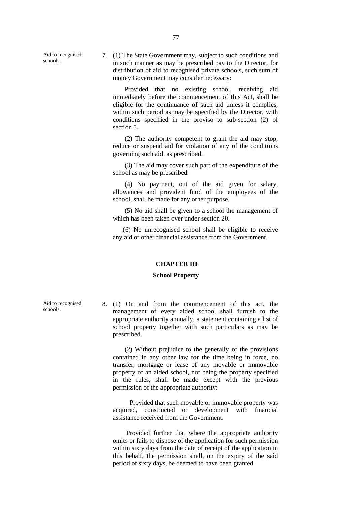Aid to recognised schools.

7. (1) The State Government may, subject to such conditions and in such manner as may be prescribed pay to the Director, for distribution of aid to recognised private schools, such sum of money Government may consider necessary:

Provided that no existing school, receiving aid immediately before the commencement of this Act, shall be eligible for the continuance of such aid unless it complies, within such period as may be specified by the Director, with conditions specified in the proviso to sub-section (2) of section 5.

(2) The authority competent to grant the aid may stop, reduce or suspend aid for violation of any of the conditions governing such aid, as prescribed.

(3) The aid may cover such part of the expenditure of the school as may be prescribed.

(4) No payment, out of the aid given for salary, allowances and provident fund of the employees of the school, shall be made for any other purpose.

(5) No aid shall be given to a school the management of which has been taken over under section 20.

(6) No unrecognised school shall be eligible to receive any aid or other financial assistance from the Government.

#### **CHAPTER III**

#### **School Property**

8. (1) On and from the commencement of this act, the management of every aided school shall furnish to the appropriate authority annually, a statement containing a list of school property together with such particulars as may be prescribed.

(2) Without prejudice to the generally of the provisions contained in any other law for the time being in force, no transfer, mortgage or lease of any movable or immovable property of an aided school, not being the property specified in the rules, shall be made except with the previous permission of the appropriate authority:

Provided that such movable or immovable property was acquired, constructed or development with financial assistance received from the Government:

Provided further that where the appropriate authority omits or fails to dispose of the application for such permission within sixty days from the date of receipt of the application in this behalf, the permission shall, on the expiry of the said period of sixty days, be deemed to have been granted.

Aid to recognised schools.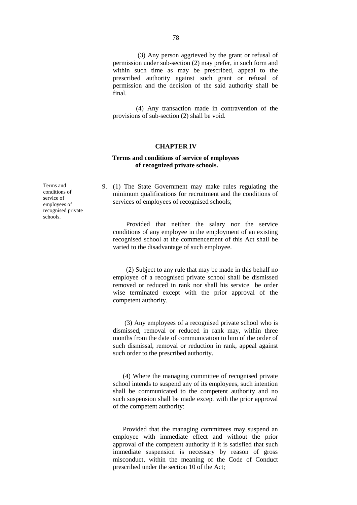(3) Any person aggrieved by the grant or refusal of permission under sub-section (2) may prefer, in such form and within such time as may be prescribed, appeal to the prescribed authority against such grant or refusal of permission and the decision of the said authority shall be final.

(4) Any transaction made in contravention of the provisions of sub-section (2) shall be void.

#### **CHAPTER IV**

### **Terms and conditions of service of employees of recognized private schools.**

9. (1) The State Government may make rules regulating the minimum qualifications for recruitment and the conditions of services of employees of recognised schools;

Provided that neither the salary nor the service conditions of any employee in the employment of an existing recognised school at the commencement of this Act shall be varied to the disadvantage of such employee.

(2) Subject to any rule that may be made in this behalf no employee of a recognised private school shall be dismissed removed or reduced in rank nor shall his service be order wise terminated except with the prior approval of the competent authority.

(3) Any employees of a recognised private school who is dismissed, removal or reduced in rank may, within three months from the date of communication to him of the order of such dismissal, removal or reduction in rank, appeal against such order to the prescribed authority.

(4) Where the managing committee of recognised private school intends to suspend any of its employees, such intention shall be communicated to the competent authority and no such suspension shall be made except with the prior approval of the competent authority:

Provided that the managing committees may suspend an employee with immediate effect and without the prior approval of the competent authority if it is satisfied that such immediate suspension is necessary by reason of gross misconduct, within the meaning of the Code of Conduct prescribed under the section 10 of the Act;

Terms and conditions of service of employees of recognised private schools.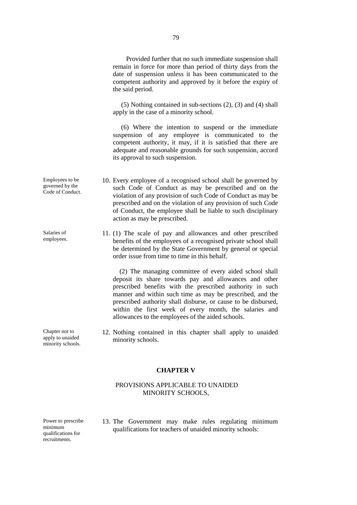Provided further that no such immediate suspension shall remain in force for more than period of thirty days from the date of suspension unless it has been communicated to the competent authority and approved by it before the expiry of the said period.

(5) Nothing contained in sub-sections (2), (3) and (4) shall apply in the case of a minority school.

(6) Where the intention to suspend or the immediate suspension of any employee is communicated to the competent authority, it may, if it is satisfied that there are adequate and reasonable grounds for such suspension, accord its approval to such suspension.

- 10. Every employee of a recognised school shall be governed by such Code of Conduct as may be prescribed and on the violation of any provision of such Code of Conduct as may be prescribed and on the violation of any provision of such Code of Conduct, the employee shall be liable to such disciplinary action as may be prescribed.
	- 11. (1) The scale of pay and allowances and other prescribed benefits of the employees of a recognised private school shall be determined by the State Government by general or special order issue from time to time in this behalf.

(2) The managing committee of every aided school shall deposit its share towards pay and allowances and other prescribed benefits with the prescribed authority in such manner and within such time as may be prescribed, and the prescribed authority shall disburse, or cause to be disbursed, within the first week of every month, the salaries and allowances to the employees of the aided schools.

12. Nothing contained in this chapter shall apply to unaided minority schools.

#### **CHAPTER V**

### PROVISIONS APPLICABLE TO UNAIDED MINORITY SCHOOLS,

Power to prescribe minimum qualifications for recruitments.

13. The Government may make rules regulating minimum qualifications for teachers of unaided minority schools:

Employees to be governed by the Code of Conduct.

Salaries of employees.

Chapter not to apply to unaided minority schools.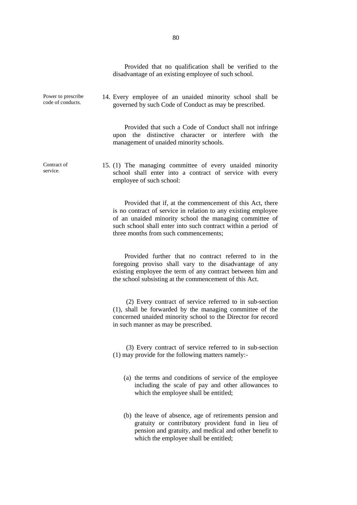Provided that no qualification shall be verified to the disadvantage of an existing employee of such school.

Power to prescribe code of conducts.

Contract of service.

14. Every employee of an unaided minority school shall be governed by such Code of Conduct as may be prescribed.

Provided that such a Code of Conduct shall not infringe upon the distinctive character or interfere with the management of unaided minority schools.

15. (1) The managing committee of every unaided minority school shall enter into a contract of service with every employee of such school:

> Provided that if, at the commencement of this Act, there is no contract of service in relation to any existing employee of an unaided minority school the managing committee of such school shall enter into such contract within a period of three months from such commencements;

> Provided further that no contract referred to in the foregoing proviso shall vary to the disadvantage of any existing employee the term of any contract between him and the school subsisting at the commencement of this Act.

> (2) Every contract of service referred to in sub-section (1), shall be forwarded by the managing committee of the concerned unaided minority school to the Director for record in such manner as may be prescribed.

> (3) Every contract of service referred to in sub-section (1) may provide for the following matters namely:-

- (a) the terms and conditions of service of the employee including the scale of pay and other allowances to which the employee shall be entitled;
- (b) the leave of absence, age of retirements pension and gratuity or contributory provident fund in lieu of pension and gratuity, and medical and other benefit to which the employee shall be entitled;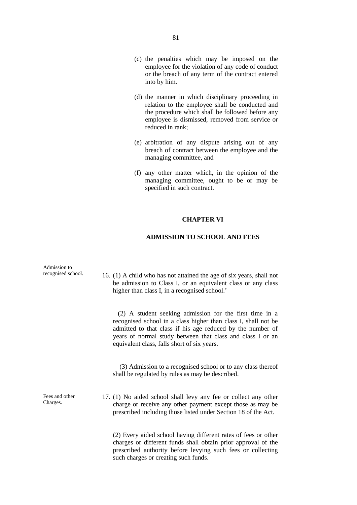- (c) the penalties which may be imposed on the employee for the violation of any code of conduct or the breach of any term of the contract entered into by him.
- (d) the manner in which disciplinary proceeding in relation to the employee shall be conducted and the procedure which shall be followed before any employee is dismissed, removed from service or reduced in rank;
- (e) arbitration of any dispute arising out of any breach of contract between the employee and the managing committee, and
- (f) any other matter which, in the opinion of the managing committee, ought to be or may be specified in such contract.

### **CHAPTER VI**

## **ADMISSION TO SCHOOL AND FEES**

| Admission to<br>recognised school. | 16. (1) A child who has not attained the age of six years, shall not<br>be admission to Class I, or an equivalent class or any class<br>higher than class I, in a recognised school.'                                                                                                                |
|------------------------------------|------------------------------------------------------------------------------------------------------------------------------------------------------------------------------------------------------------------------------------------------------------------------------------------------------|
|                                    | (2) A student seeking admission for the first time in a<br>recognised school in a class higher than class I, shall not be<br>admitted to that class if his age reduced by the number of<br>years of normal study between that class and class I or an<br>equivalent class, falls short of six years. |
|                                    | (3) Admission to a recognised school or to any class thereof<br>shall be regulated by rules as may be described.                                                                                                                                                                                     |
| Fees and other<br>Charges.         | 17. (1) No aided school shall levy any fee or collect any other<br>charge or receive any other payment except those as may be<br>prescribed including those listed under Section 18 of the Act.                                                                                                      |
|                                    | (2) Every aided school having different rates of fees or other<br>charges or different funds shall obtain prior approval of the<br>prescribed authority before levying such fees or collecting<br>such charges or creating such funds.                                                               |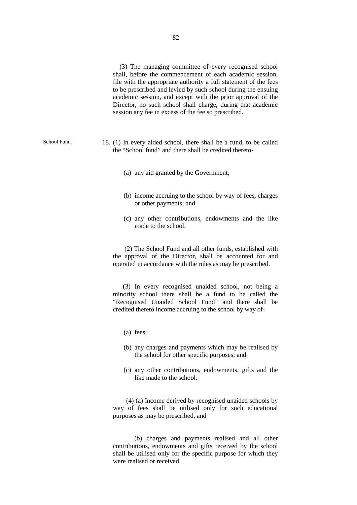(3) The managing committee of every recognised school shall, before the commencement of each academic session, file with the appropriate authority a full statement of the fees to be prescribed and levied by such school during the ensuing academic session, and except with the prior approval of the Director, no such school shall charge, during that academic session any fee in excess of the fee so prescribed.

- School Fund. 18. (1) In every aided school, there shall be a fund, to be called the "School fund" and there shall be credited thereto-
	- (a) any aid granted by the Government;
	- (b) income accruing to the school by way of fees, charges or other payments; and
	- (c) any other contributions, endowments and the like made to the school.

(2) The School Fund and all other funds, established with the approval of the Director, shall be accounted for and operated in accordance with the rules as may be prescribed.

(3) In every recognised unaided school, not being a minority school there shall be a fund to be called the "Recognised Unaided School Fund" and there shall be credited thereto income accruing to the school by way of-

- (a) fees;
- (b) any charges and payments which may be realised by the school for other specific purposes; and
- (c) any other contributions, endowments, gifts and the like made to the school.

(4) (a) Income derived by recognised unaided schools by way of fees shall be utilised only for such educational purposes as may be prescribed, and

(b) charges and payments realised and all other contributions, endowments and gifts received by the school shall be utilised only for the specific purpose for which they were realised or received.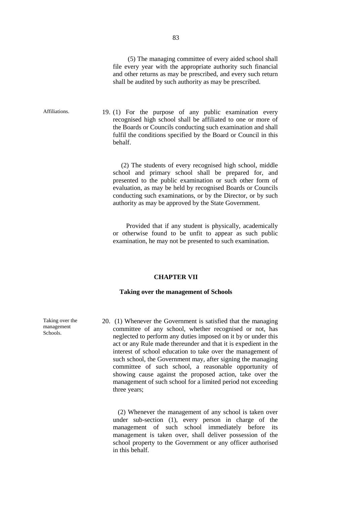(5) The managing committee of every aided school shall file every year with the appropriate authority such financial and other returns as may be prescribed, and every such return shall be audited by such authority as may be prescribed.

Affiliations. 19. (1) For the purpose of any public examination every recognised high school shall be affiliated to one or more of the Boards or Councils conducting such examination and shall fulfil the conditions specified by the Board or Council in this behalf.

> (2) The students of every recognised high school, middle school and primary school shall be prepared for, and presented to the public examination or such other form of evaluation, as may be held by recognised Boards or Councils conducting such examinations, or by the Director, or by such authority as may be approved by the State Government.

> Provided that if any student is physically, academically or otherwise found to be unfit to appear as such public examination, he may not be presented to such examination.

#### **CHAPTER VII**

#### **Taking over the management of Schools**

20. (1) Whenever the Government is satisfied that the managing committee of any school, whether recognised or not, has neglected to perform any duties imposed on it by or under this act or any Rule made thereunder and that it is expedient in the interest of school education to take over the management of such school, the Government may, after signing the managing committee of such school, a reasonable opportunity of showing cause against the proposed action, take over the management of such school for a limited period not exceeding three years;

(2) Whenever the management of any school is taken over under sub-section (1), every person in charge of the management of such school immediately before its management is taken over, shall deliver possession of the school property to the Government or any officer authorised in this behalf.

Taking over the management Schools.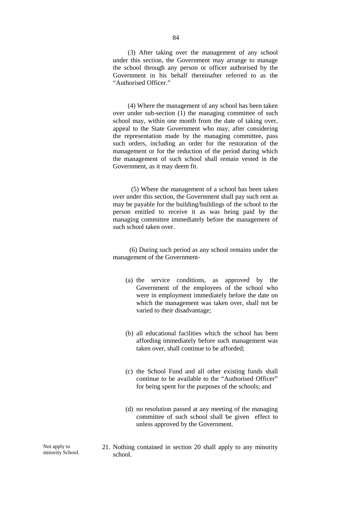(3) After taking over the management of any school under this section, the Government may arrange to manage the school through any person or officer authorised by the Government in his behalf thereinafter referred to as the "Authorised Officer."

(4) Where the management of any school has been taken over under sub-section (1) the managing committee of such school may, within one month from the date of taking over, appeal to the State Government who may, after considering the representation made by the managing committee, pass such orders, including an order for the restoration of the management or for the reduction of the period during which the management of such school shall remain vested in the Government, as it may deem fit.

(5) Where the management of a school has been taken over under this section, the Government shall pay such rent as may be payable for the building/buildings of the school to the person entitled to receive it as was being paid by the managing committee immediately before the management of such school taken over.

(6) During such period as any school remains under the management of the Government-

- (a) the service conditions, as approved by the Government of the employees of the school who were in employment immediately before the date on which the management was taken over, shall not be varied to their disadvantage;
- (b) all educational facilities which the school has been affording immediately before such management was taken over, shall continue to be afforded;
- (c) the School Fund and all other existing funds shall continue to be available to the "Authorised Officer" for being spent for the purposes of the schools; and
- (d) no resolution passed at any meeting of the managing committee of such school shall be given effect to unless approved by the Government.
- 21. Nothing contained in section 20 shall apply to any minority school.

Not apply to minority School.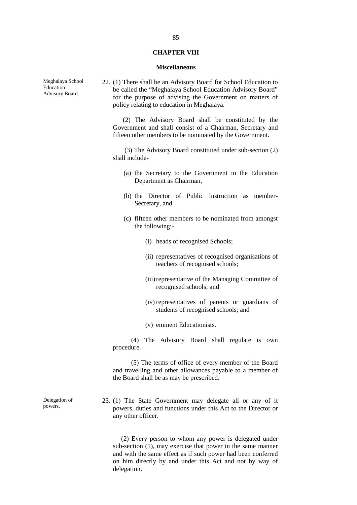#### **CHAPTER VIII**

#### **Miscellaneous**

22. (1) There shall be an Advisory Board for School Education to be called the "Meghalaya School Education Advisory Board" for the purpose of advising the Government on matters of policy relating to education in Meghalaya.

(2) The Advisory Board shall be constituted by the Government and shall consist of a Chairman, Secretary and fifteen other members to be nominated by the Government.

(3) The Advisory Board constituted under sub-section (2) shall include-

- (a) the Secretary to the Government in the Education Department as Chairman,
- (b) the Director of Public Instruction as member- Secretary, and
- (c) fifteen other members to be nominated from amongst the following:-
	- (i) heads of recognised Schools;
	- (ii) representatives of recognised organisations of teachers of recognised schools;
	- (iii)representative of the Managing Committee of recognised schools; and
	- (iv) representatives of parents or guardians of students of recognised schools; and
	- (v) eminent Educationists.

(4) The Advisory Board shall regulate is own procedure.

(5) The terms of office of every member of the Board and travelling and other allowances payable to a member of the Board shall be as may be prescribed.

23. (1) The State Government may delegate all or any of it powers, duties and functions under this Act to the Director or any other officer.

(2) Every person to whom any power is delegated under sub-section (1), may exercise that power in the same manner and with the same effect as if such power had been conferred on him directly by and under this Act and not by way of delegation.

Meghalaya School Education Advisory Board.

Delegation of powers.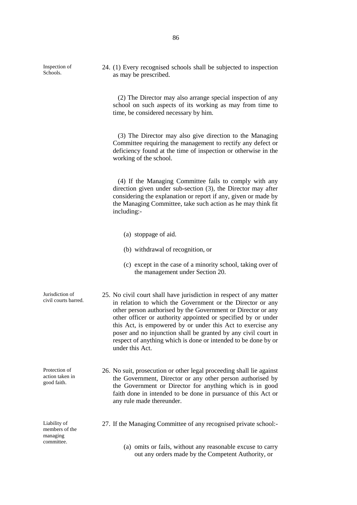Inspection of Schools.

24. (1) Every recognised schools shall be subjected to inspection as may be prescribed.

(2) The Director may also arrange special inspection of any school on such aspects of its working as may from time to time, be considered necessary by him.

(3) The Director may also give direction to the Managing Committee requiring the management to rectify any defect or deficiency found at the time of inspection or otherwise in the working of the school.

(4) If the Managing Committee fails to comply with any direction given under sub-section (3), the Director may after considering the explanation or report if any, given or made by the Managing Committee, take such action as he may think fit including:-

- (a) stoppage of aid.
- (b) withdrawal of recognition, or
- (c) except in the case of a minority school, taking over of the management under Section 20.
- Jurisdiction of civil courts barred. 25. No civil court shall have jurisdiction in respect of any matter in relation to which the Government or the Director or any other person authorised by the Government or Director or any other officer or authority appointed or specified by or under this Act, is empowered by or under this Act to exercise any poser and no injunction shall be granted by any civil court in respect of anything which is done or intended to be done by or under this Act.
	- 26. No suit, prosecution or other legal proceeding shall lie against the Government, Director or any other person authorised by the Government or Director for anything which is in good faith done in intended to be done in pursuance of this Act or any rule made thereunder.

Liability of members of the managing committee.

Protection of action taken in good faith.

- 27. If the Managing Committee of any recognised private school:-
	- (a) omits or fails, without any reasonable excuse to carry out any orders made by the Competent Authority, or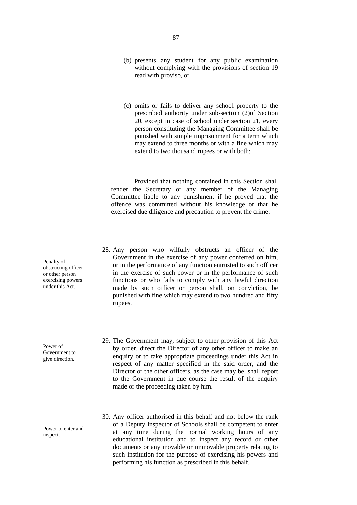- (b) presents any student for any public examination without complying with the provisions of section 19 read with proviso, or
- (c) omits or fails to deliver any school property to the prescribed authority under sub-section (2)of Section 20, except in case of school under section 21, every person constituting the Managing Committee shall be punished with simple imprisonment for a term which may extend to three months or with a fine which may extend to two thousand rupees or with both:

Provided that nothing contained in this Section shall render the Secretary or any member of the Managing Committee liable to any punishment if he proved that the offence was committed without his knowledge or that he exercised due diligence and precaution to prevent the crime.

- 28. Any person who wilfully obstructs an officer of the Government in the exercise of any power conferred on him, or in the performance of any function entrusted to such officer in the exercise of such power or in the performance of such functions or who fails to comply with any lawful direction made by such officer or person shall, on conviction, be punished with fine which may extend to two hundred and fifty rupees.
- 29. The Government may, subject to other provision of this Act by order, direct the Director of any other officer to make an enquiry or to take appropriate proceedings under this Act in respect of any matter specified in the said order, and the Director or the other officers, as the case may be, shall report to the Government in due course the result of the enquiry made or the proceeding taken by him.
- 30. Any officer authorised in this behalf and not below the rank of a Deputy Inspector of Schools shall be competent to enter at any time during the normal working hours of any educational institution and to inspect any record or other documents or any movable or immovable property relating to such institution for the purpose of exercising his powers and performing his function as prescribed in this behalf.

Penalty of obstructing officer or other person exercising powers under this Act.

Power of Government to give direction.

Power to enter and inspect.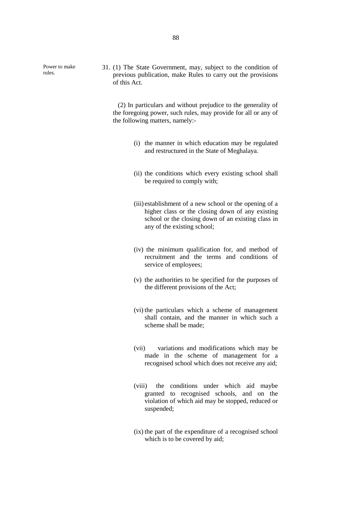Power to make rules.

31. (1) The State Government, may, subject to the condition of previous publication, make Rules to carry out the provisions of this Act.

(2) In particulars and without prejudice to the generality of the foregoing power, such rules, may provide for all or any of the following matters, namely:-

- (i) the manner in which education may be regulated and restructured in the State of Meghalaya.
- (ii) the conditions which every existing school shall be required to comply with;
- (iii) establishment of a new school or the opening of a higher class or the closing down of any existing school or the closing down of an existing class in any of the existing school;
- (iv) the minimum qualification for, and method of recruitment and the terms and conditions of service of employees;
- (v) the authorities to be specified for the purposes of the different provisions of the Act;
- (vi) the particulars which a scheme of management shall contain, and the manner in which such a scheme shall be made;
- (vii) variations and modifications which may be made in the scheme of management for a recognised school which does not receive any aid;
- (viii) the conditions under which aid maybe granted to recognised schools, and on the violation of which aid may be stopped, reduced or suspended;
- (ix) the part of the expenditure of a recognised school which is to be covered by aid;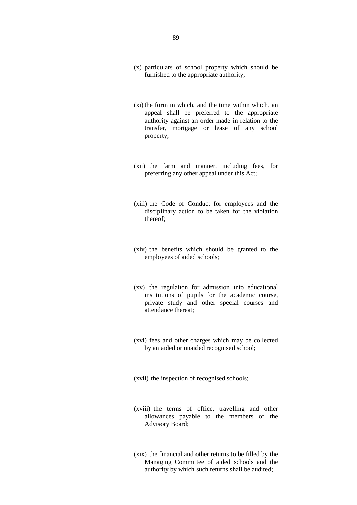- (x) particulars of school property which should be furnished to the appropriate authority;
- (xi) the form in which, and the time within which, an appeal shall be preferred to the appropriate authority against an order made in relation to the transfer, mortgage or lease of any school property;
- (xii) the farm and manner, including fees, for preferring any other appeal under this Act;
- (xiii) the Code of Conduct for employees and the disciplinary action to be taken for the violation thereof;
- (xiv) the benefits which should be granted to the employees of aided schools;
- (xv) the regulation for admission into educational institutions of pupils for the academic course, private study and other special courses and attendance thereat;
- (xvi) fees and other charges which may be collected by an aided or unaided recognised school;
- (xvii) the inspection of recognised schools;
- (xviii) the terms of office, travelling and other allowances payable to the members of the Advisory Board;
- (xix) the financial and other returns to be filled by the Managing Committee of aided schools and the authority by which such returns shall be audited;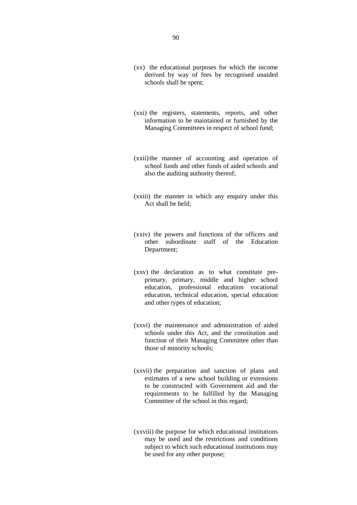- (xx) the educational purposes for which the income derived by way of fees by recognised unaided schools shall be spent;
- (xxi) the registers, statements, reports, and other information to be maintained or furnished by the Managing Committees in respect of school fund;
- (xxii)the manner of accounting and operation of school funds and other funds of aided schools and also the auditing authority thereof;
- (xxiii) the manner in which any enquiry under this Act shall be held;
- (xxiv) the powers and functions of the officers and other subordinate staff of the Education Department;
- (xxv) the declaration as to what constitute pre primary, primary, middle and higher school education, professional education vocational education, technical education, special education and other types of education;
- (xxvi) the maintenance and administration of aided schools under this Act, and the constitution and function of their Managing Committee other than those of minority schools;
- (xxvii) the preparation and sanction of plans and estimates of a new school building or extensions to be constructed with Government aid and the requirements to be fulfilled by the Managing Committee of the school in this regard;
- (xxviii) the purpose for which educational institutions may be used and the restrictions and conditions subject to which such educational institutions may be used for any other purpose;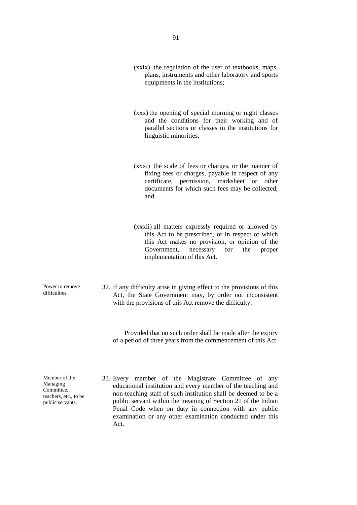- (xxix) the regulation of the user of textbooks, maps, plans, instruments and other laboratory and sports equipments in the institutions;
- (xxx) the opening of special morning or night classes and the conditions for their working and of parallel sections or classes in the institutions for linguistic minorities;
- (xxxi) the scale of fees or charges, or the manner of fixing fees or charges, payable in respect of any certificate, permission, marksheet or other documents for which such fees may be collected; and
- (xxxii) all matters expressly required or allowed by this Act to be prescribed, or in respect of which this Act makes no provision, or opinion of the Government, necessary for the proper implementation of this Act.
- 32. If any difficulty arise in giving effect to the provisions of this Act, the State Government may, by order not inconsistent with the provisions of this Act remove the difficulty:

Provided that no such order shall be made after the expiry of a period of three years from the commencement of this Act.

Member of the Managing Committee, teachers, etc., to be public servants.

Power to remove difficulties.

> 33. Every member of the Magistrate Committee of any educational institution and every member of the teaching and non-teaching staff of such institution shall be deemed to be a public servant within the meaning of Section 21 of the Indian Penal Code when on duty in connection with any public examination or any other examination conducted under this Act.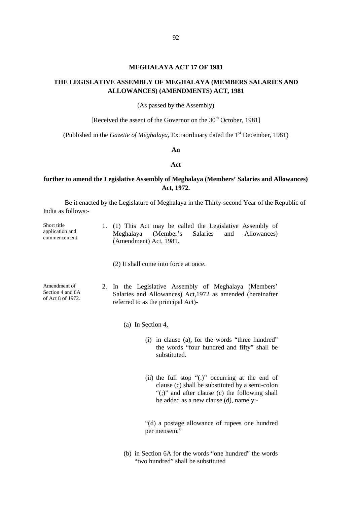#### **MEGHALAYA ACT 17 OF 1981**

## **THE LEGISLATIVE ASSEMBLY OF MEGHALAYA (MEMBERS SALARIES AND ALLOWANCES) (AMENDMENTS) ACT, 1981**

(As passed by the Assembly)

[Received the assent of the Governor on the 30<sup>th</sup> October, 1981]

(Published in the *Gazette of Meghalaya*, Extraordinary dated the 1st December, 1981)

**An**

#### **Act**

## **further to amend the Legislative Assembly of Meghalaya (Members' Salaries and Allowances) Act, 1972.**

Be it enacted by the Legislature of Meghalaya in the Thirty-second Year of the Republic of India as follows:-

| Short title                     |                        |  |  |  |  | 1. (1) This Act may be called the Legislative Assembly of |  |
|---------------------------------|------------------------|--|--|--|--|-----------------------------------------------------------|--|
| application and<br>commencement |                        |  |  |  |  | Meghalaya (Member's Salaries and Allowances)              |  |
|                                 | (Amendment) Act. 1981. |  |  |  |  |                                                           |  |

(2) It shall come into force at once.

Amendment of Section 4 and 6A of Act 8 of 1972. 2. In the Legislative Assembly of Meghalaya (Members' Salaries and Allowances) Act,1972 as amended (hereinafter referred to as the principal Act)-

(a) In Section 4,

- (i) in clause (a), for the words "three hundred" the words "four hundred and fifty" shall be substituted.
- (ii) the full stop "(.)" occurring at the end of clause (c) shall be substituted by a semi-colon "(;)" and after clause (c) the following shall be added as a new clause (d), namely:-

"(d) a postage allowance of rupees one hundred per mensem,"

(b) in Section 6A for the words "one hundred" the words "two hundred" shall be substituted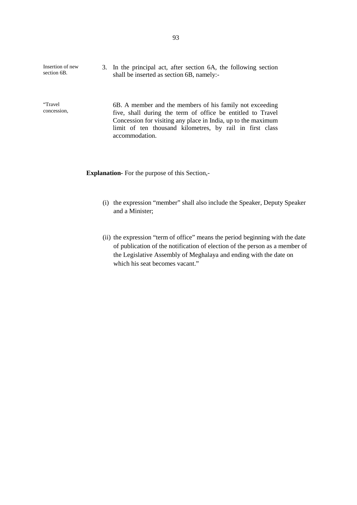| Insertion of new<br>section 6B. | 3. In the principal act, after section 6A, the following section<br>shall be inserted as section 6B, namely:-                                                                                                                                                          |
|---------------------------------|------------------------------------------------------------------------------------------------------------------------------------------------------------------------------------------------------------------------------------------------------------------------|
| "Travel<br>concession,          | 6B. A member and the members of his family not exceeding<br>five, shall during the term of office be entitled to Travel<br>Concession for visiting any place in India, up to the maximum<br>limit of ten thousand kilometres, by rail in first class<br>accommodation. |

**Explanation-** For the purpose of this Section,-

- (i) the expression "member" shall also include the Speaker, Deputy Speaker and a Minister;
- (ii) the expression "term of office" means the period beginning with the date of publication of the notification of election of the person as a member of the Legislative Assembly of Meghalaya and ending with the date on which his seat becomes vacant."